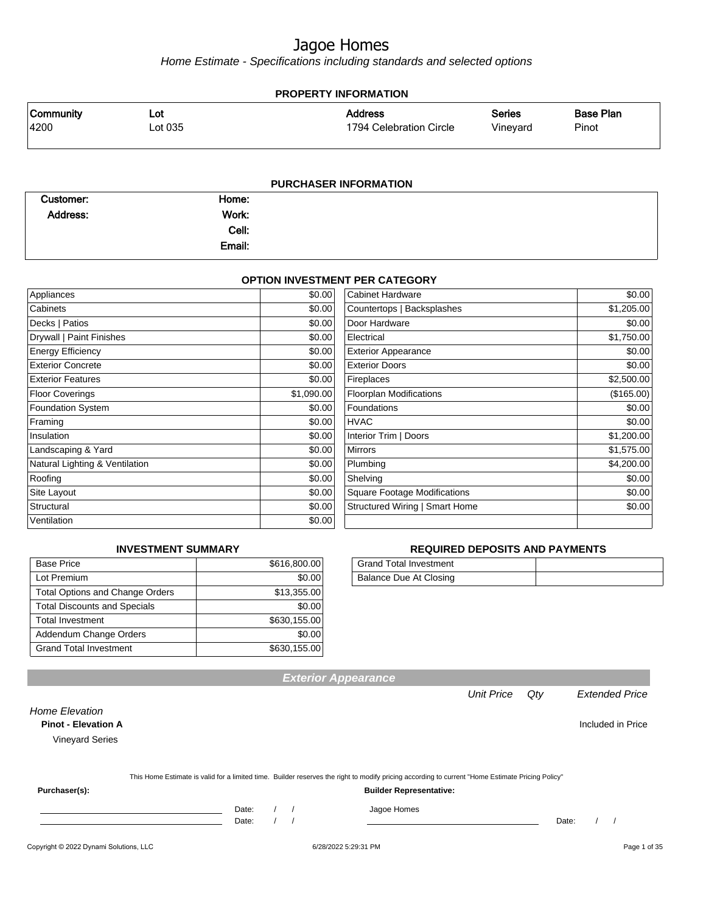Home Estimate - Specifications including standards and selected options

#### **PROPERTY INFORMATION** Vineyard Series 1794 Celebration Circle Address 4200 Lot 035 Community Lot Pinot Base Plan

| <b>PURCHASER INFORMATION</b> |        |  |  |  |  |
|------------------------------|--------|--|--|--|--|
| Customer:                    | Home:  |  |  |  |  |
| Address:                     | Work:  |  |  |  |  |
|                              | Cell:  |  |  |  |  |
|                              | Email: |  |  |  |  |

#### **OPTION INVESTMENT PER CATEGORY**

| Appliances                     | \$0.00     | <b>Cabinet Hardware</b>             | \$0.00     |
|--------------------------------|------------|-------------------------------------|------------|
| Cabinets                       | \$0.00     | Countertops   Backsplashes          | \$1,205.00 |
| Decks   Patios                 | \$0.00     | Door Hardware                       | \$0.00     |
| Drywall   Paint Finishes       | \$0.00     | Electrical                          | \$1,750.00 |
| <b>Energy Efficiency</b>       | \$0.00     | <b>Exterior Appearance</b>          | \$0.00     |
| <b>Exterior Concrete</b>       | \$0.00     | <b>Exterior Doors</b>               | \$0.00     |
| <b>Exterior Features</b>       | \$0.00     | Fireplaces                          | \$2,500.00 |
| Floor Coverings                | \$1,090.00 | <b>Floorplan Modifications</b>      | (\$165.00) |
| <b>Foundation System</b>       | \$0.00     | Foundations                         | \$0.00     |
| Framing                        | \$0.00     | <b>HVAC</b>                         | \$0.00     |
| Insulation                     | \$0.00     | Interior Trim   Doors               | \$1,200.00 |
| Landscaping & Yard             | \$0.00     | <b>Mirrors</b>                      | \$1,575.00 |
| Natural Lighting & Ventilation | \$0.00     | Plumbing                            | \$4,200.00 |
| Roofing                        | \$0.00     | Shelving                            | \$0.00     |
| Site Layout                    | \$0.00     | <b>Square Footage Modifications</b> | \$0.00     |
| Structural                     | \$0.00     | Structured Wiring   Smart Home      | \$0.00     |
| Ventilation                    | \$0.00     |                                     |            |

#### **INVESTMENT SUMMARY**  $\frac{1}{\sqrt{616,800.00}}$

| разе і пле                             | <b>JUIU.UUU.UU</b> |
|----------------------------------------|--------------------|
| Lot Premium                            | \$0.00             |
| <b>Total Options and Change Orders</b> | \$13,355.00        |
| <b>Total Discounts and Specials</b>    | \$0.00             |
| <b>Total Investment</b>                | \$630,155.00       |
| Addendum Change Orders                 | \$0.00             |
| <b>Grand Total Investment</b>          | \$630,155.00       |

#### **REQUIRED DEPOSITS AND PAYMENTS**

| <b>Grand Total Investment</b> |  |
|-------------------------------|--|
| Balance Due At Closing        |  |

|                                                                               |       |  |                      | <b>Exterior Appearance</b>                                                                                                                       |                   |       |                       |
|-------------------------------------------------------------------------------|-------|--|----------------------|--------------------------------------------------------------------------------------------------------------------------------------------------|-------------------|-------|-----------------------|
|                                                                               |       |  |                      |                                                                                                                                                  | <b>Unit Price</b> | Qty   | <b>Extended Price</b> |
| <b>Home Elevation</b><br><b>Pinot - Elevation A</b><br><b>Vineyard Series</b> |       |  |                      |                                                                                                                                                  |                   |       | Included in Price     |
|                                                                               |       |  |                      |                                                                                                                                                  |                   |       |                       |
|                                                                               |       |  |                      | This Home Estimate is valid for a limited time. Builder reserves the right to modify pricing according to current "Home Estimate Pricing Policy" |                   |       |                       |
| Purchaser(s):                                                                 |       |  |                      | <b>Builder Representative:</b>                                                                                                                   |                   |       |                       |
|                                                                               | Date: |  |                      | Jagoe Homes                                                                                                                                      |                   |       |                       |
|                                                                               | Date: |  |                      |                                                                                                                                                  |                   | Date: |                       |
| Copyright © 2022 Dynami Solutions, LLC                                        |       |  | 6/28/2022 5:29:31 PM |                                                                                                                                                  |                   |       | Page 1 of 35          |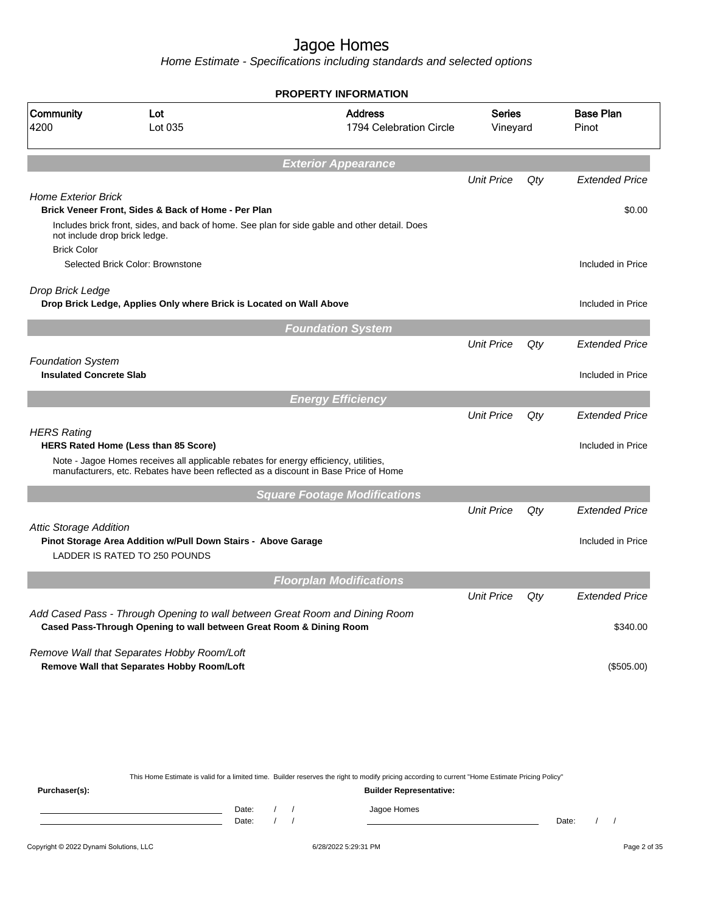Home Estimate - Specifications including standards and selected options

|                                                            |                                                                                                                                                                             | <b>PROPERTY INFORMATION</b>               |                           |     |                           |
|------------------------------------------------------------|-----------------------------------------------------------------------------------------------------------------------------------------------------------------------------|-------------------------------------------|---------------------------|-----|---------------------------|
| Community<br>4200                                          | Lot<br>Lot 035                                                                                                                                                              | <b>Address</b><br>1794 Celebration Circle | <b>Series</b><br>Vineyard |     | <b>Base Plan</b><br>Pinot |
|                                                            |                                                                                                                                                                             | <b>Exterior Appearance</b>                |                           |     |                           |
|                                                            |                                                                                                                                                                             |                                           | <b>Unit Price</b>         | Qty | <b>Extended Price</b>     |
| <b>Home Exterior Brick</b>                                 |                                                                                                                                                                             |                                           |                           |     |                           |
|                                                            | Brick Veneer Front, Sides & Back of Home - Per Plan                                                                                                                         |                                           |                           |     | \$0.00                    |
| not include drop brick ledge.<br><b>Brick Color</b>        | Includes brick front, sides, and back of home. See plan for side gable and other detail. Does                                                                               |                                           |                           |     |                           |
|                                                            | Selected Brick Color: Brownstone                                                                                                                                            |                                           |                           |     | Included in Price         |
|                                                            |                                                                                                                                                                             |                                           |                           |     |                           |
| Drop Brick Ledge                                           | Drop Brick Ledge, Applies Only where Brick is Located on Wall Above                                                                                                         |                                           |                           |     | Included in Price         |
|                                                            |                                                                                                                                                                             |                                           |                           |     |                           |
|                                                            |                                                                                                                                                                             | <b>Foundation System</b>                  |                           |     |                           |
|                                                            |                                                                                                                                                                             |                                           | <b>Unit Price</b>         | Qty | <b>Extended Price</b>     |
| <b>Foundation System</b><br><b>Insulated Concrete Slab</b> |                                                                                                                                                                             |                                           |                           |     | Included in Price         |
|                                                            |                                                                                                                                                                             |                                           |                           |     |                           |
|                                                            |                                                                                                                                                                             | <b>Energy Efficiency</b>                  |                           |     |                           |
|                                                            |                                                                                                                                                                             |                                           | <b>Unit Price</b>         | Qty | <b>Extended Price</b>     |
| <b>HERS Rating</b>                                         | <b>HERS Rated Home (Less than 85 Score)</b>                                                                                                                                 |                                           |                           |     | Included in Price         |
|                                                            | Note - Jagoe Homes receives all applicable rebates for energy efficiency, utilities,<br>manufacturers, etc. Rebates have been reflected as a discount in Base Price of Home |                                           |                           |     |                           |
|                                                            |                                                                                                                                                                             | <b>Square Footage Modifications</b>       |                           |     |                           |
|                                                            |                                                                                                                                                                             |                                           | <b>Unit Price</b>         | Qty | <b>Extended Price</b>     |
| <b>Attic Storage Addition</b>                              |                                                                                                                                                                             |                                           |                           |     |                           |
|                                                            | Pinot Storage Area Addition w/Pull Down Stairs - Above Garage<br>LADDER IS RATED TO 250 POUNDS                                                                              |                                           |                           |     | Included in Price         |
|                                                            |                                                                                                                                                                             | <b>Floorplan Modifications</b>            |                           |     |                           |
|                                                            |                                                                                                                                                                             |                                           | <b>Unit Price</b>         | Qty | <b>Extended Price</b>     |
|                                                            | Add Cased Pass - Through Opening to wall between Great Room and Dining Room<br>Cased Pass-Through Opening to wall between Great Room & Dining Room                          |                                           |                           |     | \$340.00                  |
|                                                            | Remove Wall that Separates Hobby Room/Loft                                                                                                                                  |                                           |                           |     |                           |
|                                                            | Remove Wall that Separates Hobby Room/Loft                                                                                                                                  |                                           |                           |     | (\$505.00)                |
|                                                            |                                                                                                                                                                             |                                           |                           |     |                           |
|                                                            |                                                                                                                                                                             |                                           |                           |     |                           |
|                                                            |                                                                                                                                                                             |                                           |                           |     |                           |

This Home Estimate is valid for a limited time. Builder reserves the right to modify pricing according to current "Home Estimate Pricing Policy"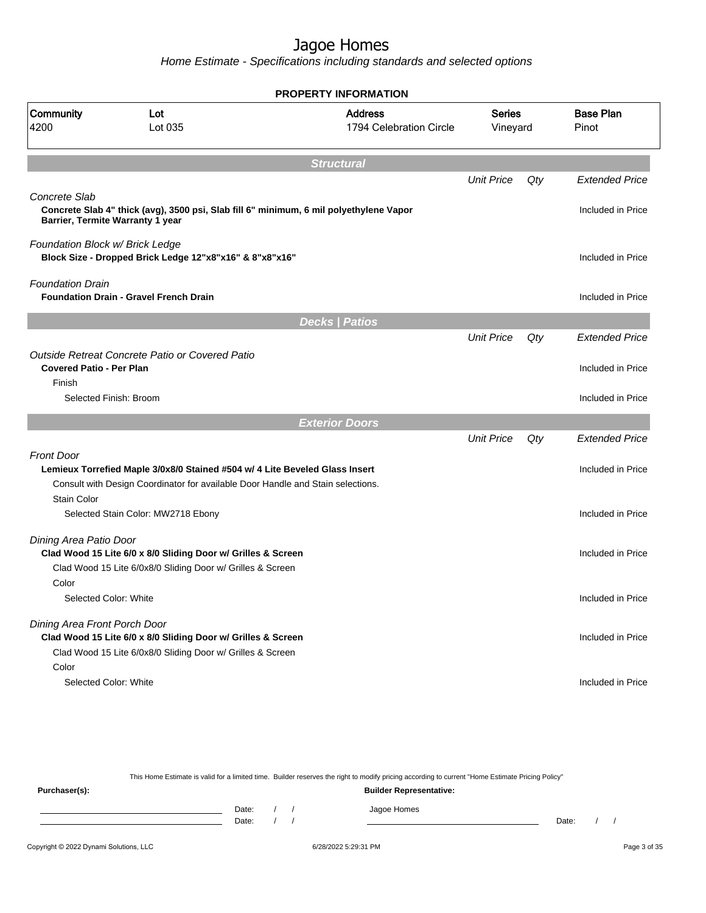Home Estimate - Specifications including standards and selected options

|                                 |                                                                                                                            | <b>PROPERTY INFORMATION</b>               |                    |     |                           |
|---------------------------------|----------------------------------------------------------------------------------------------------------------------------|-------------------------------------------|--------------------|-----|---------------------------|
| Community<br>4200               | Lot<br>Lot 035                                                                                                             | <b>Address</b><br>1794 Celebration Circle | Series<br>Vineyard |     | <b>Base Plan</b><br>Pinot |
|                                 |                                                                                                                            | <b>Structural</b>                         |                    |     |                           |
|                                 |                                                                                                                            |                                           | <b>Unit Price</b>  | Qty | <b>Extended Price</b>     |
| Concrete Slab                   | Concrete Slab 4" thick (avg), 3500 psi, Slab fill 6" minimum, 6 mil polyethylene Vapor<br>Barrier, Termite Warranty 1 year |                                           |                    |     | Included in Price         |
| Foundation Block w/ Brick Ledge | Block Size - Dropped Brick Ledge 12"x8"x16" & 8"x8"x16"                                                                    |                                           |                    |     | Included in Price         |
| <b>Foundation Drain</b>         | <b>Foundation Drain - Gravel French Drain</b>                                                                              |                                           |                    |     | Included in Price         |
|                                 |                                                                                                                            | <b>Decks   Patios</b>                     |                    |     |                           |
|                                 |                                                                                                                            |                                           | <b>Unit Price</b>  | Qty | <b>Extended Price</b>     |
| <b>Covered Patio - Per Plan</b> | Outside Retreat Concrete Patio or Covered Patio                                                                            |                                           |                    |     | Included in Price         |
| Finish                          | Selected Finish: Broom                                                                                                     |                                           |                    |     | Included in Price         |
|                                 |                                                                                                                            | <b>Exterior Doors</b>                     |                    |     |                           |
|                                 |                                                                                                                            |                                           | <b>Unit Price</b>  | Qty | <b>Extended Price</b>     |
| <b>Front Door</b>               |                                                                                                                            |                                           |                    |     |                           |
|                                 | Lemieux Torrefied Maple 3/0x8/0 Stained #504 w/ 4 Lite Beveled Glass Insert                                                |                                           |                    |     | Included in Price         |
|                                 | Consult with Design Coordinator for available Door Handle and Stain selections.                                            |                                           |                    |     |                           |
| <b>Stain Color</b>              |                                                                                                                            |                                           |                    |     |                           |
|                                 | Selected Stain Color: MW2718 Ebony                                                                                         |                                           |                    |     | Included in Price         |
| Dining Area Patio Door          |                                                                                                                            |                                           |                    |     |                           |
|                                 | Clad Wood 15 Lite 6/0 x 8/0 Sliding Door w/ Grilles & Screen                                                               |                                           |                    |     | Included in Price         |
|                                 | Clad Wood 15 Lite 6/0x8/0 Sliding Door w/ Grilles & Screen                                                                 |                                           |                    |     |                           |
| Color                           |                                                                                                                            |                                           |                    |     |                           |
| Selected Color: White           |                                                                                                                            |                                           |                    |     | Included in Price         |
| Dining Area Front Porch Door    | Clad Wood 15 Lite 6/0 x 8/0 Sliding Door w/ Grilles & Screen<br>Clad Wood 15 Lite 6/0x8/0 Sliding Door w/ Grilles & Screen |                                           |                    |     | Included in Price         |
| Color                           |                                                                                                                            |                                           |                    |     |                           |
| Selected Color: White           |                                                                                                                            |                                           |                    |     | Included in Price         |

This Home Estimate is valid for a limited time. Builder reserves the right to modify pricing according to current "Home Estimate Pricing Policy" **Purchaser(s): Builder Representative:** Date: / / Jagoe Homes<br>Date: / / Jagoe Homes Date: / / Date: / /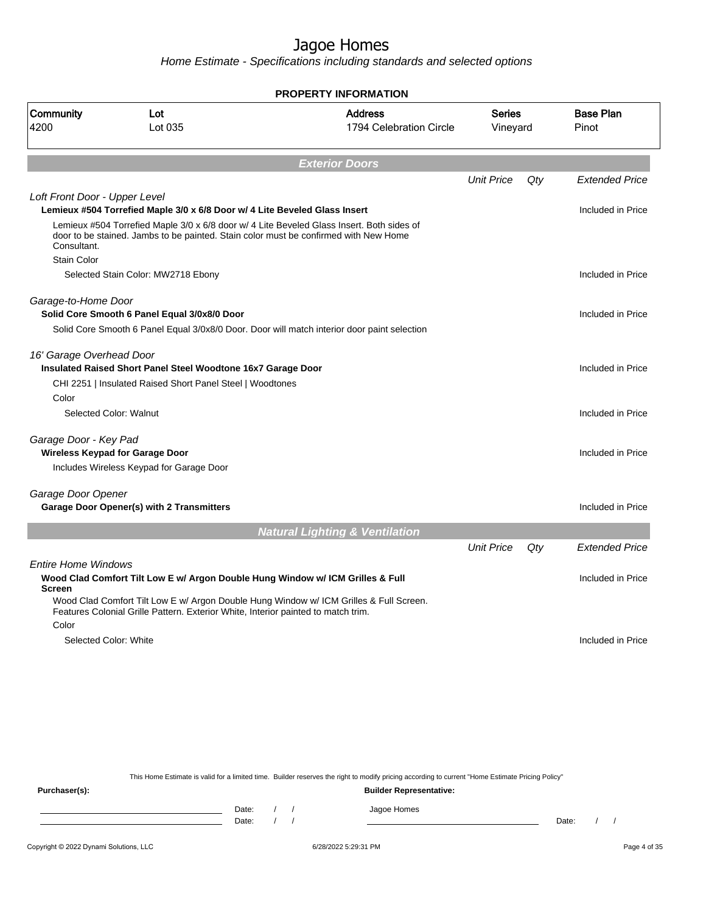Home Estimate - Specifications including standards and selected options

|                               |                                                                                                                                                                                   | <b>PROPERTY INFORMATION</b>                                                                 |                    |     |                           |
|-------------------------------|-----------------------------------------------------------------------------------------------------------------------------------------------------------------------------------|---------------------------------------------------------------------------------------------|--------------------|-----|---------------------------|
| Community<br>4200             | Lot<br>Lot 035                                                                                                                                                                    | <b>Address</b><br>1794 Celebration Circle                                                   | Series<br>Vineyard |     | <b>Base Plan</b><br>Pinot |
|                               |                                                                                                                                                                                   | <b>Exterior Doors</b>                                                                       |                    |     |                           |
|                               |                                                                                                                                                                                   |                                                                                             | <b>Unit Price</b>  | Qty | <b>Extended Price</b>     |
| Loft Front Door - Upper Level |                                                                                                                                                                                   |                                                                                             |                    |     |                           |
|                               | Lemieux #504 Torrefied Maple 3/0 x 6/8 Door w/ 4 Lite Beveled Glass Insert                                                                                                        |                                                                                             |                    |     | Included in Price         |
| Consultant.                   | Lemieux #504 Torrefied Maple 3/0 x 6/8 door w/ 4 Lite Beveled Glass Insert. Both sides of<br>door to be stained. Jambs to be painted. Stain color must be confirmed with New Home |                                                                                             |                    |     |                           |
| <b>Stain Color</b>            |                                                                                                                                                                                   |                                                                                             |                    |     |                           |
|                               | Selected Stain Color: MW2718 Ebony                                                                                                                                                |                                                                                             |                    |     | Included in Price         |
| Garage-to-Home Door           | Solid Core Smooth 6 Panel Equal 3/0x8/0 Door                                                                                                                                      |                                                                                             |                    |     | Included in Price         |
|                               |                                                                                                                                                                                   | Solid Core Smooth 6 Panel Equal 3/0x8/0 Door. Door will match interior door paint selection |                    |     |                           |
|                               |                                                                                                                                                                                   |                                                                                             |                    |     |                           |
| 16' Garage Overhead Door      |                                                                                                                                                                                   |                                                                                             |                    |     |                           |
|                               | Insulated Raised Short Panel Steel Woodtone 16x7 Garage Door                                                                                                                      |                                                                                             |                    |     | Included in Price         |
|                               | CHI 2251   Insulated Raised Short Panel Steel   Woodtones                                                                                                                         |                                                                                             |                    |     |                           |
| Color                         |                                                                                                                                                                                   |                                                                                             |                    |     |                           |
| Selected Color: Walnut        |                                                                                                                                                                                   |                                                                                             |                    |     | Included in Price         |
| Garage Door - Key Pad         |                                                                                                                                                                                   |                                                                                             |                    |     |                           |
|                               | <b>Wireless Keypad for Garage Door</b>                                                                                                                                            |                                                                                             |                    |     | Included in Price         |
|                               | Includes Wireless Keypad for Garage Door                                                                                                                                          |                                                                                             |                    |     |                           |
| Garage Door Opener            |                                                                                                                                                                                   |                                                                                             |                    |     |                           |
|                               | Garage Door Opener(s) with 2 Transmitters                                                                                                                                         |                                                                                             |                    |     | Included in Price         |
|                               |                                                                                                                                                                                   | <b>Natural Lighting &amp; Ventilation</b>                                                   |                    |     |                           |
|                               |                                                                                                                                                                                   |                                                                                             | <b>Unit Price</b>  | Qty | <b>Extended Price</b>     |
|                               |                                                                                                                                                                                   |                                                                                             |                    |     |                           |
| <b>Entire Home Windows</b>    |                                                                                                                                                                                   |                                                                                             |                    |     |                           |
| <b>Screen</b>                 | Wood Clad Comfort Tilt Low E w/ Argon Double Hung Window w/ ICM Grilles & Full                                                                                                    |                                                                                             |                    |     | Included in Price         |
|                               | Features Colonial Grille Pattern. Exterior White, Interior painted to match trim.                                                                                                 | Wood Clad Comfort Tilt Low E w/ Argon Double Hung Window w/ ICM Grilles & Full Screen.      |                    |     |                           |
| Color                         |                                                                                                                                                                                   |                                                                                             |                    |     |                           |
| Selected Color: White         |                                                                                                                                                                                   |                                                                                             |                    |     | Included in Price         |
|                               |                                                                                                                                                                                   |                                                                                             |                    |     |                           |
|                               |                                                                                                                                                                                   |                                                                                             |                    |     |                           |
|                               |                                                                                                                                                                                   |                                                                                             |                    |     |                           |
|                               |                                                                                                                                                                                   |                                                                                             |                    |     |                           |

This Home Estimate is valid for a limited time. Builder reserves the right to modify pricing according to current "Home Estimate Pricing Policy" **Purchaser(s): Builder Representative:** Date: / / Jagoe Homes<br>Date: / / Jagoe Homes Date: / / Date: / /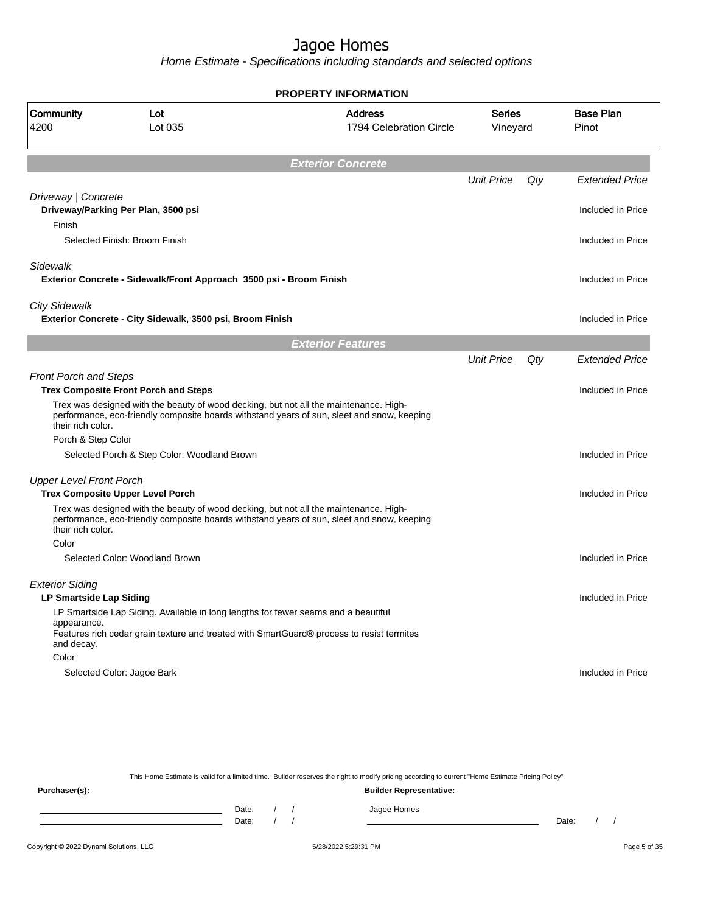Home Estimate - Specifications including standards and selected options

**Exterior Concrete** Unit Price Qty Extended Price Driveway | Concrete **Driveway/Parking Per Plan, 3500 psi Included in Price** Finish Selected Finish: Broom Finish **Included in Price** Sidewalk **Exterior Concrete - Sidewalk/Front Approach 3500 psi - Broom Finish Included in Price 10 and Transform Included in Price** City Sidewalk **Exterior Concrete - City Sidewalk, 3500 psi, Broom Finish Included in Price in Price 10 and The Uncluded in Price Exterior Features** Unit Price Qty Extended Price Front Porch and Steps **Trex Composite Front Porch and Steps Included in Price** Trex was designed with the beauty of wood decking, but not all the maintenance. Highperformance, eco-friendly composite boards withstand years of sun, sleet and snow, keeping their rich color. Porch & Step Color Selected Porch & Step Color: Woodland Brown Included in Price Upper Level Front Porch **Trex Composite Upper Level Porch Included in Price** Trex was designed with the beauty of wood decking, but not all the maintenance. Highperformance, eco-friendly composite boards withstand years of sun, sleet and snow, keeping their rich color. Color Selected Color: Woodland Brown Included in Price in Price in Price in Price in Price in Price in Price in Price Exterior Siding **LP Smartside Lap Siding Included in Price** LP Smartside Lap Siding. Available in long lengths for fewer seams and a beautiful appearance. Features rich cedar grain texture and treated with SmartGuard® process to resist termites and decay. Color Selected Color: Jagoe Bark Included in Price in the Selected Color: Jagoe Bark Included in Price **PROPERTY INFORMATION** Vineyard Series 1794 Celebration Circle Address 4200 Lot 035 Community Lot Pinot Base Plan

This Home Estimate is valid for a limited time. Builder reserves the right to modify pricing according to current "Home Estimate Pricing Policy"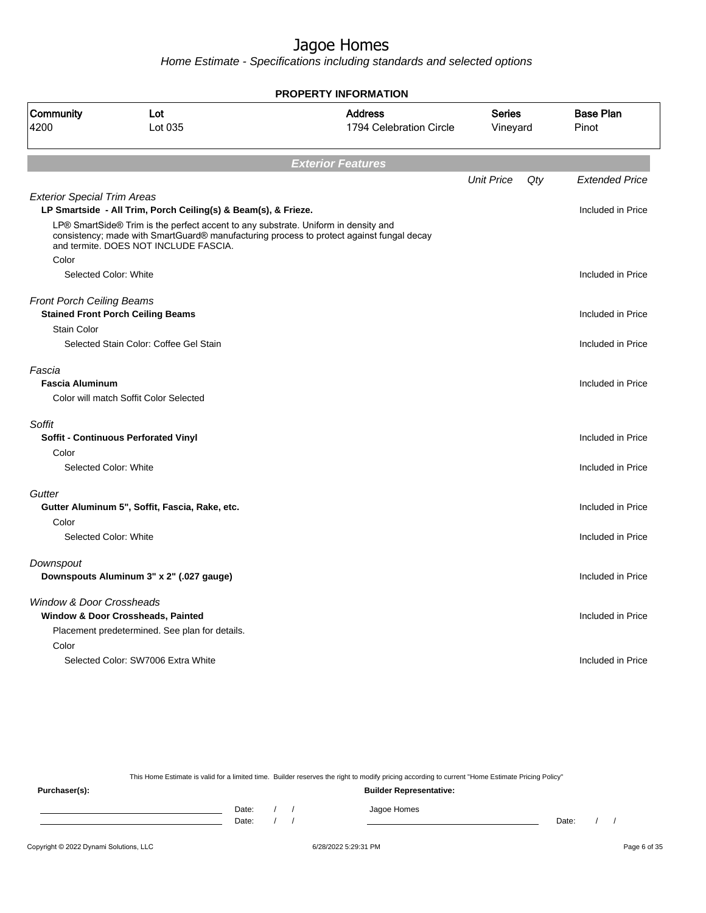Home Estimate - Specifications including standards and selected options

|                                    |                                                                                                                                                                                                                                                                                           | <b>PROPERTY INFORMATION</b>               |                           |     |                           |
|------------------------------------|-------------------------------------------------------------------------------------------------------------------------------------------------------------------------------------------------------------------------------------------------------------------------------------------|-------------------------------------------|---------------------------|-----|---------------------------|
| Community<br>4200                  | Lot<br>Lot 035                                                                                                                                                                                                                                                                            | <b>Address</b><br>1794 Celebration Circle | <b>Series</b><br>Vineyard |     | <b>Base Plan</b><br>Pinot |
|                                    |                                                                                                                                                                                                                                                                                           | <b>Exterior Features</b>                  |                           |     |                           |
|                                    |                                                                                                                                                                                                                                                                                           |                                           | <b>Unit Price</b>         | Qty | <b>Extended Price</b>     |
| <b>Exterior Special Trim Areas</b> |                                                                                                                                                                                                                                                                                           |                                           |                           |     | Included in Price         |
|                                    | LP Smartside - All Trim, Porch Ceiling(s) & Beam(s), & Frieze.<br>LP® SmartSide® Trim is the perfect accent to any substrate. Uniform in density and<br>consistency; made with SmartGuard® manufacturing process to protect against fungal decay<br>and termite. DOES NOT INCLUDE FASCIA. |                                           |                           |     |                           |
| Color                              |                                                                                                                                                                                                                                                                                           |                                           |                           |     |                           |
| Selected Color: White              |                                                                                                                                                                                                                                                                                           |                                           |                           |     | Included in Price         |
| <b>Front Porch Ceiling Beams</b>   | <b>Stained Front Porch Ceiling Beams</b>                                                                                                                                                                                                                                                  |                                           |                           |     | Included in Price         |
| <b>Stain Color</b>                 |                                                                                                                                                                                                                                                                                           |                                           |                           |     |                           |
|                                    | Selected Stain Color: Coffee Gel Stain                                                                                                                                                                                                                                                    |                                           |                           |     | Included in Price         |
| Fascia<br><b>Fascia Aluminum</b>   | Color will match Soffit Color Selected                                                                                                                                                                                                                                                    |                                           |                           |     | Included in Price         |
| Soffit                             |                                                                                                                                                                                                                                                                                           |                                           |                           |     |                           |
|                                    | <b>Soffit - Continuous Perforated Vinyl</b>                                                                                                                                                                                                                                               |                                           |                           |     | Included in Price         |
| Color                              |                                                                                                                                                                                                                                                                                           |                                           |                           |     |                           |
| Selected Color: White              |                                                                                                                                                                                                                                                                                           |                                           |                           |     | Included in Price         |
| Gutter                             |                                                                                                                                                                                                                                                                                           |                                           |                           |     |                           |
|                                    | Gutter Aluminum 5", Soffit, Fascia, Rake, etc.                                                                                                                                                                                                                                            |                                           |                           |     | Included in Price         |
| Color<br>Selected Color: White     |                                                                                                                                                                                                                                                                                           |                                           |                           |     | Included in Price         |
|                                    |                                                                                                                                                                                                                                                                                           |                                           |                           |     |                           |
| Downspout                          |                                                                                                                                                                                                                                                                                           |                                           |                           |     |                           |
|                                    | Downspouts Aluminum 3" x 2" (.027 gauge)                                                                                                                                                                                                                                                  |                                           |                           |     | Included in Price         |
| Window & Door Crossheads           | Window & Door Crossheads, Painted                                                                                                                                                                                                                                                         |                                           |                           |     | Included in Price         |
|                                    | Placement predetermined. See plan for details.                                                                                                                                                                                                                                            |                                           |                           |     |                           |
| Color                              |                                                                                                                                                                                                                                                                                           |                                           |                           |     |                           |
|                                    | Selected Color: SW7006 Extra White                                                                                                                                                                                                                                                        |                                           |                           |     | Included in Price         |
|                                    |                                                                                                                                                                                                                                                                                           |                                           |                           |     |                           |
|                                    |                                                                                                                                                                                                                                                                                           |                                           |                           |     |                           |

This Home Estimate is valid for a limited time. Builder reserves the right to modify pricing according to current "Home Estimate Pricing Policy" **Purchaser(s): Builder Representative:** Date: / / Jagoe Homes<br>Date: / / Jagoe Homes Date: / / **Date: / / 2006** Date: / / / Date: / / /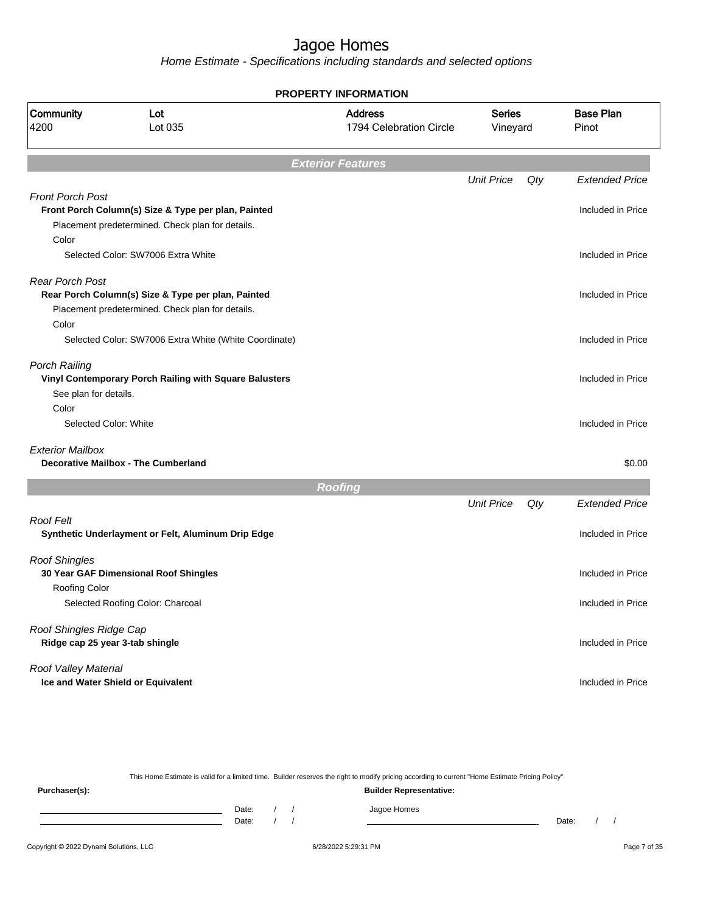Home Estimate - Specifications including standards and selected options

|                                 |                                                        | <b>PROPERTY INFORMATION</b>               |                           |     |                           |
|---------------------------------|--------------------------------------------------------|-------------------------------------------|---------------------------|-----|---------------------------|
| Community<br>4200               | Lot<br>Lot 035                                         | <b>Address</b><br>1794 Celebration Circle | <b>Series</b><br>Vineyard |     | <b>Base Plan</b><br>Pinot |
|                                 |                                                        | <b>Exterior Features</b>                  |                           |     |                           |
|                                 |                                                        |                                           | <b>Unit Price</b>         | Qty | <b>Extended Price</b>     |
| <b>Front Porch Post</b>         |                                                        |                                           |                           |     |                           |
|                                 | Front Porch Column(s) Size & Type per plan, Painted    |                                           |                           |     | Included in Price         |
|                                 | Placement predetermined. Check plan for details.       |                                           |                           |     |                           |
| Color                           |                                                        |                                           |                           |     |                           |
|                                 | Selected Color: SW7006 Extra White                     |                                           |                           |     | Included in Price         |
| <b>Rear Porch Post</b>          |                                                        |                                           |                           |     |                           |
|                                 | Rear Porch Column(s) Size & Type per plan, Painted     |                                           |                           |     | Included in Price         |
|                                 | Placement predetermined. Check plan for details.       |                                           |                           |     |                           |
| Color                           |                                                        |                                           |                           |     |                           |
|                                 | Selected Color: SW7006 Extra White (White Coordinate)  |                                           |                           |     | Included in Price         |
| <b>Porch Railing</b>            |                                                        |                                           |                           |     |                           |
|                                 | Vinyl Contemporary Porch Railing with Square Balusters |                                           |                           |     | Included in Price         |
| See plan for details.           |                                                        |                                           |                           |     |                           |
| Color                           |                                                        |                                           |                           |     |                           |
| Selected Color: White           |                                                        |                                           |                           |     | Included in Price         |
| <b>Exterior Mailbox</b>         |                                                        |                                           |                           |     |                           |
|                                 | <b>Decorative Mailbox - The Cumberland</b>             |                                           |                           |     | \$0.00                    |
|                                 |                                                        | <b>Roofing</b>                            |                           |     |                           |
|                                 |                                                        |                                           | <b>Unit Price</b>         | Qty | <b>Extended Price</b>     |
| Roof Felt                       |                                                        |                                           |                           |     |                           |
|                                 | Synthetic Underlayment or Felt, Aluminum Drip Edge     |                                           |                           |     | Included in Price         |
| <b>Roof Shingles</b>            |                                                        |                                           |                           |     |                           |
|                                 | 30 Year GAF Dimensional Roof Shingles                  |                                           |                           |     | Included in Price         |
| <b>Roofing Color</b>            |                                                        |                                           |                           |     |                           |
|                                 | Selected Roofing Color: Charcoal                       |                                           |                           |     | Included in Price         |
| Roof Shingles Ridge Cap         |                                                        |                                           |                           |     |                           |
| Ridge cap 25 year 3-tab shingle |                                                        |                                           |                           |     | Included in Price         |
| Roof Valley Material            |                                                        |                                           |                           |     |                           |
|                                 | Ice and Water Shield or Equivalent                     |                                           |                           |     | Included in Price         |
|                                 |                                                        |                                           |                           |     |                           |

This Home Estimate is valid for a limited time. Builder reserves the right to modify pricing according to current "Home Estimate Pricing Policy"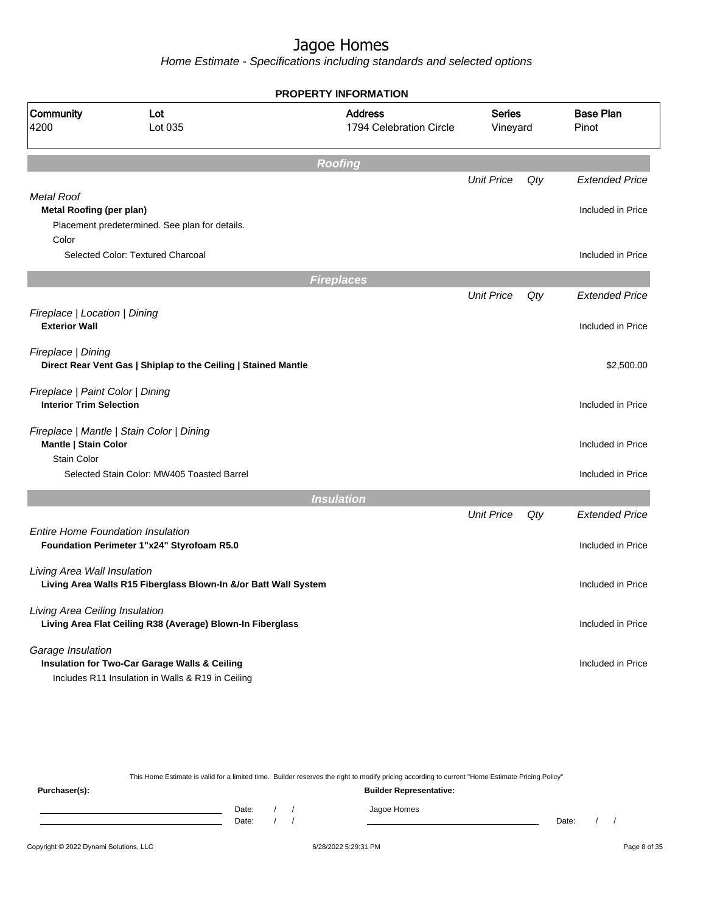|                                                                                              |                                                                                                               | <b>PROPERTY INFORMATION</b>               |                           |     |                           |
|----------------------------------------------------------------------------------------------|---------------------------------------------------------------------------------------------------------------|-------------------------------------------|---------------------------|-----|---------------------------|
| Community<br>4200                                                                            | Lot<br>Lot 035                                                                                                | <b>Address</b><br>1794 Celebration Circle | <b>Series</b><br>Vineyard |     | <b>Base Plan</b><br>Pinot |
|                                                                                              |                                                                                                               | <b>Roofing</b>                            |                           |     |                           |
|                                                                                              |                                                                                                               |                                           | <b>Unit Price</b>         | Qty | <b>Extended Price</b>     |
| <b>Metal Roof</b><br><b>Metal Roofing (per plan)</b>                                         |                                                                                                               |                                           |                           |     | Included in Price         |
|                                                                                              | Placement predetermined. See plan for details.                                                                |                                           |                           |     |                           |
| Color                                                                                        | Selected Color: Textured Charcoal                                                                             |                                           |                           |     | Included in Price         |
|                                                                                              |                                                                                                               | <b>Fireplaces</b>                         |                           |     |                           |
|                                                                                              |                                                                                                               |                                           | <b>Unit Price</b>         | Qty | <b>Extended Price</b>     |
| Fireplace   Location   Dining<br><b>Exterior Wall</b>                                        |                                                                                                               |                                           |                           |     | Included in Price         |
|                                                                                              | Fireplace   Dining<br>Direct Rear Vent Gas   Shiplap to the Ceiling   Stained Mantle                          |                                           |                           |     | \$2,500.00                |
| Fireplace   Paint Color   Dining<br><b>Interior Trim Selection</b>                           |                                                                                                               |                                           |                           |     | Included in Price         |
| Mantle   Stain Color<br><b>Stain Color</b>                                                   | Fireplace   Mantle   Stain Color   Dining                                                                     |                                           |                           |     | Included in Price         |
|                                                                                              | Selected Stain Color: MW405 Toasted Barrel                                                                    |                                           |                           |     | Included in Price         |
|                                                                                              |                                                                                                               | <b>Insulation</b>                         |                           |     |                           |
|                                                                                              |                                                                                                               |                                           | <b>Unit Price</b>         | Qty | <b>Extended Price</b>     |
|                                                                                              | Entire Home Foundation Insulation<br>Foundation Perimeter 1"x24" Styrofoam R5.0                               |                                           |                           |     | Included in Price         |
| Living Area Wall Insulation                                                                  | Living Area Walls R15 Fiberglass Blown-In &/or Batt Wall System                                               |                                           |                           |     | Included in Price         |
| Living Area Ceiling Insulation<br>Living Area Flat Ceiling R38 (Average) Blown-In Fiberglass |                                                                                                               |                                           |                           |     | Included in Price         |
| Garage Insulation                                                                            | <b>Insulation for Two-Car Garage Walls &amp; Ceiling</b><br>Includes R11 Insulation in Walls & R19 in Ceiling |                                           |                           |     | Included in Price         |

|               |       |                                |  |  | This Home Estimate is valid for a limited time. Builder reserves the right to modify pricing according to current "Home Estimate Pricing Policy" |       |  |  |  |  |
|---------------|-------|--------------------------------|--|--|--------------------------------------------------------------------------------------------------------------------------------------------------|-------|--|--|--|--|
| Purchaser(s): |       | <b>Builder Representative:</b> |  |  |                                                                                                                                                  |       |  |  |  |  |
|               | Date: |                                |  |  | Jagoe Homes                                                                                                                                      |       |  |  |  |  |
|               | Date: |                                |  |  |                                                                                                                                                  | Date: |  |  |  |  |
|               |       |                                |  |  |                                                                                                                                                  |       |  |  |  |  |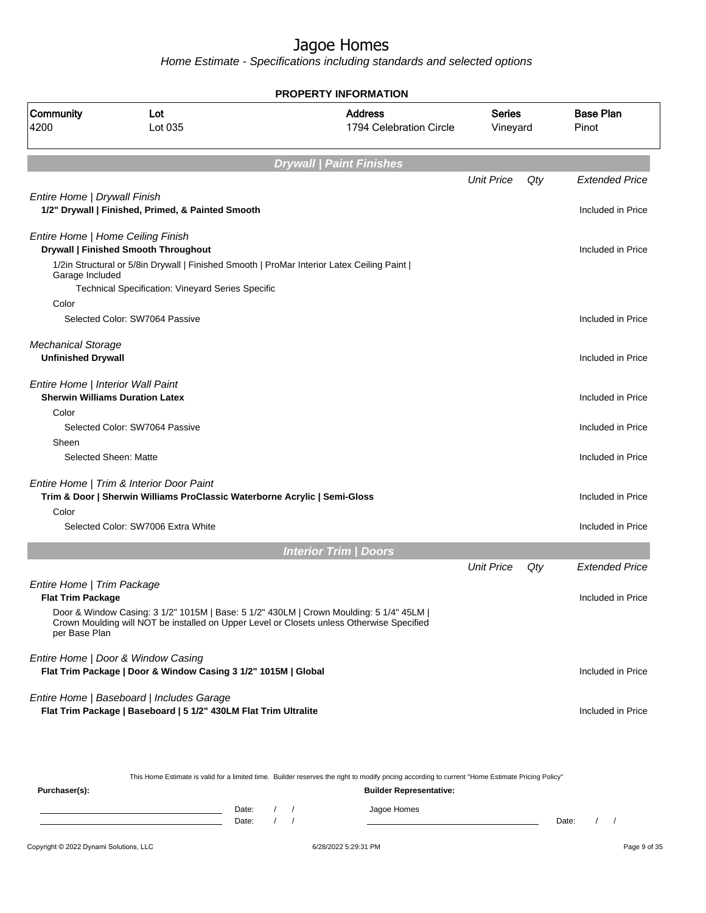Home Estimate - Specifications including standards and selected options

|                                                        |                                                                                                                       | <b>PROPERTY INFORMATION</b>                                                                                                                                                          |                    |     |                           |
|--------------------------------------------------------|-----------------------------------------------------------------------------------------------------------------------|--------------------------------------------------------------------------------------------------------------------------------------------------------------------------------------|--------------------|-----|---------------------------|
| Community<br>4200                                      | Lot<br>Lot 035                                                                                                        | <b>Address</b><br>1794 Celebration Circle                                                                                                                                            | Series<br>Vineyard |     | <b>Base Plan</b><br>Pinot |
|                                                        |                                                                                                                       | <b>Drywall   Paint Finishes</b>                                                                                                                                                      |                    |     |                           |
|                                                        |                                                                                                                       |                                                                                                                                                                                      | <b>Unit Price</b>  | Qty | <b>Extended Price</b>     |
| Entire Home   Drywall Finish                           | 1/2" Drywall   Finished, Primed, & Painted Smooth                                                                     |                                                                                                                                                                                      |                    |     | Included in Price         |
| Entire Home   Home Ceiling Finish                      | <b>Drywall   Finished Smooth Throughout</b>                                                                           |                                                                                                                                                                                      |                    |     | Included in Price         |
| Garage Included                                        | 1/2in Structural or 5/8in Drywall   Finished Smooth   ProMar Interior Latex Ceiling Paint                             |                                                                                                                                                                                      |                    |     |                           |
| Color                                                  | Technical Specification: Vineyard Series Specific                                                                     |                                                                                                                                                                                      |                    |     |                           |
|                                                        | Selected Color: SW7064 Passive                                                                                        |                                                                                                                                                                                      |                    |     | Included in Price         |
| <b>Mechanical Storage</b><br><b>Unfinished Drywall</b> |                                                                                                                       |                                                                                                                                                                                      |                    |     | Included in Price         |
| Entire Home   Interior Wall Paint                      | <b>Sherwin Williams Duration Latex</b>                                                                                |                                                                                                                                                                                      |                    |     | Included in Price         |
| Color                                                  | Selected Color: SW7064 Passive                                                                                        |                                                                                                                                                                                      |                    |     | Included in Price         |
| Sheen                                                  |                                                                                                                       |                                                                                                                                                                                      |                    |     |                           |
| Selected Sheen: Matte                                  |                                                                                                                       |                                                                                                                                                                                      |                    |     | Included in Price         |
|                                                        | Entire Home   Trim & Interior Door Paint<br>Trim & Door   Sherwin Williams ProClassic Waterborne Acrylic   Semi-Gloss |                                                                                                                                                                                      |                    |     | Included in Price         |
| Color                                                  | Selected Color: SW7006 Extra White                                                                                    |                                                                                                                                                                                      |                    |     | Included in Price         |
|                                                        |                                                                                                                       |                                                                                                                                                                                      |                    |     |                           |
|                                                        |                                                                                                                       | <b>Interior Trim / Doors</b>                                                                                                                                                         | <b>Unit Price</b>  | Qty | Extended Price            |
| Entire Home   Trim Package                             |                                                                                                                       |                                                                                                                                                                                      |                    |     |                           |
| <b>Flat Trim Package</b>                               |                                                                                                                       |                                                                                                                                                                                      |                    |     | Included in Price         |
| per Base Plan                                          |                                                                                                                       | Door & Window Casing: 3 1/2" 1015M   Base: 5 1/2" 430LM   Crown Moulding: 5 1/4" 45LM  <br>Crown Moulding will NOT be installed on Upper Level or Closets unless Otherwise Specified |                    |     |                           |
|                                                        | Entire Home   Door & Window Casing<br>Flat Trim Package   Door & Window Casing 3 1/2" 1015M   Global                  |                                                                                                                                                                                      |                    |     | Included in Price         |
|                                                        | Entire Home   Baseboard   Includes Garage<br>Flat Trim Package   Baseboard   5 1/2" 430LM Flat Trim Ultralite         |                                                                                                                                                                                      |                    |     | Included in Price         |

This Home Estimate is valid for a limited time. Builder reserves the right to modify pricing according to current "Home Estimate Pricing Policy"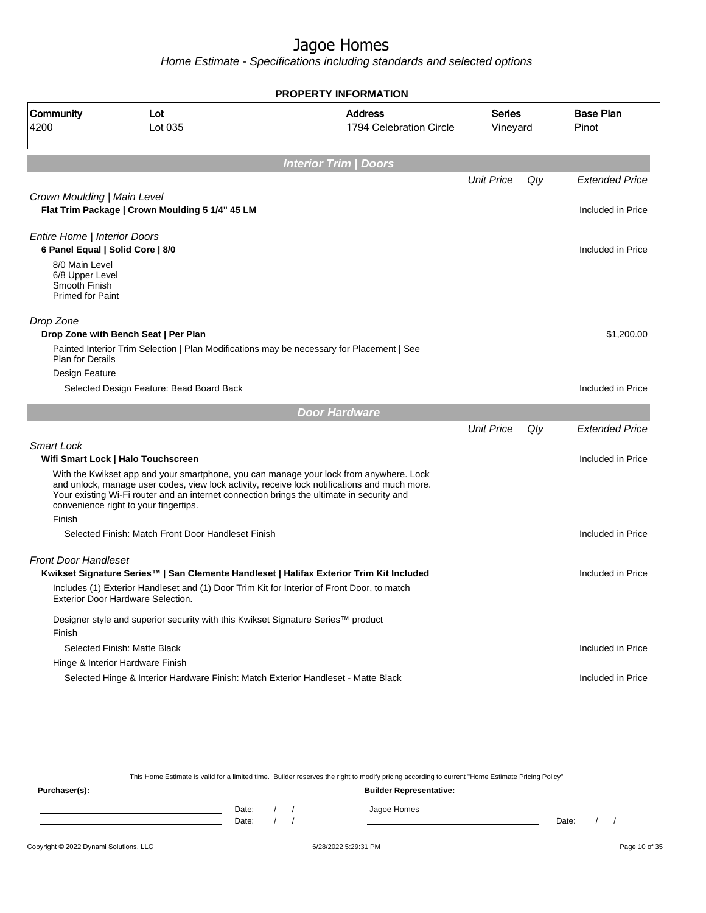Home Estimate - Specifications including standards and selected options

|                                                                               |                                                                                                                                        | <b>PROPERTY INFORMATION</b>                                                                                                                                                            |                           |     |                           |
|-------------------------------------------------------------------------------|----------------------------------------------------------------------------------------------------------------------------------------|----------------------------------------------------------------------------------------------------------------------------------------------------------------------------------------|---------------------------|-----|---------------------------|
| <b>Community</b><br>4200                                                      | Lot<br>Lot 035                                                                                                                         | <b>Address</b><br>1794 Celebration Circle                                                                                                                                              | <b>Series</b><br>Vineyard |     | <b>Base Plan</b><br>Pinot |
|                                                                               |                                                                                                                                        | <b>Interior Trim / Doors</b>                                                                                                                                                           |                           |     |                           |
|                                                                               |                                                                                                                                        |                                                                                                                                                                                        | <b>Unit Price</b>         | Qty | <b>Extended Price</b>     |
| Crown Moulding   Main Level                                                   | Flat Trim Package   Crown Moulding 5 1/4" 45 LM                                                                                        |                                                                                                                                                                                        |                           |     | Included in Price         |
| Entire Home   Interior Doors<br>6 Panel Equal   Solid Core   8/0              |                                                                                                                                        |                                                                                                                                                                                        |                           |     | Included in Price         |
| 8/0 Main Level<br>6/8 Upper Level<br>Smooth Finish<br><b>Primed for Paint</b> |                                                                                                                                        |                                                                                                                                                                                        |                           |     |                           |
| Drop Zone                                                                     |                                                                                                                                        |                                                                                                                                                                                        |                           |     |                           |
|                                                                               | Drop Zone with Bench Seat   Per Plan                                                                                                   |                                                                                                                                                                                        |                           |     | \$1,200.00                |
| <b>Plan for Details</b>                                                       | Painted Interior Trim Selection   Plan Modifications may be necessary for Placement   See                                              |                                                                                                                                                                                        |                           |     |                           |
| Design Feature                                                                |                                                                                                                                        |                                                                                                                                                                                        |                           |     |                           |
|                                                                               | Selected Design Feature: Bead Board Back                                                                                               |                                                                                                                                                                                        |                           |     | Included in Price         |
|                                                                               |                                                                                                                                        | <b>Door Hardware</b>                                                                                                                                                                   |                           |     |                           |
|                                                                               |                                                                                                                                        |                                                                                                                                                                                        | <b>Unit Price</b>         | Qty | <b>Extended Price</b>     |
| <b>Smart Lock</b>                                                             |                                                                                                                                        |                                                                                                                                                                                        |                           |     |                           |
|                                                                               | Wifi Smart Lock   Halo Touchscreen                                                                                                     |                                                                                                                                                                                        |                           |     | Included in Price         |
|                                                                               | Your existing Wi-Fi router and an internet connection brings the ultimate in security and<br>convenience right to your fingertips.     | With the Kwikset app and your smartphone, you can manage your lock from anywhere. Lock<br>and unlock, manage user codes, view lock activity, receive lock notifications and much more. |                           |     |                           |
| Finish                                                                        |                                                                                                                                        |                                                                                                                                                                                        |                           |     |                           |
|                                                                               | Selected Finish: Match Front Door Handleset Finish                                                                                     |                                                                                                                                                                                        |                           |     | Included in Price         |
| <b>Front Door Handleset</b>                                                   |                                                                                                                                        |                                                                                                                                                                                        |                           |     |                           |
|                                                                               |                                                                                                                                        | Kwikset Signature Series™   San Clemente Handleset   Halifax Exterior Trim Kit Included                                                                                                |                           |     | Included in Price         |
|                                                                               | Includes (1) Exterior Handleset and (1) Door Trim Kit for Interior of Front Door, to match<br><b>Exterior Door Hardware Selection.</b> |                                                                                                                                                                                        |                           |     |                           |
| Finish                                                                        | Designer style and superior security with this Kwikset Signature Series™ product                                                       |                                                                                                                                                                                        |                           |     |                           |
|                                                                               | Selected Finish: Matte Black                                                                                                           |                                                                                                                                                                                        |                           |     | Included in Price         |
|                                                                               | Hinge & Interior Hardware Finish                                                                                                       |                                                                                                                                                                                        |                           |     |                           |
|                                                                               | Selected Hinge & Interior Hardware Finish: Match Exterior Handleset - Matte Black                                                      |                                                                                                                                                                                        |                           |     | Included in Price         |
|                                                                               |                                                                                                                                        |                                                                                                                                                                                        |                           |     |                           |

This Home Estimate is valid for a limited time. Builder reserves the right to modify pricing according to current "Home Estimate Pricing Policy"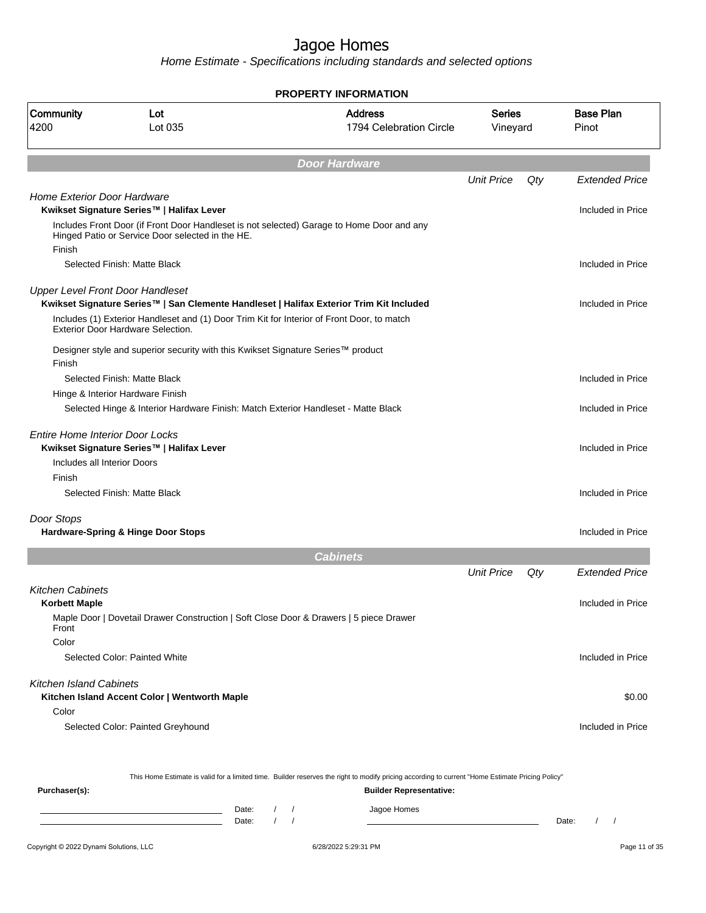|                                                                | <b>PROPERTY INFORMATION</b>                                                                                                                      |                                                    |                                           |                           |     |                                 |  |  |
|----------------------------------------------------------------|--------------------------------------------------------------------------------------------------------------------------------------------------|----------------------------------------------------|-------------------------------------------|---------------------------|-----|---------------------------------|--|--|
| Community<br>4200                                              | Lot<br>Lot 035                                                                                                                                   |                                                    | <b>Address</b><br>1794 Celebration Circle | <b>Series</b><br>Vineyard |     | <b>Base Plan</b><br>Pinot       |  |  |
|                                                                |                                                                                                                                                  |                                                    | <b>Door Hardware</b>                      |                           |     |                                 |  |  |
|                                                                |                                                                                                                                                  |                                                    |                                           | <b>Unit Price</b>         | Qty | <b>Extended Price</b>           |  |  |
| <b>Home Exterior Door Hardware</b>                             | Kwikset Signature Series™   Halifax Lever                                                                                                        |                                                    |                                           |                           |     | Included in Price               |  |  |
| Finish                                                         | Includes Front Door (if Front Door Handleset is not selected) Garage to Home Door and any<br>Hinged Patio or Service Door selected in the HE.    |                                                    |                                           |                           |     |                                 |  |  |
|                                                                | Selected Finish: Matte Black                                                                                                                     |                                                    |                                           |                           |     | Included in Price               |  |  |
|                                                                | <b>Upper Level Front Door Handleset</b><br>Kwikset Signature Series™   San Clemente Handleset   Halifax Exterior Trim Kit Included               |                                                    |                                           |                           |     | Included in Price               |  |  |
|                                                                | Includes (1) Exterior Handleset and (1) Door Trim Kit for Interior of Front Door, to match<br><b>Exterior Door Hardware Selection.</b>           |                                                    |                                           |                           |     |                                 |  |  |
| Finish                                                         | Designer style and superior security with this Kwikset Signature Series™ product                                                                 |                                                    |                                           |                           |     |                                 |  |  |
|                                                                | Selected Finish: Matte Black<br>Hinge & Interior Hardware Finish                                                                                 |                                                    |                                           |                           |     | Included in Price               |  |  |
|                                                                | Selected Hinge & Interior Hardware Finish: Match Exterior Handleset - Matte Black                                                                |                                                    |                                           |                           |     | Included in Price               |  |  |
| Entire Home Interior Door Locks<br>Includes all Interior Doors | Kwikset Signature Series™   Halifax Lever                                                                                                        |                                                    |                                           |                           |     | Included in Price               |  |  |
| Finish                                                         | Selected Finish: Matte Black                                                                                                                     |                                                    |                                           |                           |     | Included in Price               |  |  |
| Door Stops                                                     | Hardware-Spring & Hinge Door Stops                                                                                                               |                                                    |                                           |                           |     | Included in Price               |  |  |
|                                                                |                                                                                                                                                  |                                                    | <b>Cabinets</b>                           |                           |     |                                 |  |  |
|                                                                |                                                                                                                                                  |                                                    |                                           | <b>Unit Price</b>         | Qty | <b>Extended Price</b>           |  |  |
| <b>Kitchen Cabinets</b><br>Korbett Maple                       |                                                                                                                                                  |                                                    |                                           |                           |     | Included in Price               |  |  |
| Front                                                          | Maple Door   Dovetail Drawer Construction   Soft Close Door & Drawers   5 piece Drawer                                                           |                                                    |                                           |                           |     |                                 |  |  |
| Color                                                          | Selected Color: Painted White                                                                                                                    |                                                    |                                           |                           |     | Included in Price               |  |  |
| <b>Kitchen Island Cabinets</b>                                 | Kitchen Island Accent Color   Wentworth Maple                                                                                                    |                                                    |                                           |                           |     | \$0.00                          |  |  |
| Color                                                          | Selected Color: Painted Greyhound                                                                                                                |                                                    |                                           |                           |     | Included in Price               |  |  |
|                                                                | This Home Estimate is valid for a limited time. Builder reserves the right to modify pricing according to current "Home Estimate Pricing Policy" |                                                    |                                           |                           |     |                                 |  |  |
| Purchaser(s):                                                  |                                                                                                                                                  |                                                    | <b>Builder Representative:</b>            |                           |     |                                 |  |  |
|                                                                | Date:<br>Date:                                                                                                                                   | $\sqrt{2}$<br>$\sqrt{ }$<br>$\sqrt{ }$<br>$\prime$ | Jagoe Homes                               |                           |     | Date:<br>$\prime$<br>$\sqrt{2}$ |  |  |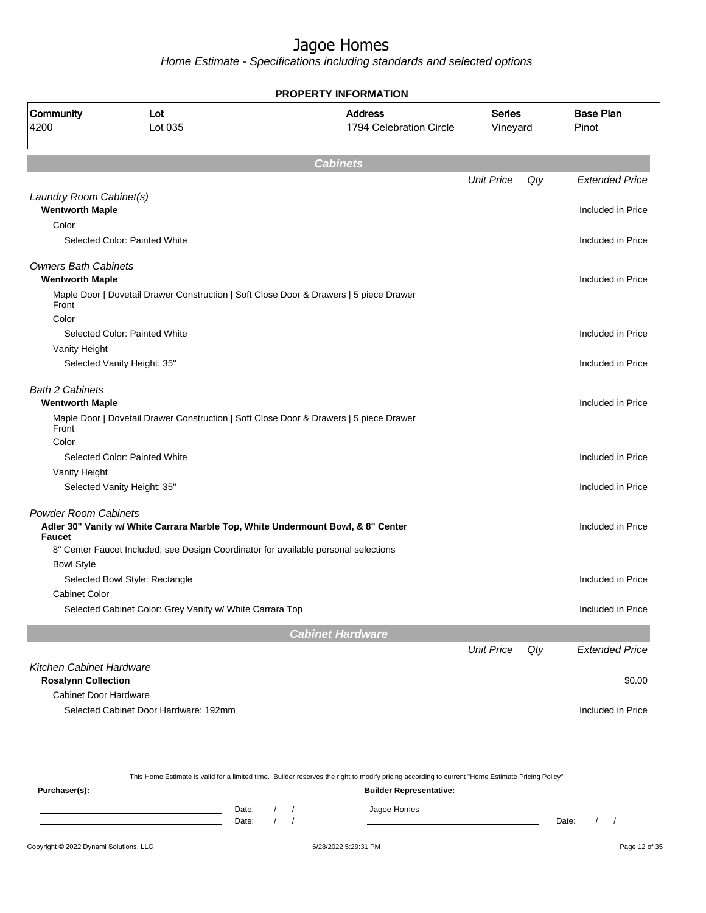| <b>Address</b><br><b>Base Plan</b><br><b>Series</b><br>Lot<br>Lot 035<br>1794 Celebration Circle<br>Vineyard<br>Pinot<br><b>Cabinets</b><br><b>Unit Price</b><br>Qty<br><b>Extended Price</b><br>Laundry Room Cabinet(s)<br><b>Wentworth Maple</b><br>Included in Price<br>Color<br>Selected Color: Painted White<br>Included in Price<br><b>Owners Bath Cabinets</b><br><b>Wentworth Maple</b><br>Included in Price<br>Maple Door   Dovetail Drawer Construction   Soft Close Door & Drawers   5 piece Drawer<br>Front<br>Color<br>Selected Color: Painted White<br>Included in Price<br>Vanity Height<br>Included in Price<br>Selected Vanity Height: 35"<br><b>Bath 2 Cabinets</b><br><b>Wentworth Maple</b><br>Included in Price<br>Maple Door   Dovetail Drawer Construction   Soft Close Door & Drawers   5 piece Drawer<br>Front<br>Color<br>Selected Color: Painted White<br>Included in Price<br>Vanity Height<br>Included in Price<br>Selected Vanity Height: 35"<br><b>Powder Room Cabinets</b><br>Adler 30" Vanity w/ White Carrara Marble Top, White Undermount Bowl, & 8" Center<br>Included in Price<br><b>Faucet</b><br>8" Center Faucet Included; see Design Coordinator for available personal selections<br><b>Bowl Style</b><br>Selected Bowl Style: Rectangle<br>Included in Price<br><b>Cabinet Color</b><br>Selected Cabinet Color: Grey Vanity w/ White Carrara Top<br>Included in Price<br><b>Cabinet Hardware</b><br><b>Unit Price</b><br>Qty<br><b>Extended Price</b><br><b>Kitchen Cabinet Hardware</b><br><b>Rosalynn Collection</b><br>\$0.00<br><b>Cabinet Door Hardware</b><br>Selected Cabinet Door Hardware: 192mm<br>Included in Price |                          | PROPERTY INFORMATION |  |  |
|---------------------------------------------------------------------------------------------------------------------------------------------------------------------------------------------------------------------------------------------------------------------------------------------------------------------------------------------------------------------------------------------------------------------------------------------------------------------------------------------------------------------------------------------------------------------------------------------------------------------------------------------------------------------------------------------------------------------------------------------------------------------------------------------------------------------------------------------------------------------------------------------------------------------------------------------------------------------------------------------------------------------------------------------------------------------------------------------------------------------------------------------------------------------------------------------------------------------------------------------------------------------------------------------------------------------------------------------------------------------------------------------------------------------------------------------------------------------------------------------------------------------------------------------------------------------------------------------------------------------------------------------------------------------------|--------------------------|----------------------|--|--|
|                                                                                                                                                                                                                                                                                                                                                                                                                                                                                                                                                                                                                                                                                                                                                                                                                                                                                                                                                                                                                                                                                                                                                                                                                                                                                                                                                                                                                                                                                                                                                                                                                                                                           | <b>Community</b><br>4200 |                      |  |  |
|                                                                                                                                                                                                                                                                                                                                                                                                                                                                                                                                                                                                                                                                                                                                                                                                                                                                                                                                                                                                                                                                                                                                                                                                                                                                                                                                                                                                                                                                                                                                                                                                                                                                           |                          |                      |  |  |
|                                                                                                                                                                                                                                                                                                                                                                                                                                                                                                                                                                                                                                                                                                                                                                                                                                                                                                                                                                                                                                                                                                                                                                                                                                                                                                                                                                                                                                                                                                                                                                                                                                                                           |                          |                      |  |  |
|                                                                                                                                                                                                                                                                                                                                                                                                                                                                                                                                                                                                                                                                                                                                                                                                                                                                                                                                                                                                                                                                                                                                                                                                                                                                                                                                                                                                                                                                                                                                                                                                                                                                           |                          |                      |  |  |
|                                                                                                                                                                                                                                                                                                                                                                                                                                                                                                                                                                                                                                                                                                                                                                                                                                                                                                                                                                                                                                                                                                                                                                                                                                                                                                                                                                                                                                                                                                                                                                                                                                                                           |                          |                      |  |  |
|                                                                                                                                                                                                                                                                                                                                                                                                                                                                                                                                                                                                                                                                                                                                                                                                                                                                                                                                                                                                                                                                                                                                                                                                                                                                                                                                                                                                                                                                                                                                                                                                                                                                           |                          |                      |  |  |
|                                                                                                                                                                                                                                                                                                                                                                                                                                                                                                                                                                                                                                                                                                                                                                                                                                                                                                                                                                                                                                                                                                                                                                                                                                                                                                                                                                                                                                                                                                                                                                                                                                                                           |                          |                      |  |  |
|                                                                                                                                                                                                                                                                                                                                                                                                                                                                                                                                                                                                                                                                                                                                                                                                                                                                                                                                                                                                                                                                                                                                                                                                                                                                                                                                                                                                                                                                                                                                                                                                                                                                           |                          |                      |  |  |
|                                                                                                                                                                                                                                                                                                                                                                                                                                                                                                                                                                                                                                                                                                                                                                                                                                                                                                                                                                                                                                                                                                                                                                                                                                                                                                                                                                                                                                                                                                                                                                                                                                                                           |                          |                      |  |  |
|                                                                                                                                                                                                                                                                                                                                                                                                                                                                                                                                                                                                                                                                                                                                                                                                                                                                                                                                                                                                                                                                                                                                                                                                                                                                                                                                                                                                                                                                                                                                                                                                                                                                           |                          |                      |  |  |
|                                                                                                                                                                                                                                                                                                                                                                                                                                                                                                                                                                                                                                                                                                                                                                                                                                                                                                                                                                                                                                                                                                                                                                                                                                                                                                                                                                                                                                                                                                                                                                                                                                                                           |                          |                      |  |  |
|                                                                                                                                                                                                                                                                                                                                                                                                                                                                                                                                                                                                                                                                                                                                                                                                                                                                                                                                                                                                                                                                                                                                                                                                                                                                                                                                                                                                                                                                                                                                                                                                                                                                           |                          |                      |  |  |
|                                                                                                                                                                                                                                                                                                                                                                                                                                                                                                                                                                                                                                                                                                                                                                                                                                                                                                                                                                                                                                                                                                                                                                                                                                                                                                                                                                                                                                                                                                                                                                                                                                                                           |                          |                      |  |  |
|                                                                                                                                                                                                                                                                                                                                                                                                                                                                                                                                                                                                                                                                                                                                                                                                                                                                                                                                                                                                                                                                                                                                                                                                                                                                                                                                                                                                                                                                                                                                                                                                                                                                           |                          |                      |  |  |
|                                                                                                                                                                                                                                                                                                                                                                                                                                                                                                                                                                                                                                                                                                                                                                                                                                                                                                                                                                                                                                                                                                                                                                                                                                                                                                                                                                                                                                                                                                                                                                                                                                                                           |                          |                      |  |  |
|                                                                                                                                                                                                                                                                                                                                                                                                                                                                                                                                                                                                                                                                                                                                                                                                                                                                                                                                                                                                                                                                                                                                                                                                                                                                                                                                                                                                                                                                                                                                                                                                                                                                           |                          |                      |  |  |
|                                                                                                                                                                                                                                                                                                                                                                                                                                                                                                                                                                                                                                                                                                                                                                                                                                                                                                                                                                                                                                                                                                                                                                                                                                                                                                                                                                                                                                                                                                                                                                                                                                                                           |                          |                      |  |  |
|                                                                                                                                                                                                                                                                                                                                                                                                                                                                                                                                                                                                                                                                                                                                                                                                                                                                                                                                                                                                                                                                                                                                                                                                                                                                                                                                                                                                                                                                                                                                                                                                                                                                           |                          |                      |  |  |
|                                                                                                                                                                                                                                                                                                                                                                                                                                                                                                                                                                                                                                                                                                                                                                                                                                                                                                                                                                                                                                                                                                                                                                                                                                                                                                                                                                                                                                                                                                                                                                                                                                                                           |                          |                      |  |  |
|                                                                                                                                                                                                                                                                                                                                                                                                                                                                                                                                                                                                                                                                                                                                                                                                                                                                                                                                                                                                                                                                                                                                                                                                                                                                                                                                                                                                                                                                                                                                                                                                                                                                           |                          |                      |  |  |
|                                                                                                                                                                                                                                                                                                                                                                                                                                                                                                                                                                                                                                                                                                                                                                                                                                                                                                                                                                                                                                                                                                                                                                                                                                                                                                                                                                                                                                                                                                                                                                                                                                                                           |                          |                      |  |  |
|                                                                                                                                                                                                                                                                                                                                                                                                                                                                                                                                                                                                                                                                                                                                                                                                                                                                                                                                                                                                                                                                                                                                                                                                                                                                                                                                                                                                                                                                                                                                                                                                                                                                           |                          |                      |  |  |
|                                                                                                                                                                                                                                                                                                                                                                                                                                                                                                                                                                                                                                                                                                                                                                                                                                                                                                                                                                                                                                                                                                                                                                                                                                                                                                                                                                                                                                                                                                                                                                                                                                                                           |                          |                      |  |  |
|                                                                                                                                                                                                                                                                                                                                                                                                                                                                                                                                                                                                                                                                                                                                                                                                                                                                                                                                                                                                                                                                                                                                                                                                                                                                                                                                                                                                                                                                                                                                                                                                                                                                           |                          |                      |  |  |
|                                                                                                                                                                                                                                                                                                                                                                                                                                                                                                                                                                                                                                                                                                                                                                                                                                                                                                                                                                                                                                                                                                                                                                                                                                                                                                                                                                                                                                                                                                                                                                                                                                                                           |                          |                      |  |  |
|                                                                                                                                                                                                                                                                                                                                                                                                                                                                                                                                                                                                                                                                                                                                                                                                                                                                                                                                                                                                                                                                                                                                                                                                                                                                                                                                                                                                                                                                                                                                                                                                                                                                           |                          |                      |  |  |
|                                                                                                                                                                                                                                                                                                                                                                                                                                                                                                                                                                                                                                                                                                                                                                                                                                                                                                                                                                                                                                                                                                                                                                                                                                                                                                                                                                                                                                                                                                                                                                                                                                                                           |                          |                      |  |  |
|                                                                                                                                                                                                                                                                                                                                                                                                                                                                                                                                                                                                                                                                                                                                                                                                                                                                                                                                                                                                                                                                                                                                                                                                                                                                                                                                                                                                                                                                                                                                                                                                                                                                           |                          |                      |  |  |
|                                                                                                                                                                                                                                                                                                                                                                                                                                                                                                                                                                                                                                                                                                                                                                                                                                                                                                                                                                                                                                                                                                                                                                                                                                                                                                                                                                                                                                                                                                                                                                                                                                                                           |                          |                      |  |  |
|                                                                                                                                                                                                                                                                                                                                                                                                                                                                                                                                                                                                                                                                                                                                                                                                                                                                                                                                                                                                                                                                                                                                                                                                                                                                                                                                                                                                                                                                                                                                                                                                                                                                           |                          |                      |  |  |
|                                                                                                                                                                                                                                                                                                                                                                                                                                                                                                                                                                                                                                                                                                                                                                                                                                                                                                                                                                                                                                                                                                                                                                                                                                                                                                                                                                                                                                                                                                                                                                                                                                                                           |                          |                      |  |  |
|                                                                                                                                                                                                                                                                                                                                                                                                                                                                                                                                                                                                                                                                                                                                                                                                                                                                                                                                                                                                                                                                                                                                                                                                                                                                                                                                                                                                                                                                                                                                                                                                                                                                           |                          |                      |  |  |
|                                                                                                                                                                                                                                                                                                                                                                                                                                                                                                                                                                                                                                                                                                                                                                                                                                                                                                                                                                                                                                                                                                                                                                                                                                                                                                                                                                                                                                                                                                                                                                                                                                                                           |                          |                      |  |  |
|                                                                                                                                                                                                                                                                                                                                                                                                                                                                                                                                                                                                                                                                                                                                                                                                                                                                                                                                                                                                                                                                                                                                                                                                                                                                                                                                                                                                                                                                                                                                                                                                                                                                           |                          |                      |  |  |

| This Home Estimate is valid for a limited time. Builder reserves the right to modify pricing according to current "Home Estimate Pricing Policy" |       |  |  |                                |       |  |  |
|--------------------------------------------------------------------------------------------------------------------------------------------------|-------|--|--|--------------------------------|-------|--|--|
| Purchaser(s):                                                                                                                                    |       |  |  | <b>Builder Representative:</b> |       |  |  |
|                                                                                                                                                  | Date: |  |  | Jagoe Homes                    |       |  |  |
|                                                                                                                                                  | Date: |  |  |                                | Date: |  |  |
|                                                                                                                                                  |       |  |  |                                |       |  |  |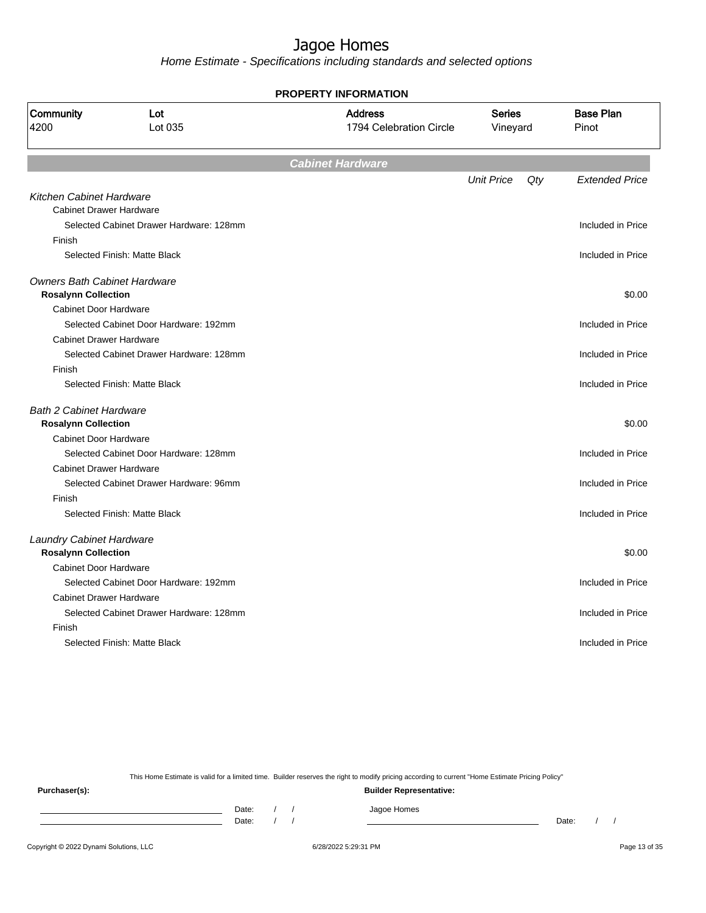Home Estimate - Specifications including standards and selected options

**PROPERTY INFORMATION**

| Community<br>4200                   | Lot<br>Lot 035                          | <b>Address</b><br>1794 Celebration Circle | <b>Series</b><br>Vineyard |     | <b>Base Plan</b><br>Pinot |
|-------------------------------------|-----------------------------------------|-------------------------------------------|---------------------------|-----|---------------------------|
|                                     |                                         | <b>Cabinet Hardware</b>                   |                           |     |                           |
|                                     |                                         |                                           | <b>Unit Price</b>         | Qty | <b>Extended Price</b>     |
| Kitchen Cabinet Hardware            |                                         |                                           |                           |     |                           |
| <b>Cabinet Drawer Hardware</b>      |                                         |                                           |                           |     |                           |
|                                     | Selected Cabinet Drawer Hardware: 128mm |                                           |                           |     | Included in Price         |
| Finish                              |                                         |                                           |                           |     |                           |
|                                     | Selected Finish: Matte Black            |                                           |                           |     | Included in Price         |
| <b>Owners Bath Cabinet Hardware</b> |                                         |                                           |                           |     |                           |
| <b>Rosalynn Collection</b>          |                                         |                                           |                           |     | \$0.00                    |
| Cabinet Door Hardware               |                                         |                                           |                           |     |                           |
|                                     | Selected Cabinet Door Hardware: 192mm   |                                           |                           |     | Included in Price         |
| <b>Cabinet Drawer Hardware</b>      |                                         |                                           |                           |     |                           |
|                                     | Selected Cabinet Drawer Hardware: 128mm |                                           |                           |     | Included in Price         |
| Finish                              |                                         |                                           |                           |     |                           |
|                                     | Selected Finish: Matte Black            |                                           |                           |     | Included in Price         |
| <b>Bath 2 Cabinet Hardware</b>      |                                         |                                           |                           |     |                           |
| <b>Rosalynn Collection</b>          |                                         |                                           |                           |     | \$0.00                    |
| <b>Cabinet Door Hardware</b>        |                                         |                                           |                           |     |                           |
|                                     | Selected Cabinet Door Hardware: 128mm   |                                           |                           |     | Included in Price         |
| <b>Cabinet Drawer Hardware</b>      |                                         |                                           |                           |     |                           |
|                                     | Selected Cabinet Drawer Hardware: 96mm  |                                           |                           |     | Included in Price         |
| Finish                              |                                         |                                           |                           |     |                           |
|                                     | Selected Finish: Matte Black            |                                           |                           |     | Included in Price         |
| <b>Laundry Cabinet Hardware</b>     |                                         |                                           |                           |     |                           |
| <b>Rosalynn Collection</b>          |                                         |                                           |                           |     | \$0.00                    |
| <b>Cabinet Door Hardware</b>        |                                         |                                           |                           |     |                           |
|                                     | Selected Cabinet Door Hardware: 192mm   |                                           |                           |     | Included in Price         |
| <b>Cabinet Drawer Hardware</b>      |                                         |                                           |                           |     |                           |
|                                     | Selected Cabinet Drawer Hardware: 128mm |                                           |                           |     | Included in Price         |
| Finish                              |                                         |                                           |                           |     |                           |
|                                     | Selected Finish: Matte Black            |                                           |                           |     | Included in Price         |
|                                     |                                         |                                           |                           |     |                           |

This Home Estimate is valid for a limited time. Builder reserves the right to modify pricing according to current "Home Estimate Pricing Policy"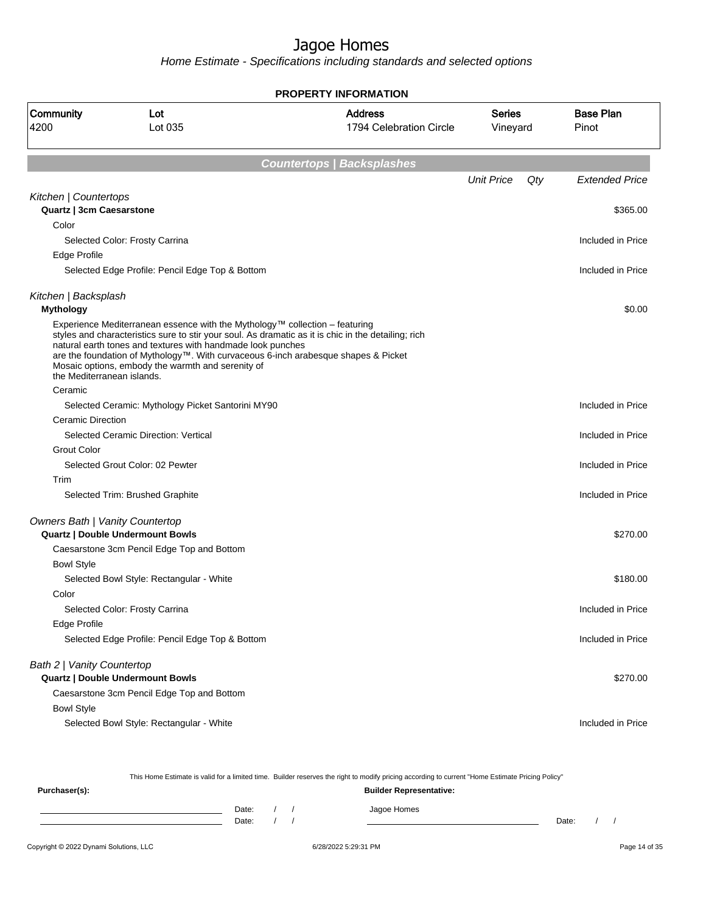Home Estimate - Specifications including standards and selected options

**PROPERTY INFORMATION**

| Community<br>4200                        | Lot<br>Lot 035                                                                                                                                                                                  | <b>Address</b><br>1794 Celebration Circle                                                                                                                                                 | <b>Series</b><br>Vineyard |     | Pinot                 |  | <b>Base Plan</b> |
|------------------------------------------|-------------------------------------------------------------------------------------------------------------------------------------------------------------------------------------------------|-------------------------------------------------------------------------------------------------------------------------------------------------------------------------------------------|---------------------------|-----|-----------------------|--|------------------|
|                                          |                                                                                                                                                                                                 | <b>Countertops / Backsplashes</b>                                                                                                                                                         |                           |     |                       |  |                  |
|                                          |                                                                                                                                                                                                 |                                                                                                                                                                                           | <b>Unit Price</b>         | Qty | <b>Extended Price</b> |  |                  |
| Kitchen   Countertops                    |                                                                                                                                                                                                 |                                                                                                                                                                                           |                           |     |                       |  |                  |
| Quartz   3cm Caesarstone                 |                                                                                                                                                                                                 |                                                                                                                                                                                           |                           |     | \$365.00              |  |                  |
| Color                                    |                                                                                                                                                                                                 |                                                                                                                                                                                           |                           |     |                       |  |                  |
|                                          | Selected Color: Frosty Carrina                                                                                                                                                                  |                                                                                                                                                                                           |                           |     | Included in Price     |  |                  |
| <b>Edge Profile</b>                      |                                                                                                                                                                                                 |                                                                                                                                                                                           |                           |     |                       |  |                  |
|                                          | Selected Edge Profile: Pencil Edge Top & Bottom                                                                                                                                                 |                                                                                                                                                                                           |                           |     | Included in Price     |  |                  |
| Kitchen   Backsplash<br><b>Mythology</b> |                                                                                                                                                                                                 |                                                                                                                                                                                           |                           |     | \$0.00                |  |                  |
| the Mediterranean islands.               | Experience Mediterranean essence with the Mythology™ collection - featuring<br>natural earth tones and textures with handmade look punches<br>Mosaic options, embody the warmth and serenity of | styles and characteristics sure to stir your soul. As dramatic as it is chic in the detailing; rich<br>are the foundation of Mythology™. With curvaceous 6-inch arabesque shapes & Picket |                           |     |                       |  |                  |
| Ceramic                                  |                                                                                                                                                                                                 |                                                                                                                                                                                           |                           |     |                       |  |                  |
|                                          | Selected Ceramic: Mythology Picket Santorini MY90                                                                                                                                               |                                                                                                                                                                                           |                           |     | Included in Price     |  |                  |
| <b>Ceramic Direction</b>                 |                                                                                                                                                                                                 |                                                                                                                                                                                           |                           |     |                       |  |                  |
|                                          | Selected Ceramic Direction: Vertical                                                                                                                                                            |                                                                                                                                                                                           |                           |     | Included in Price     |  |                  |
| <b>Grout Color</b>                       |                                                                                                                                                                                                 |                                                                                                                                                                                           |                           |     |                       |  |                  |
|                                          | Selected Grout Color: 02 Pewter                                                                                                                                                                 |                                                                                                                                                                                           |                           |     | Included in Price     |  |                  |
| Trim                                     |                                                                                                                                                                                                 |                                                                                                                                                                                           |                           |     |                       |  |                  |
|                                          | Selected Trim: Brushed Graphite                                                                                                                                                                 |                                                                                                                                                                                           |                           |     | Included in Price     |  |                  |
| <b>Owners Bath   Vanity Countertop</b>   |                                                                                                                                                                                                 |                                                                                                                                                                                           |                           |     |                       |  |                  |
|                                          | <b>Quartz   Double Undermount Bowls</b>                                                                                                                                                         |                                                                                                                                                                                           |                           |     | \$270.00              |  |                  |
|                                          | Caesarstone 3cm Pencil Edge Top and Bottom                                                                                                                                                      |                                                                                                                                                                                           |                           |     |                       |  |                  |
| <b>Bowl Style</b>                        |                                                                                                                                                                                                 |                                                                                                                                                                                           |                           |     |                       |  |                  |
|                                          | Selected Bowl Style: Rectangular - White                                                                                                                                                        |                                                                                                                                                                                           |                           |     | \$180.00              |  |                  |
| Color                                    |                                                                                                                                                                                                 |                                                                                                                                                                                           |                           |     |                       |  |                  |
|                                          | Selected Color: Frosty Carrina                                                                                                                                                                  |                                                                                                                                                                                           |                           |     | Included in Price     |  |                  |
| Edge Profile                             |                                                                                                                                                                                                 |                                                                                                                                                                                           |                           |     |                       |  |                  |
|                                          | Selected Edge Profile: Pencil Edge Top & Bottom                                                                                                                                                 |                                                                                                                                                                                           |                           |     | Included in Price     |  |                  |
| Bath 2   Vanity Countertop               |                                                                                                                                                                                                 |                                                                                                                                                                                           |                           |     |                       |  |                  |
|                                          | <b>Quartz   Double Undermount Bowls</b>                                                                                                                                                         |                                                                                                                                                                                           |                           |     | \$270.00              |  |                  |
|                                          | Caesarstone 3cm Pencil Edge Top and Bottom                                                                                                                                                      |                                                                                                                                                                                           |                           |     |                       |  |                  |
| <b>Bowl Style</b>                        |                                                                                                                                                                                                 |                                                                                                                                                                                           |                           |     |                       |  |                  |
|                                          | Selected Bowl Style: Rectangular - White                                                                                                                                                        |                                                                                                                                                                                           |                           |     | Included in Price     |  |                  |

This Home Estimate is valid for a limited time. Builder reserves the right to modify pricing according to current "Home Estimate Pricing Policy" **Purchaser(s): Builder Representative:**

| Date: |  | Jagoe Homes |       |  |
|-------|--|-------------|-------|--|
| Date: |  |             | Date: |  |
|       |  |             |       |  |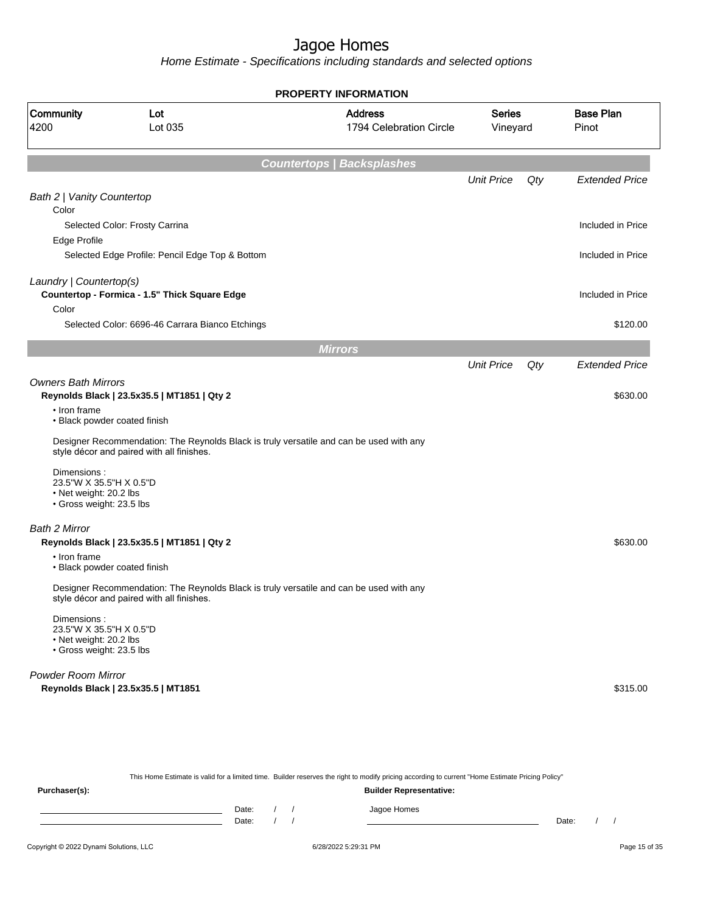Home Estimate - Specifications including standards and selected options

|                                                                                              |                                                                                                                                      | <b>PROPERTY INFORMATION</b>               |                           |     |                           |
|----------------------------------------------------------------------------------------------|--------------------------------------------------------------------------------------------------------------------------------------|-------------------------------------------|---------------------------|-----|---------------------------|
| Community<br>4200                                                                            | Lot<br>Lot 035                                                                                                                       | <b>Address</b><br>1794 Celebration Circle | <b>Series</b><br>Vineyard |     | <b>Base Plan</b><br>Pinot |
|                                                                                              |                                                                                                                                      | <b>Countertops   Backsplashes</b>         |                           |     |                           |
|                                                                                              |                                                                                                                                      |                                           | <b>Unit Price</b>         | Qty | <b>Extended Price</b>     |
| Bath 2   Vanity Countertop<br>Color                                                          |                                                                                                                                      |                                           |                           |     |                           |
| Edge Profile                                                                                 | Selected Color: Frosty Carrina                                                                                                       |                                           |                           |     | Included in Price         |
|                                                                                              | Selected Edge Profile: Pencil Edge Top & Bottom                                                                                      |                                           |                           |     | Included in Price         |
| Laundry   Countertop(s)                                                                      | Countertop - Formica - 1.5" Thick Square Edge                                                                                        |                                           |                           |     | Included in Price         |
| Color                                                                                        | Selected Color: 6696-46 Carrara Bianco Etchings                                                                                      |                                           |                           |     | \$120.00                  |
|                                                                                              |                                                                                                                                      | <b>Mirrors</b>                            |                           |     |                           |
|                                                                                              |                                                                                                                                      |                                           | <b>Unit Price</b>         | Qty | <b>Extended Price</b>     |
| <b>Owners Bath Mirrors</b>                                                                   | Reynolds Black   23.5x35.5   MT1851   Qty 2                                                                                          |                                           |                           |     | \$630.00                  |
| • Iron frame<br>• Black powder coated finish                                                 |                                                                                                                                      |                                           |                           |     |                           |
|                                                                                              | Designer Recommendation: The Reynolds Black is truly versatile and can be used with any<br>style décor and paired with all finishes. |                                           |                           |     |                           |
| Dimensions:<br>23.5"W X 35.5"H X 0.5"D<br>• Net weight: 20.2 lbs<br>· Gross weight: 23.5 lbs |                                                                                                                                      |                                           |                           |     |                           |
| Bath 2 Mirror                                                                                |                                                                                                                                      |                                           |                           |     |                           |
|                                                                                              | Reynolds Black   23.5x35.5   MT1851   Qty 2                                                                                          |                                           |                           |     | \$630.00                  |
| • Iron frame<br>· Black powder coated finish                                                 |                                                                                                                                      |                                           |                           |     |                           |
|                                                                                              | Designer Recommendation: The Reynolds Black is truly versatile and can be used with any<br>style décor and paired with all finishes. |                                           |                           |     |                           |
| Dimensions:<br>23.5"W X 35.5"H X 0.5"D<br>• Net weight: 20.2 lbs<br>• Gross weight: 23.5 lbs |                                                                                                                                      |                                           |                           |     |                           |
| <b>Powder Room Mirror</b>                                                                    |                                                                                                                                      |                                           |                           |     |                           |
|                                                                                              | Reynolds Black   23.5x35.5   MT1851                                                                                                  |                                           |                           |     | \$315.00                  |
|                                                                                              |                                                                                                                                      |                                           |                           |     |                           |
|                                                                                              |                                                                                                                                      |                                           |                           |     |                           |

This Home Estimate is valid for a limited time. Builder reserves the right to modify pricing according to current "Home Estimate Pricing Policy"

| Purchaser(s): |                |  | <b>Builder Representative:</b> |       |  |  |
|---------------|----------------|--|--------------------------------|-------|--|--|
|               | Date:<br>Date: |  | Jagoe Homes                    | Date: |  |  |
|               |                |  |                                |       |  |  |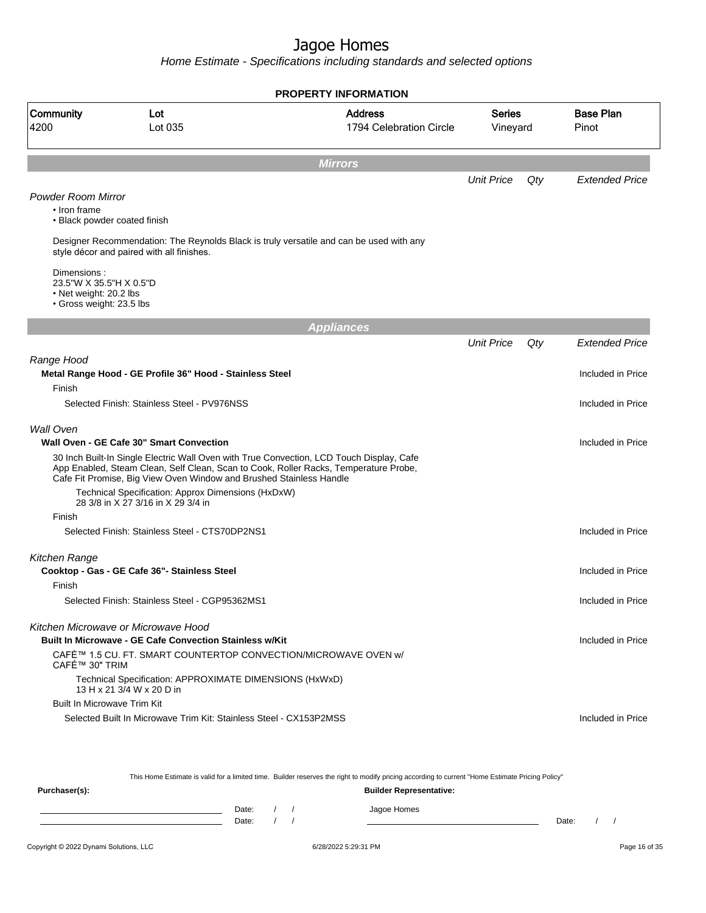Home Estimate - Specifications including standards and selected options

|                                                                                                    |                                                                                                                                                                                                                                                         | <b>PROPERTY INFORMATION</b> |                           |     |                           |  |  |  |  |
|----------------------------------------------------------------------------------------------------|---------------------------------------------------------------------------------------------------------------------------------------------------------------------------------------------------------------------------------------------------------|-----------------------------|---------------------------|-----|---------------------------|--|--|--|--|
| Community<br>4200                                                                                  | <b>Address</b><br>Lot<br>Lot 035<br>1794 Celebration Circle                                                                                                                                                                                             |                             | <b>Series</b><br>Vineyard |     | <b>Base Plan</b><br>Pinot |  |  |  |  |
| <b>Mirrors</b>                                                                                     |                                                                                                                                                                                                                                                         |                             |                           |     |                           |  |  |  |  |
|                                                                                                    |                                                                                                                                                                                                                                                         |                             | <b>Unit Price</b>         | Qty | <b>Extended Price</b>     |  |  |  |  |
| <b>Powder Room Mirror</b><br>• Iron frame<br>• Black powder coated finish                          |                                                                                                                                                                                                                                                         |                             |                           |     |                           |  |  |  |  |
|                                                                                                    | Designer Recommendation: The Reynolds Black is truly versatile and can be used with any<br>style décor and paired with all finishes.                                                                                                                    |                             |                           |     |                           |  |  |  |  |
| Dimensions:<br>23.5"W X 35.5"H X 0.5"D<br>$\cdot$ Net weight: 20.2 lbs<br>· Gross weight: 23.5 lbs |                                                                                                                                                                                                                                                         |                             |                           |     |                           |  |  |  |  |
|                                                                                                    |                                                                                                                                                                                                                                                         | <b>Appliances</b>           |                           |     |                           |  |  |  |  |
|                                                                                                    |                                                                                                                                                                                                                                                         |                             | <b>Unit Price</b>         | Qty | <b>Extended Price</b>     |  |  |  |  |
| Range Hood                                                                                         | Metal Range Hood - GE Profile 36" Hood - Stainless Steel                                                                                                                                                                                                |                             |                           |     | Included in Price         |  |  |  |  |
| Finish                                                                                             | Selected Finish: Stainless Steel - PV976NSS                                                                                                                                                                                                             |                             |                           |     | Included in Price         |  |  |  |  |
| <b>Wall Oven</b>                                                                                   | Wall Oven - GE Cafe 30" Smart Convection                                                                                                                                                                                                                |                             |                           |     | Included in Price         |  |  |  |  |
|                                                                                                    | 30 Inch Built-In Single Electric Wall Oven with True Convection, LCD Touch Display, Cafe<br>App Enabled, Steam Clean, Self Clean, Scan to Cook, Roller Racks, Temperature Probe,<br>Cafe Fit Promise, Big View Oven Window and Brushed Stainless Handle |                             |                           |     |                           |  |  |  |  |
|                                                                                                    | Technical Specification: Approx Dimensions (HxDxW)<br>28 3/8 in X 27 3/16 in X 29 3/4 in                                                                                                                                                                |                             |                           |     |                           |  |  |  |  |
| Finish                                                                                             |                                                                                                                                                                                                                                                         |                             |                           |     |                           |  |  |  |  |
|                                                                                                    | Selected Finish: Stainless Steel - CTS70DP2NS1                                                                                                                                                                                                          |                             |                           |     | Included in Price         |  |  |  |  |
| Kitchen Range                                                                                      | Cooktop - Gas - GE Cafe 36"- Stainless Steel                                                                                                                                                                                                            |                             |                           |     | Included in Price         |  |  |  |  |
| Finish                                                                                             |                                                                                                                                                                                                                                                         |                             |                           |     |                           |  |  |  |  |
|                                                                                                    | Selected Finish: Stainless Steel - CGP95362MS1                                                                                                                                                                                                          |                             |                           |     | Included in Price         |  |  |  |  |
|                                                                                                    | Kitchen Microwave or Microwave Hood                                                                                                                                                                                                                     |                             |                           |     |                           |  |  |  |  |
|                                                                                                    | <b>Built In Microwave - GE Cafe Convection Stainless w/Kit</b>                                                                                                                                                                                          |                             |                           |     | Included in Price         |  |  |  |  |
| CAFÉ™ 30" TRIM                                                                                     | CAFÉ™ 1.5 CU. FT. SMART COUNTERTOP CONVECTION/MICROWAVE OVEN w/                                                                                                                                                                                         |                             |                           |     |                           |  |  |  |  |
|                                                                                                    | Technical Specification: APPROXIMATE DIMENSIONS (HxWxD)<br>13 H x 21 3/4 W x 20 D in                                                                                                                                                                    |                             |                           |     |                           |  |  |  |  |
| <b>Built In Microwave Trim Kit</b>                                                                 |                                                                                                                                                                                                                                                         |                             |                           |     |                           |  |  |  |  |
|                                                                                                    | Selected Built In Microwave Trim Kit: Stainless Steel - CX153P2MSS                                                                                                                                                                                      |                             |                           |     | Included in Price         |  |  |  |  |
|                                                                                                    |                                                                                                                                                                                                                                                         |                             |                           |     |                           |  |  |  |  |
|                                                                                                    |                                                                                                                                                                                                                                                         |                             |                           |     |                           |  |  |  |  |
|                                                                                                    |                                                                                                                                                                                                                                                         |                             |                           |     |                           |  |  |  |  |

This Home Estimate is valid for a limited time. Builder reserves the right to modify pricing according to current "Home Estimate Pricing Policy"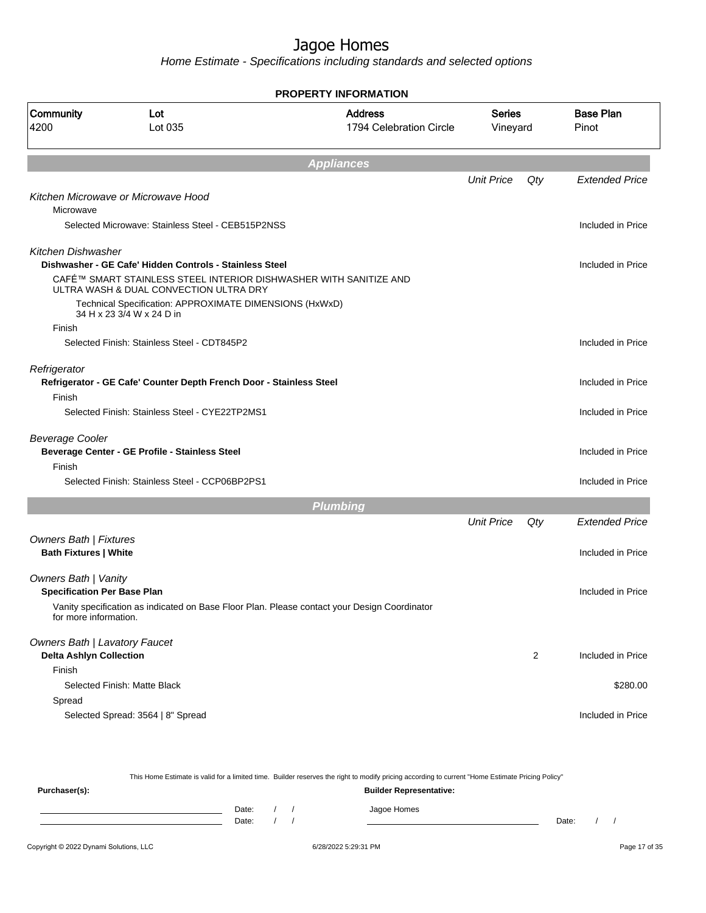|                                      |                                                                                                             | <b>PROPERTY INFORMATION</b>                                                                  |                           |                  |                           |
|--------------------------------------|-------------------------------------------------------------------------------------------------------------|----------------------------------------------------------------------------------------------|---------------------------|------------------|---------------------------|
| Community<br>Lot<br>Lot 035<br>4200  |                                                                                                             | <b>Address</b><br>1794 Celebration Circle                                                    | <b>Series</b><br>Vineyard |                  | <b>Base Plan</b><br>Pinot |
|                                      |                                                                                                             | <b>Appliances</b>                                                                            |                           |                  |                           |
|                                      |                                                                                                             |                                                                                              | <b>Unit Price</b>         | Qty              | <b>Extended Price</b>     |
| Microwave                            | Kitchen Microwave or Microwave Hood                                                                         |                                                                                              |                           |                  |                           |
|                                      | Selected Microwave: Stainless Steel - CEB515P2NSS                                                           |                                                                                              |                           |                  | Included in Price         |
| Kitchen Dishwasher                   |                                                                                                             |                                                                                              |                           |                  |                           |
|                                      | Dishwasher - GE Cafe' Hidden Controls - Stainless Steel                                                     |                                                                                              |                           |                  | Included in Price         |
|                                      | CAFÉ™ SMART STAINLESS STEEL INTERIOR DISHWASHER WITH SANITIZE AND<br>ULTRA WASH & DUAL CONVECTION ULTRA DRY |                                                                                              |                           |                  |                           |
|                                      | Technical Specification: APPROXIMATE DIMENSIONS (HxWxD)<br>34 H x 23 3/4 W x 24 D in                        |                                                                                              |                           |                  |                           |
| Finish                               |                                                                                                             |                                                                                              |                           |                  |                           |
|                                      | Selected Finish: Stainless Steel - CDT845P2                                                                 |                                                                                              |                           |                  | Included in Price         |
| Refrigerator                         |                                                                                                             |                                                                                              |                           |                  |                           |
|                                      | Refrigerator - GE Cafe' Counter Depth French Door - Stainless Steel                                         |                                                                                              |                           |                  | Included in Price         |
| Finish                               | Selected Finish: Stainless Steel - CYE22TP2MS1                                                              |                                                                                              |                           |                  | Included in Price         |
|                                      |                                                                                                             |                                                                                              |                           |                  |                           |
| <b>Beverage Cooler</b>               |                                                                                                             |                                                                                              |                           |                  |                           |
|                                      | Beverage Center - GE Profile - Stainless Steel                                                              |                                                                                              |                           |                  | Included in Price         |
| Finish                               |                                                                                                             |                                                                                              |                           |                  |                           |
|                                      | Selected Finish: Stainless Steel - CCP06BP2PS1                                                              |                                                                                              |                           |                  | Included in Price         |
|                                      |                                                                                                             | <b>Plumbing</b>                                                                              |                           |                  |                           |
|                                      |                                                                                                             |                                                                                              | <b>Unit Price</b>         | Qty              | <b>Extended Price</b>     |
| <b>Owners Bath   Fixtures</b>        |                                                                                                             |                                                                                              |                           |                  |                           |
| <b>Bath Fixtures   White</b>         |                                                                                                             |                                                                                              |                           |                  | Included in Price         |
| Owners Bath   Vanity                 |                                                                                                             |                                                                                              |                           |                  |                           |
| <b>Specification Per Base Plan</b>   |                                                                                                             |                                                                                              |                           |                  | Included in Price         |
| for more information.                |                                                                                                             | Vanity specification as indicated on Base Floor Plan. Please contact your Design Coordinator |                           |                  |                           |
| <b>Owners Bath   Lavatory Faucet</b> |                                                                                                             |                                                                                              |                           |                  |                           |
| <b>Delta Ashlyn Collection</b>       |                                                                                                             |                                                                                              |                           | $\boldsymbol{2}$ | Included in Price         |
| Finish                               |                                                                                                             |                                                                                              |                           |                  |                           |
|                                      | Selected Finish: Matte Black                                                                                |                                                                                              |                           |                  | \$280.00                  |
| Spread                               |                                                                                                             |                                                                                              |                           |                  |                           |
|                                      | Selected Spread: 3564   8" Spread                                                                           |                                                                                              |                           |                  | Included in Price         |

|               |       |                                |  | This Home Estimate is valid for a limited time. Builder reserves the right to modify pricing according to current "Home Estimate Pricing Policy" |       |  |  |  |
|---------------|-------|--------------------------------|--|--------------------------------------------------------------------------------------------------------------------------------------------------|-------|--|--|--|
| Purchaser(s): |       | <b>Builder Representative:</b> |  |                                                                                                                                                  |       |  |  |  |
|               | Date: |                                |  | Jagoe Homes                                                                                                                                      |       |  |  |  |
|               | Date: |                                |  |                                                                                                                                                  | Date: |  |  |  |
|               |       |                                |  |                                                                                                                                                  |       |  |  |  |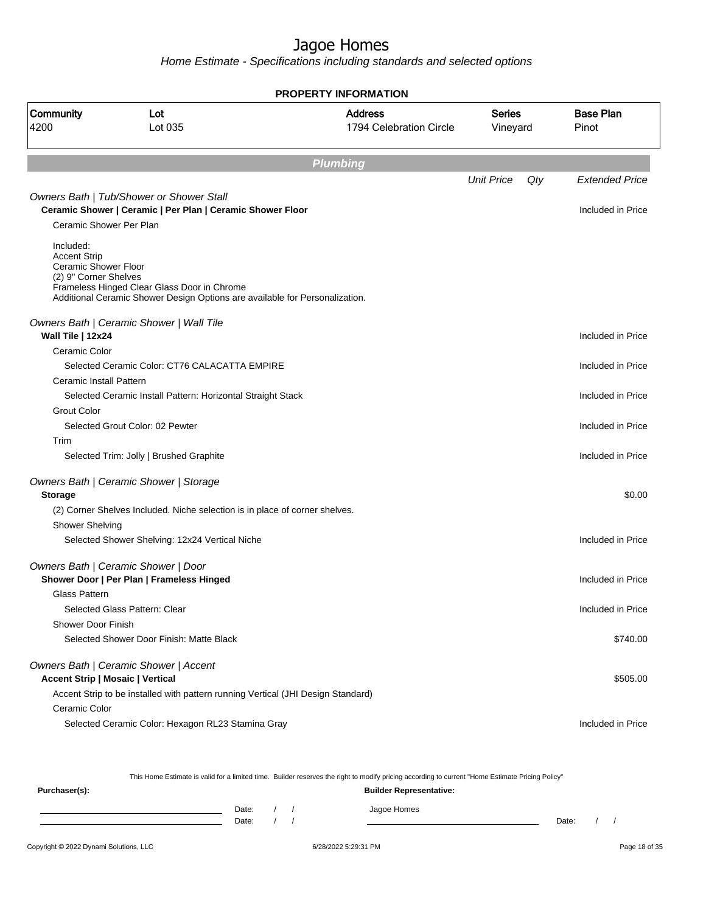Home Estimate - Specifications including standards and selected options

|                                                                                   |                                                                                                                            | <b>PROPERTY INFORMATION</b>               |                           |     |                           |
|-----------------------------------------------------------------------------------|----------------------------------------------------------------------------------------------------------------------------|-------------------------------------------|---------------------------|-----|---------------------------|
| Community<br>4200                                                                 | Lot<br>Lot 035                                                                                                             | <b>Address</b><br>1794 Celebration Circle | <b>Series</b><br>Vineyard |     | <b>Base Plan</b><br>Pinot |
|                                                                                   |                                                                                                                            | <b>Plumbing</b>                           |                           |     |                           |
|                                                                                   |                                                                                                                            |                                           | <b>Unit Price</b>         | Qty | <b>Extended Price</b>     |
|                                                                                   | Owners Bath   Tub/Shower or Shower Stall<br>Ceramic Shower   Ceramic   Per Plan   Ceramic Shower Floor                     |                                           |                           |     | Included in Price         |
| Ceramic Shower Per Plan                                                           |                                                                                                                            |                                           |                           |     |                           |
| Included:<br><b>Accent Strip</b><br>Ceramic Shower Floor<br>(2) 9" Corner Shelves | Frameless Hinged Clear Glass Door in Chrome<br>Additional Ceramic Shower Design Options are available for Personalization. |                                           |                           |     |                           |
| Wall Tile   12x24                                                                 | Owners Bath   Ceramic Shower   Wall Tile                                                                                   |                                           |                           |     | Included in Price         |
| Ceramic Color                                                                     |                                                                                                                            |                                           |                           |     |                           |
| Ceramic Install Pattern                                                           | Selected Ceramic Color: CT76 CALACATTA EMPIRE                                                                              |                                           |                           |     | Included in Price         |
|                                                                                   | Selected Ceramic Install Pattern: Horizontal Straight Stack                                                                |                                           |                           |     | Included in Price         |
| <b>Grout Color</b>                                                                |                                                                                                                            |                                           |                           |     |                           |
|                                                                                   | Selected Grout Color: 02 Pewter                                                                                            |                                           |                           |     | Included in Price         |
| Trim                                                                              |                                                                                                                            |                                           |                           |     |                           |
|                                                                                   | Selected Trim: Jolly   Brushed Graphite                                                                                    |                                           |                           |     | Included in Price         |
| <b>Storage</b>                                                                    | Owners Bath   Ceramic Shower   Storage                                                                                     |                                           |                           |     | \$0.00                    |
|                                                                                   | (2) Corner Shelves Included. Niche selection is in place of corner shelves.                                                |                                           |                           |     |                           |
| Shower Shelving                                                                   |                                                                                                                            |                                           |                           |     |                           |
|                                                                                   | Selected Shower Shelving: 12x24 Vertical Niche                                                                             |                                           |                           |     | Included in Price         |
|                                                                                   | Owners Bath   Ceramic Shower   Door<br>Shower Door   Per Plan   Frameless Hinged                                           |                                           |                           |     | Included in Price         |
| <b>Glass Pattern</b>                                                              |                                                                                                                            |                                           |                           |     |                           |
| <b>Shower Door Finish</b>                                                         | Selected Glass Pattern: Clear                                                                                              |                                           |                           |     | Included in Price         |
|                                                                                   | Selected Shower Door Finish: Matte Black                                                                                   |                                           |                           |     | \$740.00                  |
|                                                                                   |                                                                                                                            |                                           |                           |     |                           |
| <b>Accent Strip   Mosaic   Vertical</b>                                           | Owners Bath   Ceramic Shower   Accent<br>Accent Strip to be installed with pattern running Vertical (JHI Design Standard)  |                                           |                           |     | \$505.00                  |
| Ceramic Color                                                                     | Selected Ceramic Color: Hexagon RL23 Stamina Gray                                                                          |                                           |                           |     | Included in Price         |

This Home Estimate is valid for a limited time. Builder reserves the right to modify pricing according to current "Home Estimate Pricing Policy"

**Purchaser(s): Builder Representative:** Date: / / Jagoe Homes<br>Date: / / Jagoe Homes Date: / / **Date: / / 2006** Date: / / / Date: / / /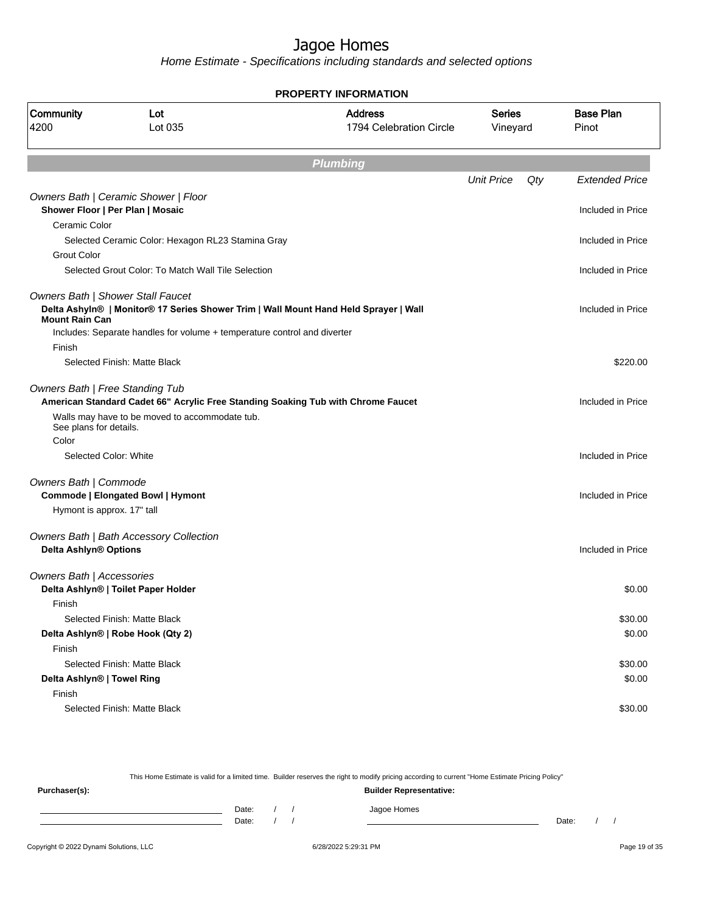Home Estimate - Specifications including standards and selected options

|                            |                                                                                                                     | <b>PROPERTY INFORMATION</b>               |                           |     |                           |
|----------------------------|---------------------------------------------------------------------------------------------------------------------|-------------------------------------------|---------------------------|-----|---------------------------|
| Community<br>4200          | Lot<br>Lot 035                                                                                                      | <b>Address</b><br>1794 Celebration Circle | <b>Series</b><br>Vineyard |     | <b>Base Plan</b><br>Pinot |
|                            |                                                                                                                     | <b>Plumbing</b>                           |                           |     |                           |
|                            |                                                                                                                     |                                           | <b>Unit Price</b>         | Qty | <b>Extended Price</b>     |
|                            | Owners Bath   Ceramic Shower   Floor                                                                                |                                           |                           |     |                           |
|                            | Shower Floor   Per Plan   Mosaic                                                                                    |                                           |                           |     | Included in Price         |
| Ceramic Color              |                                                                                                                     |                                           |                           |     |                           |
|                            | Selected Ceramic Color: Hexagon RL23 Stamina Gray                                                                   |                                           |                           |     | Included in Price         |
| <b>Grout Color</b>         |                                                                                                                     |                                           |                           |     |                           |
|                            | Selected Grout Color: To Match Wall Tile Selection                                                                  |                                           |                           |     | Included in Price         |
|                            | Owners Bath   Shower Stall Faucet                                                                                   |                                           |                           |     |                           |
| <b>Mount Rain Can</b>      | Delta Ashyin®   Monitor® 17 Series Shower Trim   Wall Mount Hand Held Sprayer   Wall                                |                                           |                           |     | Included in Price         |
|                            | Includes: Separate handles for volume + temperature control and diverter                                            |                                           |                           |     |                           |
| Finish                     |                                                                                                                     |                                           |                           |     |                           |
|                            | Selected Finish: Matte Black                                                                                        |                                           |                           |     | \$220.00                  |
|                            | Owners Bath   Free Standing Tub<br>American Standard Cadet 66" Acrylic Free Standing Soaking Tub with Chrome Faucet |                                           |                           |     | Included in Price         |
| See plans for details.     | Walls may have to be moved to accommodate tub.                                                                      |                                           |                           |     |                           |
| Color                      |                                                                                                                     |                                           |                           |     |                           |
|                            | Selected Color: White                                                                                               |                                           |                           |     | Included in Price         |
| Owners Bath   Commode      | <b>Commode   Elongated Bowl   Hymont</b>                                                                            |                                           |                           |     | Included in Price         |
| Hymont is approx. 17" tall |                                                                                                                     |                                           |                           |     |                           |
|                            | Owners Bath   Bath Accessory Collection                                                                             |                                           |                           |     |                           |
| Delta Ashlyn® Options      |                                                                                                                     |                                           |                           |     | Included in Price         |
| Owners Bath   Accessories  |                                                                                                                     |                                           |                           |     |                           |
|                            | Delta Ashlyn®   Toilet Paper Holder                                                                                 |                                           |                           |     | \$0.00                    |
| Finish                     |                                                                                                                     |                                           |                           |     |                           |
|                            | Selected Finish: Matte Black                                                                                        |                                           |                           |     | \$30.00                   |
|                            | Delta Ashlyn®   Robe Hook (Qty 2)                                                                                   |                                           |                           |     | \$0.00                    |
| Finish                     |                                                                                                                     |                                           |                           |     |                           |
|                            | Selected Finish: Matte Black                                                                                        |                                           |                           |     | \$30.00                   |
| Delta Ashlyn®   Towel Ring |                                                                                                                     |                                           |                           |     | \$0.00                    |
| Finish                     |                                                                                                                     |                                           |                           |     |                           |
|                            | Selected Finish: Matte Black                                                                                        |                                           |                           |     | \$30.00                   |

Copyright © 2022 Dynami Solutions, LLC <br>
6/28/2022 5:29:31 PM Page 19 of 35 This Home Estimate is valid for a limited time. Builder reserves the right to modify pricing according to current "Home Estimate Pricing Policy" **Purchaser(s): Builder Representative:** Date: / / Jagoe Homes<br>Date: / / Jagoe Homes Date: / / Date: / /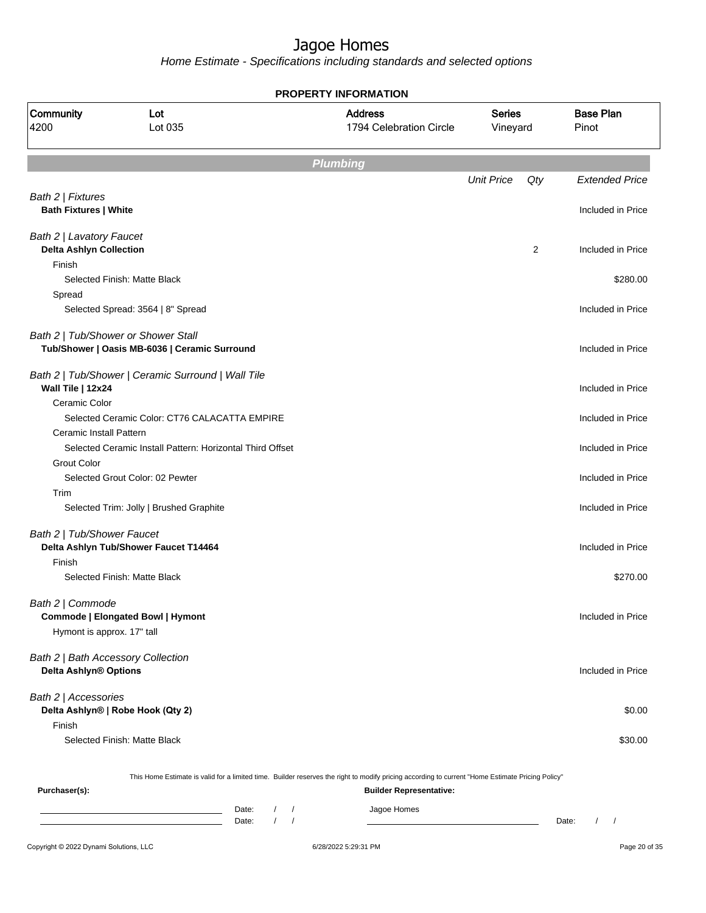Home Estimate - Specifications including standards and selected options

|                                                             |                                                                                                                                                  | <b>PROPERTY INFORMATION</b>               |                           |     |                           |
|-------------------------------------------------------------|--------------------------------------------------------------------------------------------------------------------------------------------------|-------------------------------------------|---------------------------|-----|---------------------------|
| Community<br>4200                                           | Lot<br>Lot 035                                                                                                                                   | <b>Address</b><br>1794 Celebration Circle | <b>Series</b><br>Vineyard |     | <b>Base Plan</b><br>Pinot |
|                                                             |                                                                                                                                                  | <b>Plumbing</b>                           |                           |     |                           |
|                                                             |                                                                                                                                                  |                                           | <b>Unit Price</b>         | Qty | <b>Extended Price</b>     |
| Bath 2   Fixtures<br><b>Bath Fixtures   White</b>           |                                                                                                                                                  |                                           |                           |     | Included in Price         |
|                                                             |                                                                                                                                                  |                                           |                           |     |                           |
| Bath 2   Lavatory Faucet<br><b>Delta Ashlyn Collection</b>  |                                                                                                                                                  |                                           |                           | 2   | Included in Price         |
| Finish                                                      |                                                                                                                                                  |                                           |                           |     |                           |
| Spread                                                      | Selected Finish: Matte Black                                                                                                                     |                                           |                           |     | \$280.00                  |
|                                                             | Selected Spread: 3564   8" Spread                                                                                                                |                                           |                           |     | Included in Price         |
|                                                             | Bath 2   Tub/Shower or Shower Stall                                                                                                              |                                           |                           |     |                           |
|                                                             | Tub/Shower   Oasis MB-6036   Ceramic Surround                                                                                                    |                                           |                           |     | Included in Price         |
| Wall Tile   12x24                                           | Bath 2   Tub/Shower   Ceramic Surround   Wall Tile                                                                                               |                                           |                           |     | Included in Price         |
| Ceramic Color                                               |                                                                                                                                                  |                                           |                           |     |                           |
| <b>Ceramic Install Pattern</b>                              | Selected Ceramic Color: CT76 CALACATTA EMPIRE                                                                                                    |                                           |                           |     | Included in Price         |
|                                                             | Selected Ceramic Install Pattern: Horizontal Third Offset                                                                                        |                                           |                           |     | Included in Price         |
| <b>Grout Color</b>                                          |                                                                                                                                                  |                                           |                           |     |                           |
|                                                             | Selected Grout Color: 02 Pewter                                                                                                                  |                                           |                           |     | Included in Price         |
| Trim                                                        |                                                                                                                                                  |                                           |                           |     |                           |
|                                                             | Selected Trim: Jolly   Brushed Graphite                                                                                                          |                                           |                           |     | Included in Price         |
| Bath 2   Tub/Shower Faucet                                  |                                                                                                                                                  |                                           |                           |     |                           |
|                                                             | Delta Ashlyn Tub/Shower Faucet T14464                                                                                                            |                                           |                           |     | Included in Price         |
| Finish                                                      |                                                                                                                                                  |                                           |                           |     |                           |
|                                                             | Selected Finish: Matte Black                                                                                                                     |                                           |                           |     | \$270.00                  |
| Bath 2   Commode                                            |                                                                                                                                                  |                                           |                           |     |                           |
|                                                             | Commode   Elongated Bowl   Hymont                                                                                                                |                                           |                           |     | Included in Price         |
| Hymont is approx. 17" tall                                  |                                                                                                                                                  |                                           |                           |     |                           |
| Bath 2   Bath Accessory Collection<br>Delta Ashlyn® Options |                                                                                                                                                  |                                           |                           |     | Included in Price         |
| Bath 2   Accessories                                        |                                                                                                                                                  |                                           |                           |     |                           |
| Finish                                                      | Delta Ashlyn®   Robe Hook (Qty 2)                                                                                                                |                                           |                           |     | \$0.00                    |
|                                                             | Selected Finish: Matte Black                                                                                                                     |                                           |                           |     | \$30.00                   |
|                                                             | This Home Estimate is valid for a limited time. Builder reserves the right to modify pricing according to current "Home Estimate Pricing Policy" |                                           |                           |     |                           |
| Purchaser(s):                                               |                                                                                                                                                  | <b>Builder Representative:</b>            |                           |     |                           |
|                                                             |                                                                                                                                                  |                                           |                           |     |                           |

Date: / / Jagoe Homes<br>Date: / / Jagoe Homes Date: / / **Date: / / 2006** Date: / / / Date: / / /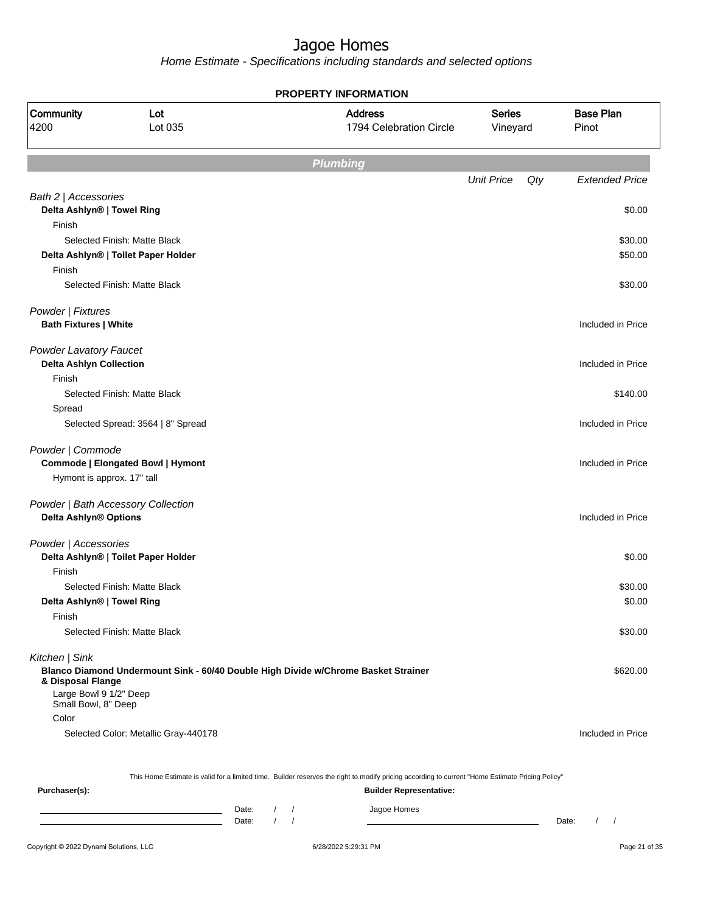Home Estimate - Specifications including standards and selected options

|                                                                 |                                                                                    | <b>PROPERTY INFORMATION</b>                                                                                                                      |                           |     |                           |
|-----------------------------------------------------------------|------------------------------------------------------------------------------------|--------------------------------------------------------------------------------------------------------------------------------------------------|---------------------------|-----|---------------------------|
| Community<br>4200                                               | Lot<br>Lot 035                                                                     | <b>Address</b><br>1794 Celebration Circle                                                                                                        | <b>Series</b><br>Vineyard |     | <b>Base Plan</b><br>Pinot |
|                                                                 |                                                                                    | <b>Plumbing</b>                                                                                                                                  |                           |     |                           |
|                                                                 |                                                                                    |                                                                                                                                                  | <b>Unit Price</b>         | Qty | <b>Extended Price</b>     |
| Bath 2   Accessories                                            |                                                                                    |                                                                                                                                                  |                           |     |                           |
| Delta Ashlyn®   Towel Ring                                      |                                                                                    |                                                                                                                                                  |                           |     | \$0.00                    |
| Finish                                                          |                                                                                    |                                                                                                                                                  |                           |     |                           |
|                                                                 | Selected Finish: Matte Black                                                       |                                                                                                                                                  |                           |     | \$30.00                   |
| Finish                                                          | Delta Ashlyn®   Toilet Paper Holder                                                |                                                                                                                                                  |                           |     | \$50.00                   |
|                                                                 | Selected Finish: Matte Black                                                       |                                                                                                                                                  |                           |     | \$30.00                   |
| Powder   Fixtures<br><b>Bath Fixtures   White</b>               |                                                                                    |                                                                                                                                                  |                           |     | Included in Price         |
|                                                                 |                                                                                    |                                                                                                                                                  |                           |     |                           |
| <b>Powder Lavatory Faucet</b><br><b>Delta Ashlyn Collection</b> |                                                                                    |                                                                                                                                                  |                           |     | Included in Price         |
| Finish                                                          |                                                                                    |                                                                                                                                                  |                           |     |                           |
|                                                                 | Selected Finish: Matte Black                                                       |                                                                                                                                                  |                           |     | \$140.00                  |
| Spread                                                          |                                                                                    |                                                                                                                                                  |                           |     |                           |
|                                                                 | Selected Spread: 3564   8" Spread                                                  |                                                                                                                                                  |                           |     | Included in Price         |
| Powder   Commode<br>Hymont is approx. 17" tall                  | <b>Commode   Elongated Bowl   Hymont</b>                                           |                                                                                                                                                  |                           |     | Included in Price         |
| Powder   Bath Accessory Collection<br>Delta Ashlyn® Options     |                                                                                    |                                                                                                                                                  |                           |     | Included in Price         |
| Powder   Accessories                                            |                                                                                    |                                                                                                                                                  |                           |     |                           |
|                                                                 | Delta Ashlyn®   Toilet Paper Holder                                                |                                                                                                                                                  |                           |     | \$0.00                    |
| Finish                                                          |                                                                                    |                                                                                                                                                  |                           |     |                           |
|                                                                 | Selected Finish: Matte Black                                                       |                                                                                                                                                  |                           |     | \$30.00                   |
| Delta Ashlyn®   Towel Ring                                      |                                                                                    |                                                                                                                                                  |                           |     | \$0.00                    |
| Finish                                                          |                                                                                    |                                                                                                                                                  |                           |     |                           |
|                                                                 | Selected Finish: Matte Black                                                       |                                                                                                                                                  |                           |     | \$30.00                   |
| Kitchen   Sink<br>& Disposal Flange                             | Blanco Diamond Undermount Sink - 60/40 Double High Divide w/Chrome Basket Strainer |                                                                                                                                                  |                           |     | \$620.00                  |
| Large Bowl 9 1/2" Deep<br>Small Bowl, 8" Deep                   |                                                                                    |                                                                                                                                                  |                           |     |                           |
| Color                                                           |                                                                                    |                                                                                                                                                  |                           |     |                           |
|                                                                 | Selected Color: Metallic Gray-440178                                               |                                                                                                                                                  |                           |     | Included in Price         |
|                                                                 |                                                                                    | This Home Estimate is valid for a limited time. Builder reserves the right to modify pricing according to current "Home Estimate Pricing Policy" |                           |     |                           |
| Purchaser(s):                                                   |                                                                                    | <b>Builder Representative:</b>                                                                                                                   |                           |     |                           |

Date: / / Jagoe Homes<br>Date: / / Jagoe Homes Date: / / **Date: / / 2006** Date: / / / Date: / / / Date: / / / 2006 Date: / / / 2006 Date: / / / 2006 Date: / / / 2006 Date: / / / 2007 Date: / / / 2007 Date: / / / 2007 Date: / / / 2007 Date: / / / 2007 Date: / / / 2007 D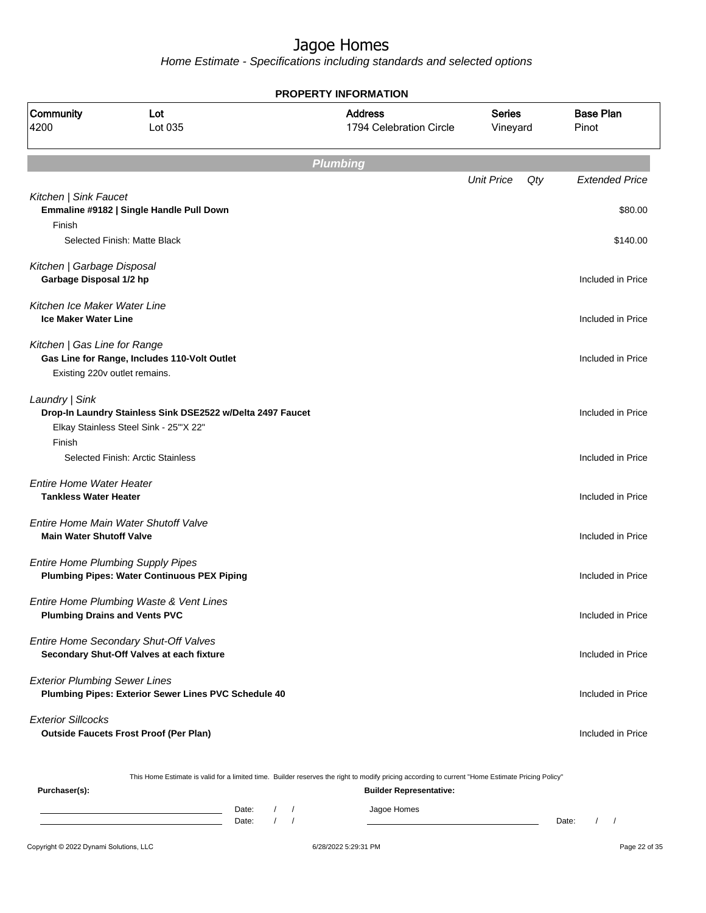Home Estimate - Specifications including standards and selected options

| <b>PROPERTY INFORMATION</b>                                     |                                                                                                     |                                                                                                                                                  |                           |                           |  |  |  |  |
|-----------------------------------------------------------------|-----------------------------------------------------------------------------------------------------|--------------------------------------------------------------------------------------------------------------------------------------------------|---------------------------|---------------------------|--|--|--|--|
| Community<br>4200                                               | Lot<br>Lot 035                                                                                      | <b>Address</b><br>1794 Celebration Circle                                                                                                        | <b>Series</b><br>Vineyard | <b>Base Plan</b><br>Pinot |  |  |  |  |
|                                                                 |                                                                                                     | <b>Plumbing</b>                                                                                                                                  |                           |                           |  |  |  |  |
|                                                                 |                                                                                                     |                                                                                                                                                  | <b>Unit Price</b><br>Qty  | <b>Extended Price</b>     |  |  |  |  |
| Kitchen   Sink Faucet<br>Finish                                 | Emmaline #9182   Single Handle Pull Down<br>Selected Finish: Matte Black                            |                                                                                                                                                  |                           | \$80.00<br>\$140.00       |  |  |  |  |
| Kitchen   Garbage Disposal<br>Garbage Disposal 1/2 hp           |                                                                                                     |                                                                                                                                                  |                           | Included in Price         |  |  |  |  |
| Kitchen Ice Maker Water Line<br><b>Ice Maker Water Line</b>     |                                                                                                     |                                                                                                                                                  |                           | Included in Price         |  |  |  |  |
| Kitchen   Gas Line for Range<br>Existing 220v outlet remains.   | Gas Line for Range, Includes 110-Volt Outlet                                                        |                                                                                                                                                  |                           | Included in Price         |  |  |  |  |
| Laundry   Sink                                                  | Drop-In Laundry Stainless Sink DSE2522 w/Delta 2497 Faucet<br>Elkay Stainless Steel Sink - 25"X 22" |                                                                                                                                                  |                           | Included in Price         |  |  |  |  |
| Finish                                                          | Selected Finish: Arctic Stainless                                                                   |                                                                                                                                                  |                           | Included in Price         |  |  |  |  |
| <b>Entire Home Water Heater</b><br><b>Tankless Water Heater</b> |                                                                                                     |                                                                                                                                                  |                           | Included in Price         |  |  |  |  |
| <b>Main Water Shutoff Valve</b>                                 | Entire Home Main Water Shutoff Valve                                                                |                                                                                                                                                  |                           | Included in Price         |  |  |  |  |
|                                                                 | <b>Entire Home Plumbing Supply Pipes</b><br><b>Plumbing Pipes: Water Continuous PEX Piping</b>      |                                                                                                                                                  |                           | Included in Price         |  |  |  |  |
|                                                                 | Entire Home Plumbing Waste & Vent Lines<br><b>Plumbing Drains and Vents PVC</b>                     |                                                                                                                                                  |                           | Included in Price         |  |  |  |  |
|                                                                 | Entire Home Secondary Shut-Off Valves<br>Secondary Shut-Off Valves at each fixture                  |                                                                                                                                                  |                           | Included in Price         |  |  |  |  |
| <b>Exterior Plumbing Sewer Lines</b>                            | Plumbing Pipes: Exterior Sewer Lines PVC Schedule 40                                                |                                                                                                                                                  |                           | Included in Price         |  |  |  |  |
| <b>Exterior Sillcocks</b>                                       | <b>Outside Faucets Frost Proof (Per Plan)</b>                                                       |                                                                                                                                                  |                           | Included in Price         |  |  |  |  |
|                                                                 |                                                                                                     | This Home Estimate is valid for a limited time. Builder reserves the right to modify pricing according to current "Home Estimate Pricing Policy" |                           |                           |  |  |  |  |
| Purchaser(s):                                                   |                                                                                                     | <b>Builder Representative:</b>                                                                                                                   |                           |                           |  |  |  |  |

Date: / / Jagoe Homes<br>Date: / / Jagoe Homes Date: / / Date: / /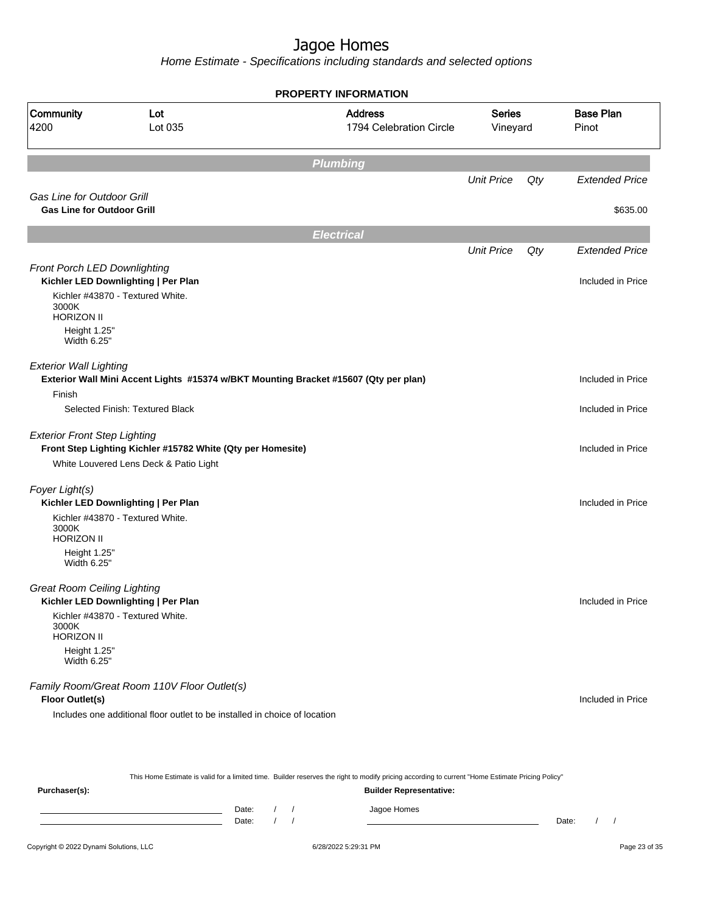Home Estimate - Specifications including standards and selected options

|                                                                        |                                                                            | <b>PROPERTY INFORMATION</b>                                                          |                           |     |                           |
|------------------------------------------------------------------------|----------------------------------------------------------------------------|--------------------------------------------------------------------------------------|---------------------------|-----|---------------------------|
| Community<br>4200                                                      | Lot<br>Lot 035                                                             | <b>Address</b><br>1794 Celebration Circle                                            | <b>Series</b><br>Vineyard |     | <b>Base Plan</b><br>Pinot |
|                                                                        |                                                                            | <b>Plumbing</b>                                                                      |                           |     |                           |
|                                                                        |                                                                            |                                                                                      | <b>Unit Price</b>         | Qty | <b>Extended Price</b>     |
| <b>Gas Line for Outdoor Grill</b><br><b>Gas Line for Outdoor Grill</b> |                                                                            |                                                                                      |                           |     | \$635.00                  |
|                                                                        |                                                                            | <b>Electrical</b>                                                                    |                           |     |                           |
|                                                                        |                                                                            |                                                                                      | <b>Unit Price</b>         | Qty | <b>Extended Price</b>     |
| Front Porch LED Downlighting                                           | Kichler LED Downlighting   Per Plan                                        |                                                                                      |                           |     | Included in Price         |
| 3000K<br><b>HORIZON II</b>                                             | Kichler #43870 - Textured White.                                           |                                                                                      |                           |     |                           |
| Height 1.25"<br>Width 6.25"                                            |                                                                            |                                                                                      |                           |     |                           |
| <b>Exterior Wall Lighting</b><br>Finish                                |                                                                            | Exterior Wall Mini Accent Lights #15374 w/BKT Mounting Bracket #15607 (Qty per plan) |                           |     | Included in Price         |
|                                                                        | Selected Finish: Textured Black                                            |                                                                                      |                           |     | Included in Price         |
| <b>Exterior Front Step Lighting</b>                                    | Front Step Lighting Kichler #15782 White (Qty per Homesite)                |                                                                                      |                           |     | Included in Price         |
|                                                                        | White Louvered Lens Deck & Patio Light                                     |                                                                                      |                           |     |                           |
| Foyer Light(s)                                                         | Kichler LED Downlighting   Per Plan                                        |                                                                                      |                           |     | Included in Price         |
| 3000K<br><b>HORIZON II</b>                                             | Kichler #43870 - Textured White.                                           |                                                                                      |                           |     |                           |
| Height 1.25"<br>Width 6.25"                                            |                                                                            |                                                                                      |                           |     |                           |
| <b>Great Room Ceiling Lighting</b>                                     | Kichler LED Downlighting   Per Plan                                        |                                                                                      |                           |     | Included in Price         |
| 3000K<br><b>HORIZON II</b>                                             | Kichler #43870 - Textured White.                                           |                                                                                      |                           |     |                           |
| Height 1.25"<br>Width 6.25"                                            |                                                                            |                                                                                      |                           |     |                           |
| Floor Outlet(s)                                                        | Family Room/Great Room 110V Floor Outlet(s)                                |                                                                                      |                           |     | Included in Price         |
|                                                                        | Includes one additional floor outlet to be installed in choice of location |                                                                                      |                           |     |                           |
|                                                                        |                                                                            |                                                                                      |                           |     |                           |
|                                                                        |                                                                            |                                                                                      |                           |     |                           |

This Home Estimate is valid for a limited time. Builder reserves the right to modify pricing according to current "Home Estimate Pricing Policy" **Purchaser(s): Builder Representative:** Date: / / Jagoe Homes<br>Date: / / Jagoe Homes Date: / / Date: / /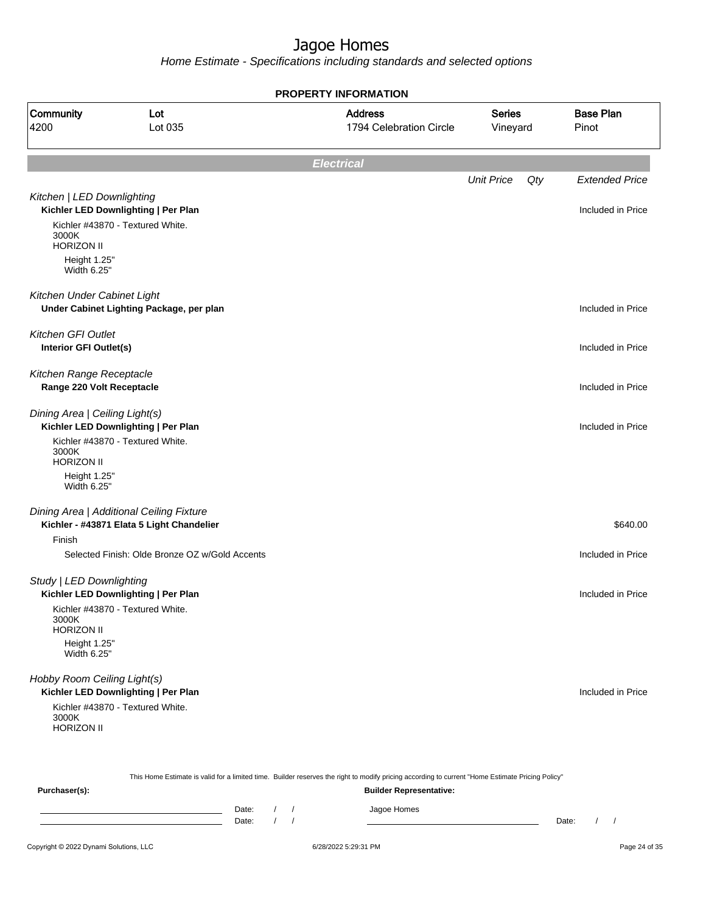Home Estimate - Specifications including standards and selected options

| <b>PROPERTY INFORMATION</b>                                |                                                                                                                                                  |                                           |                           |     |                           |  |  |
|------------------------------------------------------------|--------------------------------------------------------------------------------------------------------------------------------------------------|-------------------------------------------|---------------------------|-----|---------------------------|--|--|
| Community<br>4200                                          | Lot<br>Lot 035                                                                                                                                   | <b>Address</b><br>1794 Celebration Circle | <b>Series</b><br>Vineyard |     | <b>Base Plan</b><br>Pinot |  |  |
|                                                            |                                                                                                                                                  | <b>Electrical</b>                         |                           |     |                           |  |  |
|                                                            |                                                                                                                                                  |                                           | <b>Unit Price</b>         | Qty | <b>Extended Price</b>     |  |  |
| Kitchen   LED Downlighting<br>3000K                        | Kichler LED Downlighting   Per Plan<br>Kichler #43870 - Textured White.                                                                          |                                           |                           |     | Included in Price         |  |  |
| <b>HORIZON II</b><br>Height 1.25"<br>Width 6.25"           |                                                                                                                                                  |                                           |                           |     |                           |  |  |
| Kitchen Under Cabinet Light                                | Under Cabinet Lighting Package, per plan                                                                                                         |                                           |                           |     | Included in Price         |  |  |
| <b>Kitchen GFI Outlet</b><br><b>Interior GFI Outlet(s)</b> |                                                                                                                                                  |                                           |                           |     | Included in Price         |  |  |
| Kitchen Range Receptacle<br>Range 220 Volt Receptacle      |                                                                                                                                                  |                                           |                           |     | Included in Price         |  |  |
| Dining Area   Ceiling Light(s)                             | Kichler LED Downlighting   Per Plan                                                                                                              |                                           |                           |     | Included in Price         |  |  |
| 3000K<br><b>HORIZON II</b>                                 | Kichler #43870 - Textured White.                                                                                                                 |                                           |                           |     |                           |  |  |
| Height 1.25"<br>Width 6.25"                                |                                                                                                                                                  |                                           |                           |     |                           |  |  |
|                                                            | Dining Area   Additional Ceiling Fixture<br>Kichler - #43871 Elata 5 Light Chandelier                                                            |                                           |                           |     | \$640.00                  |  |  |
| Finish                                                     |                                                                                                                                                  |                                           |                           |     |                           |  |  |
|                                                            | Selected Finish: Olde Bronze OZ w/Gold Accents                                                                                                   |                                           |                           |     | Included in Price         |  |  |
| Study   LED Downlighting                                   | Kichler LED Downlighting   Per Plan                                                                                                              |                                           |                           |     | Included in Price         |  |  |
| 3000K<br><b>HORIZON II</b>                                 | Kichler #43870 - Textured White.                                                                                                                 |                                           |                           |     |                           |  |  |
| Height 1.25"<br>Width 6.25"                                |                                                                                                                                                  |                                           |                           |     |                           |  |  |
| Hobby Room Ceiling Light(s)                                | Kichler LED Downlighting   Per Plan                                                                                                              |                                           |                           |     | Included in Price         |  |  |
| 3000K<br><b>HORIZON II</b>                                 | Kichler #43870 - Textured White.                                                                                                                 |                                           |                           |     |                           |  |  |
|                                                            | This Home Estimate is valid for a limited time. Builder reserves the right to modify pricing according to current "Home Estimate Pricing Policy" |                                           |                           |     |                           |  |  |

This Home Estimate is valid for a limited time. Builder reserves the right to modify pricing according to current "Home Estimate Pricing Policy"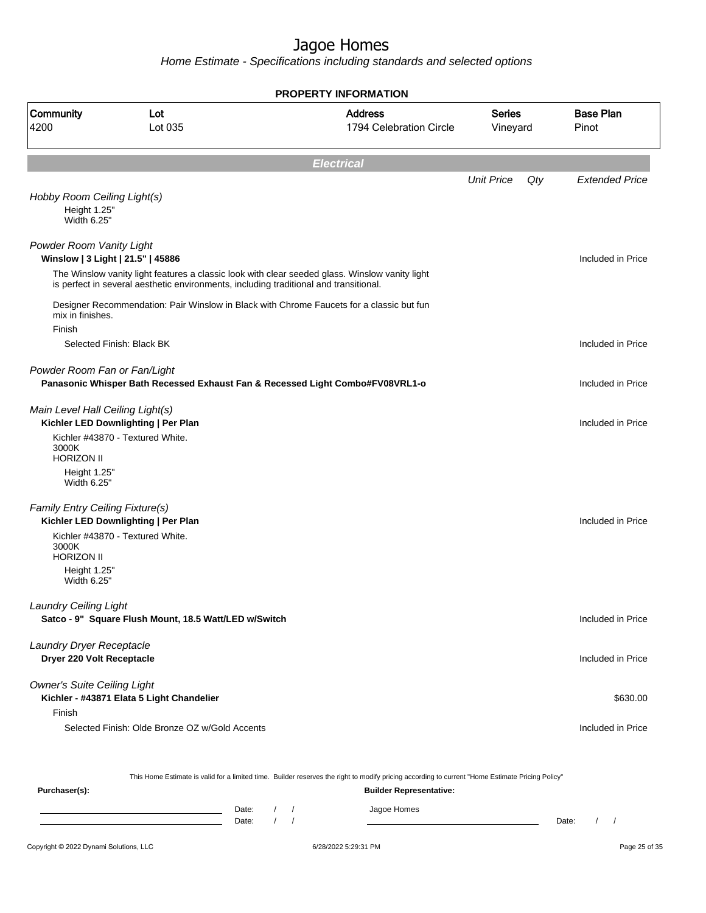Home Estimate - Specifications including standards and selected options

| <b>PROPERTY INFORMATION</b>                                |                                                                                       |                                                                                                |                           |     |                           |  |  |  |
|------------------------------------------------------------|---------------------------------------------------------------------------------------|------------------------------------------------------------------------------------------------|---------------------------|-----|---------------------------|--|--|--|
| Community<br>4200                                          | Lot<br>Lot 035                                                                        | <b>Address</b><br>1794 Celebration Circle                                                      | <b>Series</b><br>Vineyard |     | <b>Base Plan</b><br>Pinot |  |  |  |
|                                                            |                                                                                       | <b>Electrical</b>                                                                              |                           |     |                           |  |  |  |
|                                                            |                                                                                       |                                                                                                | <b>Unit Price</b>         | Qty | <b>Extended Price</b>     |  |  |  |
| Hobby Room Ceiling Light(s)<br>Height 1.25"<br>Width 6.25" |                                                                                       |                                                                                                |                           |     |                           |  |  |  |
| Powder Room Vanity Light                                   | Winslow   3 Light   21.5"   45886                                                     |                                                                                                |                           |     | Included in Price         |  |  |  |
|                                                            | is perfect in several aesthetic environments, including traditional and transitional. | The Winslow vanity light features a classic look with clear seeded glass. Winslow vanity light |                           |     |                           |  |  |  |
| mix in finishes.                                           |                                                                                       | Designer Recommendation: Pair Winslow in Black with Chrome Faucets for a classic but fun       |                           |     |                           |  |  |  |
| Finish                                                     | Selected Finish: Black BK                                                             |                                                                                                |                           |     | Included in Price         |  |  |  |
| Powder Room Fan or Fan/Light                               |                                                                                       | Panasonic Whisper Bath Recessed Exhaust Fan & Recessed Light Combo#FV08VRL1-o                  |                           |     | Included in Price         |  |  |  |
| Main Level Hall Ceiling Light(s)                           | Kichler LED Downlighting   Per Plan                                                   |                                                                                                |                           |     | Included in Price         |  |  |  |
| 3000K<br><b>HORIZON II</b>                                 | Kichler #43870 - Textured White.                                                      |                                                                                                |                           |     |                           |  |  |  |
| Height 1.25"<br>Width 6.25"                                |                                                                                       |                                                                                                |                           |     |                           |  |  |  |
| Family Entry Ceiling Fixture(s)                            | Kichler LED Downlighting   Per Plan                                                   |                                                                                                |                           |     | Included in Price         |  |  |  |
| 3000K<br><b>HORIZON II</b>                                 | Kichler #43870 - Textured White.                                                      |                                                                                                |                           |     |                           |  |  |  |
| Height 1.25"<br>Width 6.25"                                |                                                                                       |                                                                                                |                           |     |                           |  |  |  |
| Laundry Ceiling Light                                      | Satco - 9" Square Flush Mount, 18.5 Watt/LED w/Switch                                 |                                                                                                |                           |     | Included in Price         |  |  |  |
| Laundry Dryer Receptacle<br>Dryer 220 Volt Receptacle      |                                                                                       |                                                                                                |                           |     | Included in Price         |  |  |  |
| <b>Owner's Suite Ceiling Light</b>                         | Kichler - #43871 Elata 5 Light Chandelier                                             |                                                                                                |                           |     | \$630.00                  |  |  |  |
| Finish                                                     | Selected Finish: Olde Bronze OZ w/Gold Accents                                        |                                                                                                |                           |     | Included in Price         |  |  |  |
|                                                            |                                                                                       |                                                                                                |                           |     |                           |  |  |  |

This Home Estimate is valid for a limited time. Builder reserves the right to modify pricing according to current "Home Estimate Pricing Policy"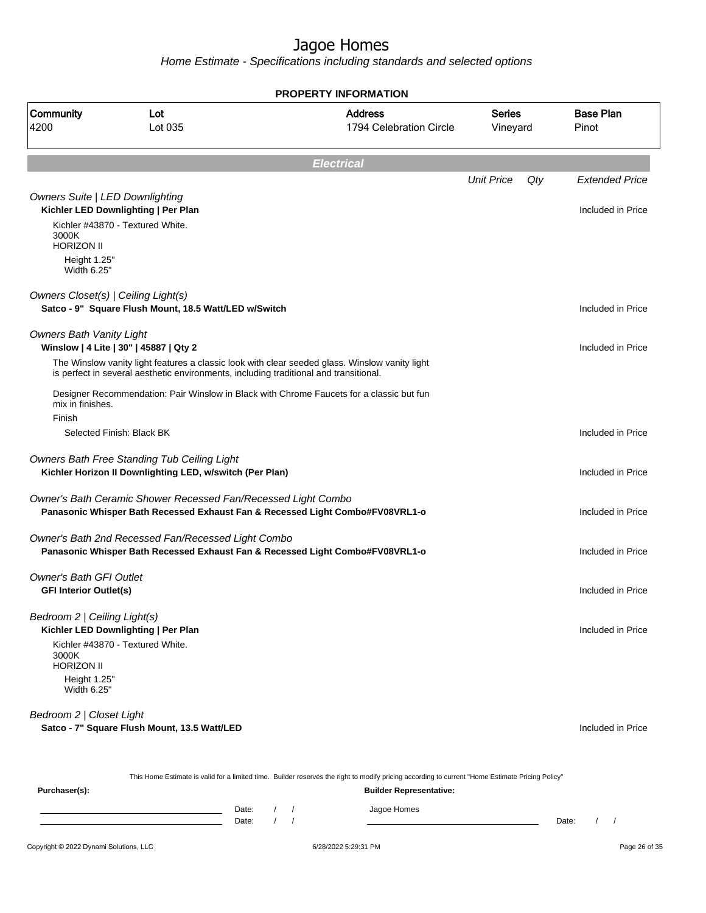|                                                                      |                                                                                                         | <b>PROPERTY INFORMATION</b>                                                                                                                      |                           |     |                           |
|----------------------------------------------------------------------|---------------------------------------------------------------------------------------------------------|--------------------------------------------------------------------------------------------------------------------------------------------------|---------------------------|-----|---------------------------|
| Community<br>4200                                                    | Lot<br>Lot 035                                                                                          | <b>Address</b><br>1794 Celebration Circle                                                                                                        | <b>Series</b><br>Vineyard |     | <b>Base Plan</b><br>Pinot |
|                                                                      |                                                                                                         | <b>Electrical</b>                                                                                                                                |                           |     |                           |
|                                                                      |                                                                                                         |                                                                                                                                                  | <b>Unit Price</b>         | Qty | <b>Extended Price</b>     |
| <b>Owners Suite   LED Downlighting</b><br>3000K<br><b>HORIZON II</b> | Kichler LED Downlighting   Per Plan<br>Kichler #43870 - Textured White.                                 |                                                                                                                                                  |                           |     | Included in Price         |
| Height 1.25"<br>Width 6.25"                                          |                                                                                                         |                                                                                                                                                  |                           |     |                           |
| Owners Closet(s)   Ceiling Light(s)                                  | Satco - 9" Square Flush Mount, 18.5 Watt/LED w/Switch                                                   |                                                                                                                                                  |                           |     | Included in Price         |
| <b>Owners Bath Vanity Light</b>                                      | Winslow   4 Lite   30"   45887   Qty 2                                                                  |                                                                                                                                                  |                           |     | Included in Price         |
|                                                                      | is perfect in several aesthetic environments, including traditional and transitional.                   | The Winslow vanity light features a classic look with clear seeded glass. Winslow vanity light                                                   |                           |     |                           |
| mix in finishes.<br>Finish                                           |                                                                                                         | Designer Recommendation: Pair Winslow in Black with Chrome Faucets for a classic but fun                                                         |                           |     |                           |
|                                                                      | Selected Finish: Black BK                                                                               |                                                                                                                                                  |                           |     | Included in Price         |
|                                                                      | Owners Bath Free Standing Tub Ceiling Light<br>Kichler Horizon II Downlighting LED, w/switch (Per Plan) |                                                                                                                                                  |                           |     | Included in Price         |
|                                                                      | Owner's Bath Ceramic Shower Recessed Fan/Recessed Light Combo                                           | Panasonic Whisper Bath Recessed Exhaust Fan & Recessed Light Combo#FV08VRL1-o                                                                    |                           |     | Included in Price         |
|                                                                      | Owner's Bath 2nd Recessed Fan/Recessed Light Combo                                                      | Panasonic Whisper Bath Recessed Exhaust Fan & Recessed Light Combo#FV08VRL1-o                                                                    |                           |     | Included in Price         |
| <b>Owner's Bath GFI Outlet</b><br><b>GFI Interior Outlet(s)</b>      |                                                                                                         |                                                                                                                                                  |                           |     | Included in Price         |
| Bedroom 2   Ceiling Light(s)                                         | Kichler LED Downlighting   Per Plan<br>Kichler #43870 - Textured White.                                 |                                                                                                                                                  |                           |     | Included in Price         |
| 3000K<br><b>HORIZON II</b>                                           |                                                                                                         |                                                                                                                                                  |                           |     |                           |
| Height 1.25"<br>Width 6.25"                                          |                                                                                                         |                                                                                                                                                  |                           |     |                           |
| Bedroom 2   Closet Light                                             | Satco - 7" Square Flush Mount, 13.5 Watt/LED                                                            |                                                                                                                                                  |                           |     | Included in Price         |
|                                                                      |                                                                                                         | This Home Estimate is valid for a limited time. Builder reserves the right to modify pricing according to current "Home Estimate Pricing Policy" |                           |     |                           |
| Purchaser(s):                                                        |                                                                                                         | <b>Builder Representative:</b>                                                                                                                   |                           |     |                           |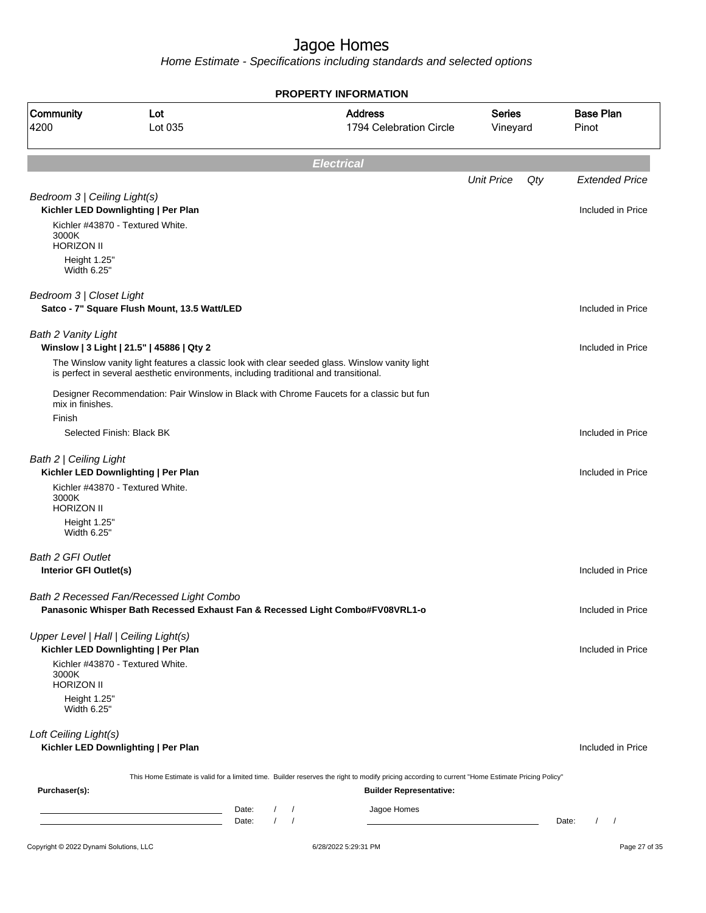|                                       |                                                                                                                                                  |                        | <b>PROPERTY INFORMATION</b>               |                           |     |                           |
|---------------------------------------|--------------------------------------------------------------------------------------------------------------------------------------------------|------------------------|-------------------------------------------|---------------------------|-----|---------------------------|
| Community<br>4200                     | Lot<br>Lot 035                                                                                                                                   |                        | <b>Address</b><br>1794 Celebration Circle | <b>Series</b><br>Vineyard |     | <b>Base Plan</b><br>Pinot |
|                                       |                                                                                                                                                  |                        | <b>Electrical</b>                         |                           |     |                           |
|                                       |                                                                                                                                                  |                        |                                           | <b>Unit Price</b>         | Qty | <b>Extended Price</b>     |
| Bedroom 3   Ceiling Light(s)          |                                                                                                                                                  |                        |                                           |                           |     |                           |
|                                       | Kichler LED Downlighting   Per Plan                                                                                                              |                        |                                           |                           |     | Included in Price         |
| 3000K<br><b>HORIZON II</b>            | Kichler #43870 - Textured White.                                                                                                                 |                        |                                           |                           |     |                           |
| Height 1.25"<br>Width 6.25"           |                                                                                                                                                  |                        |                                           |                           |     |                           |
| Bedroom 3   Closet Light              |                                                                                                                                                  |                        |                                           |                           |     |                           |
|                                       | Satco - 7" Square Flush Mount, 13.5 Watt/LED                                                                                                     |                        |                                           |                           |     | Included in Price         |
| <b>Bath 2 Vanity Light</b>            | Winslow   3 Light   21.5"   45886   Qty 2                                                                                                        |                        |                                           |                           |     | Included in Price         |
|                                       | The Winslow vanity light features a classic look with clear seeded glass. Winslow vanity light                                                   |                        |                                           |                           |     |                           |
|                                       | is perfect in several aesthetic environments, including traditional and transitional.                                                            |                        |                                           |                           |     |                           |
| mix in finishes.                      | Designer Recommendation: Pair Winslow in Black with Chrome Faucets for a classic but fun                                                         |                        |                                           |                           |     |                           |
| Finish                                |                                                                                                                                                  |                        |                                           |                           |     |                           |
|                                       | Selected Finish: Black BK                                                                                                                        |                        |                                           |                           |     | Included in Price         |
| Bath 2   Ceiling Light                |                                                                                                                                                  |                        |                                           |                           |     |                           |
|                                       | Kichler LED Downlighting   Per Plan<br>Kichler #43870 - Textured White.                                                                          |                        |                                           |                           |     | Included in Price         |
| 3000K<br><b>HORIZON II</b>            |                                                                                                                                                  |                        |                                           |                           |     |                           |
| Height 1.25"                          |                                                                                                                                                  |                        |                                           |                           |     |                           |
| Width 6.25"                           |                                                                                                                                                  |                        |                                           |                           |     |                           |
| Bath 2 GFI Outlet                     |                                                                                                                                                  |                        |                                           |                           |     |                           |
| Interior GFI Outlet(s)                |                                                                                                                                                  |                        |                                           |                           |     | Included in Price         |
|                                       | Bath 2 Recessed Fan/Recessed Light Combo                                                                                                         |                        |                                           |                           |     |                           |
|                                       | Panasonic Whisper Bath Recessed Exhaust Fan & Recessed Light Combo#FV08VRL1-o                                                                    |                        |                                           |                           |     | Included in Price         |
| Upper Level   Hall   Ceiling Light(s) |                                                                                                                                                  |                        |                                           |                           |     |                           |
|                                       | Kichler LED Downlighting   Per Plan                                                                                                              |                        |                                           |                           |     | Included in Price         |
| 3000K                                 | Kichler #43870 - Textured White.                                                                                                                 |                        |                                           |                           |     |                           |
| <b>HORIZON II</b>                     |                                                                                                                                                  |                        |                                           |                           |     |                           |
| Height 1.25"<br>Width 6.25"           |                                                                                                                                                  |                        |                                           |                           |     |                           |
| Loft Ceiling Light(s)                 |                                                                                                                                                  |                        |                                           |                           |     |                           |
|                                       | Kichler LED Downlighting   Per Plan                                                                                                              |                        |                                           |                           |     | Included in Price         |
|                                       | This Home Estimate is valid for a limited time. Builder reserves the right to modify pricing according to current "Home Estimate Pricing Policy" |                        |                                           |                           |     |                           |
| Purchaser(s):                         |                                                                                                                                                  |                        | <b>Builder Representative:</b>            |                           |     |                           |
|                                       | Date:<br><u> 1989 - Johann Barn, amerikansk politiker (</u>                                                                                      | $\sqrt{2}$<br>$\prime$ | Jagoe Homes                               |                           |     |                           |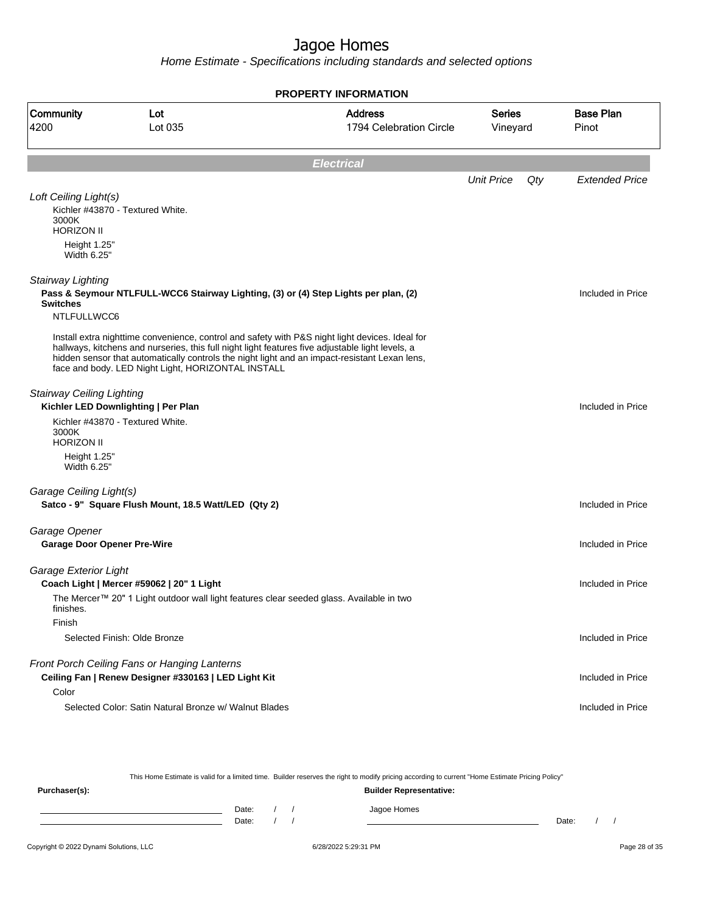|                                    |                                                                                                                                                        | <b>PROPERTY INFORMATION</b>                                                                                                                                                                      |                           |     |                           |
|------------------------------------|--------------------------------------------------------------------------------------------------------------------------------------------------------|--------------------------------------------------------------------------------------------------------------------------------------------------------------------------------------------------|---------------------------|-----|---------------------------|
| Community<br>4200                  | Lot<br>Lot 035                                                                                                                                         | <b>Address</b><br>1794 Celebration Circle                                                                                                                                                        | <b>Series</b><br>Vineyard |     | <b>Base Plan</b><br>Pinot |
|                                    |                                                                                                                                                        | <b>Electrical</b>                                                                                                                                                                                |                           |     |                           |
|                                    |                                                                                                                                                        |                                                                                                                                                                                                  | <b>Unit Price</b>         | Qty | <b>Extended Price</b>     |
| Loft Ceiling Light(s)              |                                                                                                                                                        |                                                                                                                                                                                                  |                           |     |                           |
| 3000K<br><b>HORIZON II</b>         | Kichler #43870 - Textured White.                                                                                                                       |                                                                                                                                                                                                  |                           |     |                           |
| Height 1.25"<br>Width 6.25"        |                                                                                                                                                        |                                                                                                                                                                                                  |                           |     |                           |
| Stairway Lighting                  |                                                                                                                                                        | Pass & Seymour NTLFULL-WCC6 Stairway Lighting, (3) or (4) Step Lights per plan, (2)                                                                                                              |                           |     | Included in Price         |
| <b>Switches</b><br>NTLFULLWCC6     |                                                                                                                                                        |                                                                                                                                                                                                  |                           |     |                           |
|                                    | hallways, kitchens and nurseries, this full night light features five adjustable light levels, a<br>face and body. LED Night Light, HORIZONTAL INSTALL | Install extra nighttime convenience, control and safety with P&S night light devices. Ideal for<br>hidden sensor that automatically controls the night light and an impact-resistant Lexan lens, |                           |     |                           |
| <b>Stairway Ceiling Lighting</b>   |                                                                                                                                                        |                                                                                                                                                                                                  |                           |     |                           |
|                                    | Kichler LED Downlighting   Per Plan                                                                                                                    |                                                                                                                                                                                                  |                           |     | Included in Price         |
| 3000K<br><b>HORIZON II</b>         | Kichler #43870 - Textured White.                                                                                                                       |                                                                                                                                                                                                  |                           |     |                           |
| Height 1.25"<br>Width 6.25"        |                                                                                                                                                        |                                                                                                                                                                                                  |                           |     |                           |
| Garage Ceiling Light(s)            |                                                                                                                                                        |                                                                                                                                                                                                  |                           |     |                           |
|                                    | Satco - 9" Square Flush Mount, 18.5 Watt/LED (Qty 2)                                                                                                   |                                                                                                                                                                                                  |                           |     | Included in Price         |
| Garage Opener                      |                                                                                                                                                        |                                                                                                                                                                                                  |                           |     |                           |
| <b>Garage Door Opener Pre-Wire</b> |                                                                                                                                                        |                                                                                                                                                                                                  |                           |     | Included in Price         |
| Garage Exterior Light              |                                                                                                                                                        |                                                                                                                                                                                                  |                           |     |                           |
|                                    | Coach Light   Mercer #59062   20" 1 Light                                                                                                              |                                                                                                                                                                                                  |                           |     | Included in Price         |
| finishes.<br>Finish                | The Mercer™ 20" 1 Light outdoor wall light features clear seeded glass. Available in two                                                               |                                                                                                                                                                                                  |                           |     |                           |
|                                    | Selected Finish: Olde Bronze                                                                                                                           |                                                                                                                                                                                                  |                           |     | Included in Price         |
|                                    | Front Porch Ceiling Fans or Hanging Lanterns<br>Ceiling Fan   Renew Designer #330163   LED Light Kit                                                   |                                                                                                                                                                                                  |                           |     | Included in Price         |
| Color                              | Selected Color: Satin Natural Bronze w/ Walnut Blades                                                                                                  |                                                                                                                                                                                                  |                           |     | Included in Price         |

| This Home Estimate is valid for a limited time. Builder reserves the right to modify pricing according to current "Home Estimate Pricing Policy" |                                |       |  |  |  |             |       |  |  |
|--------------------------------------------------------------------------------------------------------------------------------------------------|--------------------------------|-------|--|--|--|-------------|-------|--|--|
| Purchaser(s):                                                                                                                                    | <b>Builder Representative:</b> |       |  |  |  |             |       |  |  |
|                                                                                                                                                  |                                | Date: |  |  |  | Jagoe Homes |       |  |  |
|                                                                                                                                                  |                                | Date: |  |  |  |             | Date: |  |  |
|                                                                                                                                                  |                                |       |  |  |  |             |       |  |  |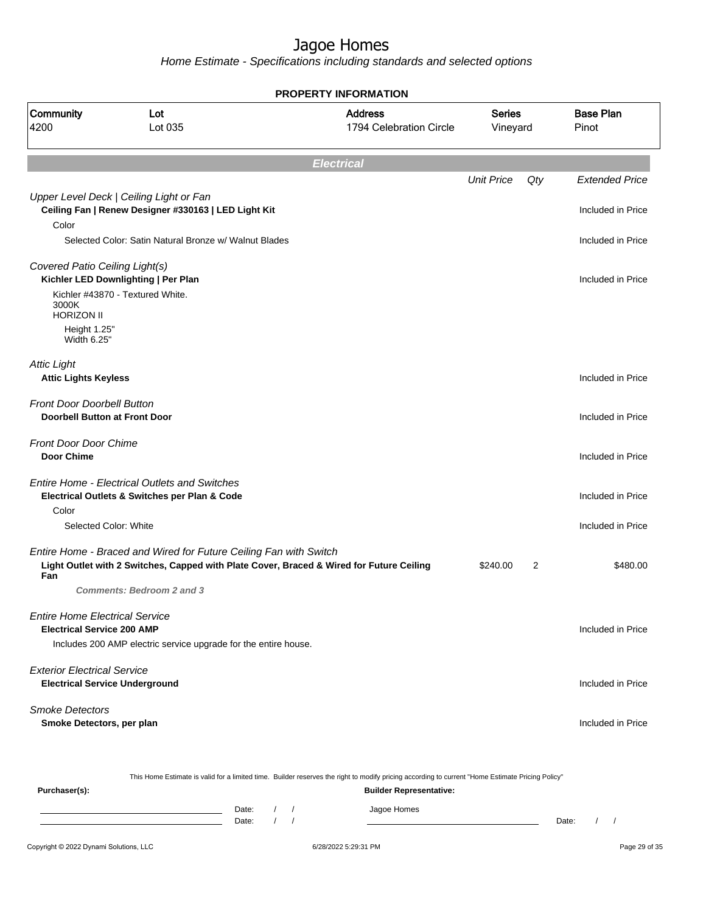Home Estimate - Specifications including standards and selected options

|                                                                             | <b>PROPERTY INFORMATION</b>                                                                                                                                   |                                           |                           |                |                           |
|-----------------------------------------------------------------------------|---------------------------------------------------------------------------------------------------------------------------------------------------------------|-------------------------------------------|---------------------------|----------------|---------------------------|
| Community<br>4200                                                           | Lot<br>Lot 035                                                                                                                                                | <b>Address</b><br>1794 Celebration Circle | <b>Series</b><br>Vineyard |                | <b>Base Plan</b><br>Pinot |
|                                                                             | <b>Electrical</b>                                                                                                                                             |                                           |                           |                |                           |
|                                                                             |                                                                                                                                                               |                                           | <b>Unit Price</b>         | Qty            | <b>Extended Price</b>     |
| Color                                                                       | Upper Level Deck   Ceiling Light or Fan<br>Ceiling Fan   Renew Designer #330163   LED Light Kit                                                               |                                           |                           |                | Included in Price         |
|                                                                             | Selected Color: Satin Natural Bronze w/ Walnut Blades                                                                                                         |                                           |                           |                | Included in Price         |
| Covered Patio Ceiling Light(s)                                              | Kichler LED Downlighting   Per Plan                                                                                                                           |                                           |                           |                | Included in Price         |
| 3000K<br><b>HORIZON II</b>                                                  | Kichler #43870 - Textured White.                                                                                                                              |                                           |                           |                |                           |
| Height 1.25"<br>Width 6.25"                                                 |                                                                                                                                                               |                                           |                           |                |                           |
| <b>Attic Light</b><br><b>Attic Lights Keyless</b>                           |                                                                                                                                                               |                                           |                           |                | Included in Price         |
| <b>Front Door Doorbell Button</b><br><b>Doorbell Button at Front Door</b>   |                                                                                                                                                               |                                           |                           |                | Included in Price         |
| <b>Front Door Door Chime</b><br>Door Chime                                  |                                                                                                                                                               |                                           |                           |                | Included in Price         |
|                                                                             | <b>Entire Home - Electrical Outlets and Switches</b><br>Electrical Outlets & Switches per Plan & Code                                                         |                                           |                           |                | Included in Price         |
| Color<br>Selected Color: White                                              |                                                                                                                                                               |                                           |                           |                | Included in Price         |
| Fan                                                                         | Entire Home - Braced and Wired for Future Ceiling Fan with Switch<br>Light Outlet with 2 Switches, Capped with Plate Cover, Braced & Wired for Future Ceiling |                                           | \$240.00                  | $\overline{2}$ | \$480.00                  |
|                                                                             | <b>Comments: Bedroom 2 and 3</b>                                                                                                                              |                                           |                           |                |                           |
| <b>Entire Home Electrical Service</b><br><b>Electrical Service 200 AMP</b>  |                                                                                                                                                               |                                           |                           |                | Included in Price         |
|                                                                             | Includes 200 AMP electric service upgrade for the entire house.                                                                                               |                                           |                           |                |                           |
| <b>Exterior Electrical Service</b><br><b>Electrical Service Underground</b> |                                                                                                                                                               |                                           |                           |                | Included in Price         |
| <b>Smoke Detectors</b><br>Smoke Detectors, per plan                         |                                                                                                                                                               |                                           |                           |                | Included in Price         |
|                                                                             |                                                                                                                                                               |                                           |                           |                |                           |

This Home Estimate is valid for a limited time. Builder reserves the right to modify pricing according to current "Home Estimate Pricing Policy"

| Purchaser(s): |                |  | <b>Builder Representative:</b> |       |  |
|---------------|----------------|--|--------------------------------|-------|--|
|               | Date:<br>Date: |  | Jagoe Homes                    | Date: |  |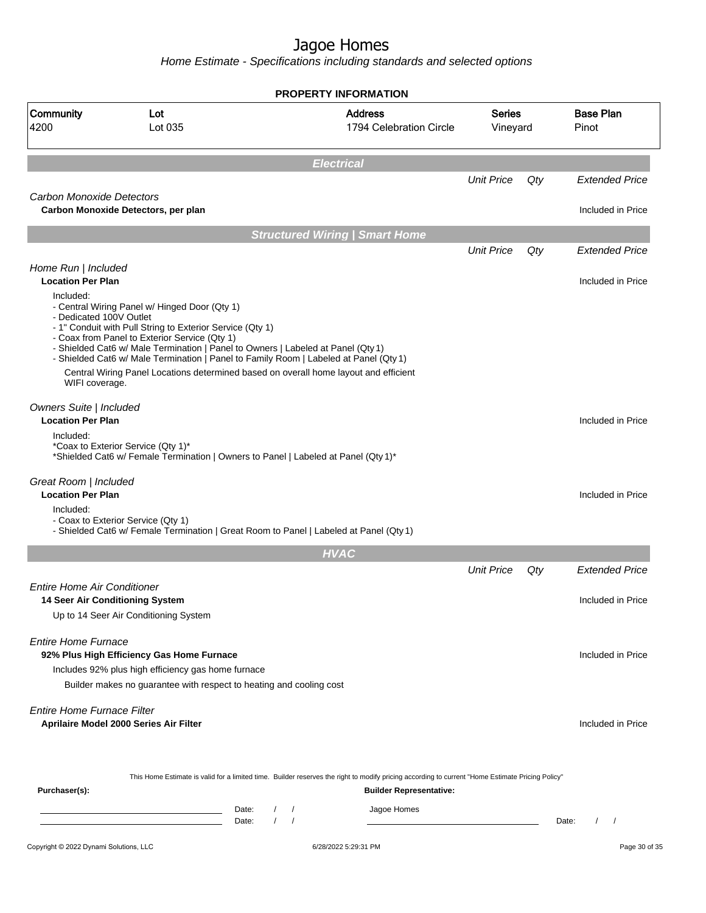|                                                        |                                                                                                                                                                                                                                                                                                                                                                                                                                  | <b>PROPERTY INFORMATION</b>                                                                                                                                                        |                           |       |                           |
|--------------------------------------------------------|----------------------------------------------------------------------------------------------------------------------------------------------------------------------------------------------------------------------------------------------------------------------------------------------------------------------------------------------------------------------------------------------------------------------------------|------------------------------------------------------------------------------------------------------------------------------------------------------------------------------------|---------------------------|-------|---------------------------|
| Community<br>4200                                      | Lot<br>Lot 035                                                                                                                                                                                                                                                                                                                                                                                                                   | <b>Address</b><br>1794 Celebration Circle                                                                                                                                          | <b>Series</b><br>Vineyard |       | <b>Base Plan</b><br>Pinot |
|                                                        |                                                                                                                                                                                                                                                                                                                                                                                                                                  | <b>Electrical</b>                                                                                                                                                                  |                           |       |                           |
|                                                        |                                                                                                                                                                                                                                                                                                                                                                                                                                  |                                                                                                                                                                                    | <b>Unit Price</b>         | Qty   | <b>Extended Price</b>     |
| Carbon Monoxide Detectors                              | Carbon Monoxide Detectors, per plan                                                                                                                                                                                                                                                                                                                                                                                              |                                                                                                                                                                                    |                           |       | Included in Price         |
|                                                        |                                                                                                                                                                                                                                                                                                                                                                                                                                  | <b>Structured Wiring   Smart Home</b>                                                                                                                                              |                           |       |                           |
|                                                        |                                                                                                                                                                                                                                                                                                                                                                                                                                  |                                                                                                                                                                                    | <b>Unit Price</b>         | Qty   | <b>Extended Price</b>     |
| Home Run   Included<br><b>Location Per Plan</b>        |                                                                                                                                                                                                                                                                                                                                                                                                                                  |                                                                                                                                                                                    |                           |       | Included in Price         |
| Included:<br>- Dedicated 100V Outlet<br>WIFI coverage. | - Central Wiring Panel w/ Hinged Door (Qty 1)<br>- 1" Conduit with Pull String to Exterior Service (Qty 1)<br>- Coax from Panel to Exterior Service (Qty 1)<br>- Shielded Cat6 w/ Male Termination   Panel to Owners   Labeled at Panel (Qty 1)<br>- Shielded Cat6 w/ Male Termination   Panel to Family Room   Labeled at Panel (Qty 1)<br>Central Wiring Panel Locations determined based on overall home layout and efficient |                                                                                                                                                                                    |                           |       |                           |
| Owners Suite   Included<br><b>Location Per Plan</b>    |                                                                                                                                                                                                                                                                                                                                                                                                                                  |                                                                                                                                                                                    |                           |       | Included in Price         |
| Included:                                              | *Coax to Exterior Service (Qty 1)*<br>*Shielded Cat6 w/ Female Termination   Owners to Panel   Labeled at Panel (Qty 1)*                                                                                                                                                                                                                                                                                                         |                                                                                                                                                                                    |                           |       |                           |
| Great Room   Included<br><b>Location Per Plan</b>      |                                                                                                                                                                                                                                                                                                                                                                                                                                  |                                                                                                                                                                                    |                           |       | Included in Price         |
| Included:                                              | - Coax to Exterior Service (Qty 1)<br>- Shielded Cat6 w/ Female Termination   Great Room to Panel   Labeled at Panel (Qty 1)                                                                                                                                                                                                                                                                                                     |                                                                                                                                                                                    |                           |       |                           |
|                                                        |                                                                                                                                                                                                                                                                                                                                                                                                                                  | <b>HVAC</b>                                                                                                                                                                        |                           |       |                           |
|                                                        |                                                                                                                                                                                                                                                                                                                                                                                                                                  |                                                                                                                                                                                    | <b>Unit Price</b>         | Qty   | <b>Extended Price</b>     |
| Entire Home Air Conditioner                            |                                                                                                                                                                                                                                                                                                                                                                                                                                  |                                                                                                                                                                                    |                           |       |                           |
| 14 Seer Air Conditioning System                        | Up to 14 Seer Air Conditioning System                                                                                                                                                                                                                                                                                                                                                                                            |                                                                                                                                                                                    |                           |       | Included in Price         |
|                                                        |                                                                                                                                                                                                                                                                                                                                                                                                                                  |                                                                                                                                                                                    |                           |       |                           |
| <b>Entire Home Furnace</b>                             |                                                                                                                                                                                                                                                                                                                                                                                                                                  |                                                                                                                                                                                    |                           |       |                           |
|                                                        | 92% Plus High Efficiency Gas Home Furnace                                                                                                                                                                                                                                                                                                                                                                                        |                                                                                                                                                                                    |                           |       | Included in Price         |
|                                                        | Includes 92% plus high efficiency gas home furnace<br>Builder makes no guarantee with respect to heating and cooling cost                                                                                                                                                                                                                                                                                                        |                                                                                                                                                                                    |                           |       |                           |
| <b>Entire Home Furnace Filter</b>                      | Aprilaire Model 2000 Series Air Filter                                                                                                                                                                                                                                                                                                                                                                                           |                                                                                                                                                                                    |                           |       | Included in Price         |
| Purchaser(s):                                          |                                                                                                                                                                                                                                                                                                                                                                                                                                  | This Home Estimate is valid for a limited time. Builder reserves the right to modify pricing according to current "Home Estimate Pricing Policy"<br><b>Builder Representative:</b> |                           |       |                           |
|                                                        | Date:<br><u> 1989 - Johann Barn, amerikansk politiker (</u><br>Date:                                                                                                                                                                                                                                                                                                                                                             | Jagoe Homes<br>$\left  \right $<br>$\prime$<br>$\sqrt{ }$                                                                                                                          |                           | Date: |                           |
| Copyright © 2022 Dynami Solutions, LLC                 |                                                                                                                                                                                                                                                                                                                                                                                                                                  | 6/28/2022 5:29:31 PM                                                                                                                                                               |                           |       | Page 30 of 35             |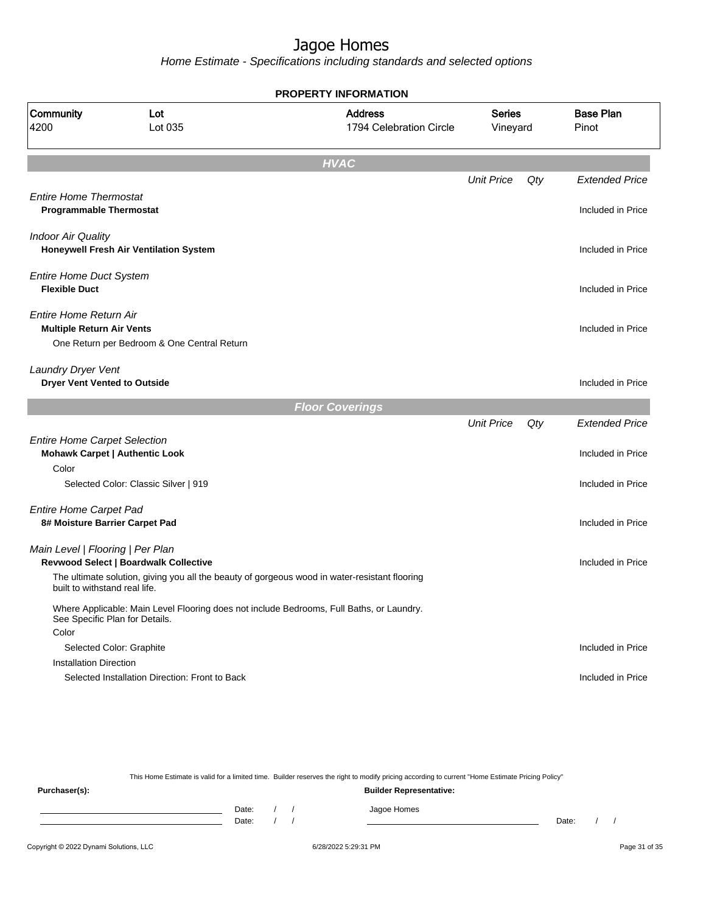Home Estimate - Specifications including standards and selected options

| <b>PROPERTY INFORMATION</b>                                                  |                                                                                               |                                           |                           |     |                           |  |  |
|------------------------------------------------------------------------------|-----------------------------------------------------------------------------------------------|-------------------------------------------|---------------------------|-----|---------------------------|--|--|
| Community<br>4200                                                            | Lot<br>Lot 035                                                                                | <b>Address</b><br>1794 Celebration Circle | <b>Series</b><br>Vineyard |     | <b>Base Plan</b><br>Pinot |  |  |
|                                                                              |                                                                                               | <b>HVAC</b>                               |                           |     |                           |  |  |
|                                                                              |                                                                                               |                                           | <b>Unit Price</b>         | Qty | <b>Extended Price</b>     |  |  |
| <b>Entire Home Thermostat</b><br><b>Programmable Thermostat</b>              |                                                                                               |                                           |                           |     | Included in Price         |  |  |
| <b>Indoor Air Quality</b>                                                    | Honeywell Fresh Air Ventilation System                                                        |                                           |                           |     | Included in Price         |  |  |
| <b>Entire Home Duct System</b><br><b>Flexible Duct</b>                       |                                                                                               |                                           |                           |     | Included in Price         |  |  |
| Entire Home Return Air<br><b>Multiple Return Air Vents</b>                   | One Return per Bedroom & One Central Return                                                   |                                           |                           |     | Included in Price         |  |  |
| Laundry Dryer Vent<br><b>Dryer Vent Vented to Outside</b>                    |                                                                                               |                                           |                           |     | Included in Price         |  |  |
|                                                                              |                                                                                               | <b>Floor Coverings</b>                    |                           |     |                           |  |  |
|                                                                              |                                                                                               |                                           | <b>Unit Price</b>         | Qty | <b>Extended Price</b>     |  |  |
| <b>Entire Home Carpet Selection</b><br><b>Mohawk Carpet   Authentic Look</b> |                                                                                               |                                           |                           |     | Included in Price         |  |  |
| Color                                                                        |                                                                                               |                                           |                           |     |                           |  |  |
|                                                                              | Selected Color: Classic Silver   919                                                          |                                           |                           |     | Included in Price         |  |  |
| <b>Entire Home Carpet Pad</b><br>8# Moisture Barrier Carpet Pad              |                                                                                               |                                           |                           |     | Included in Price         |  |  |
| Main Level   Flooring   Per Plan                                             | Revwood Select   Boardwalk Collective                                                         |                                           |                           |     | Included in Price         |  |  |
| built to withstand real life.                                                | The ultimate solution, giving you all the beauty of gorgeous wood in water-resistant flooring |                                           |                           |     |                           |  |  |
| See Specific Plan for Details.                                               | Where Applicable: Main Level Flooring does not include Bedrooms, Full Baths, or Laundry.      |                                           |                           |     |                           |  |  |
| Color                                                                        |                                                                                               |                                           |                           |     |                           |  |  |
| Selected Color: Graphite<br><b>Installation Direction</b>                    |                                                                                               |                                           |                           |     | Included in Price         |  |  |
|                                                                              | Selected Installation Direction: Front to Back                                                |                                           |                           |     | Included in Price         |  |  |

This Home Estimate is valid for a limited time. Builder reserves the right to modify pricing according to current "Home Estimate Pricing Policy" **Purchaser(s): Builder Representative:** Date: / / Jagoe Homes<br>Date: / / Jagoe Homes Date: / / **Date: / / 2006** Date: / / / Date: / / /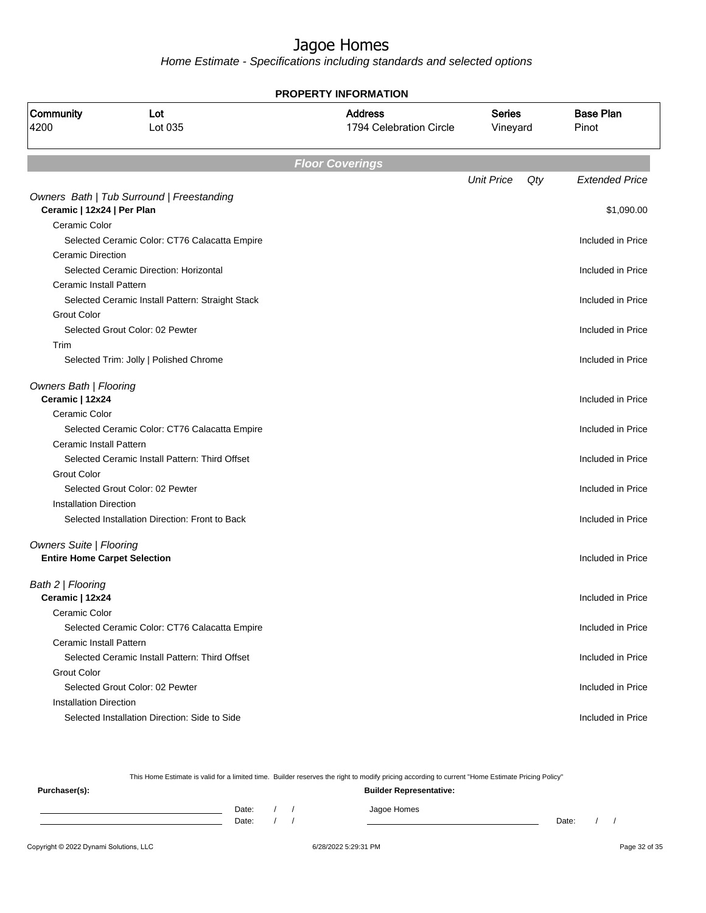Home Estimate - Specifications including standards and selected options

**PROPERTY INFORMATION**

| Community<br>4200                         | Lot<br>Lot 035                                   | <b>Address</b><br>1794 Celebration Circle | <b>Series</b><br>Vineyard | <b>Base Plan</b><br>Pinot |
|-------------------------------------------|--------------------------------------------------|-------------------------------------------|---------------------------|---------------------------|
|                                           |                                                  | <b>Floor Coverings</b>                    |                           |                           |
|                                           |                                                  |                                           | <b>Unit Price</b><br>Qty  | <b>Extended Price</b>     |
| Ceramic   12x24   Per Plan                | Owners Bath   Tub Surround   Freestanding        |                                           |                           | \$1,090.00                |
| Ceramic Color                             |                                                  |                                           |                           |                           |
|                                           | Selected Ceramic Color: CT76 Calacatta Empire    |                                           |                           | Included in Price         |
| Ceramic Direction                         |                                                  |                                           |                           |                           |
|                                           | Selected Ceramic Direction: Horizontal           |                                           |                           | Included in Price         |
| Ceramic Install Pattern                   |                                                  |                                           |                           |                           |
|                                           | Selected Ceramic Install Pattern: Straight Stack |                                           |                           | Included in Price         |
| <b>Grout Color</b>                        |                                                  |                                           |                           |                           |
|                                           | Selected Grout Color: 02 Pewter                  |                                           |                           | Included in Price         |
| Trim                                      |                                                  |                                           |                           |                           |
|                                           | Selected Trim: Jolly   Polished Chrome           |                                           |                           | Included in Price         |
| Owners Bath   Flooring<br>Ceramic   12x24 |                                                  |                                           |                           | Included in Price         |
| Ceramic Color                             |                                                  |                                           |                           |                           |
|                                           | Selected Ceramic Color: CT76 Calacatta Empire    |                                           |                           | Included in Price         |
| Ceramic Install Pattern                   |                                                  |                                           |                           |                           |
|                                           | Selected Ceramic Install Pattern: Third Offset   |                                           |                           | Included in Price         |
| <b>Grout Color</b>                        |                                                  |                                           |                           |                           |
|                                           | Selected Grout Color: 02 Pewter                  |                                           |                           | Included in Price         |
| <b>Installation Direction</b>             |                                                  |                                           |                           |                           |
|                                           | Selected Installation Direction: Front to Back   |                                           |                           | Included in Price         |
| <b>Owners Suite   Flooring</b>            |                                                  |                                           |                           |                           |
|                                           | <b>Entire Home Carpet Selection</b>              |                                           |                           | Included in Price         |
| Bath 2   Flooring                         |                                                  |                                           |                           |                           |
| Ceramic   12x24                           |                                                  |                                           |                           | Included in Price         |
| Ceramic Color                             |                                                  |                                           |                           |                           |
|                                           | Selected Ceramic Color: CT76 Calacatta Empire    |                                           |                           | Included in Price         |
| <b>Ceramic Install Pattern</b>            |                                                  |                                           |                           |                           |
|                                           | Selected Ceramic Install Pattern: Third Offset   |                                           |                           | Included in Price         |
| <b>Grout Color</b>                        |                                                  |                                           |                           |                           |
|                                           | Selected Grout Color: 02 Pewter                  |                                           |                           | Included in Price         |
| <b>Installation Direction</b>             |                                                  |                                           |                           |                           |
|                                           | Selected Installation Direction: Side to Side    |                                           |                           | Included in Price         |

This Home Estimate is valid for a limited time. Builder reserves the right to modify pricing according to current "Home Estimate Pricing Policy" **Purchaser(s): Builder Representative:** Date: / / Jagoe Homes<br>Date: / / Jagoe Homes Date: / / Date: / /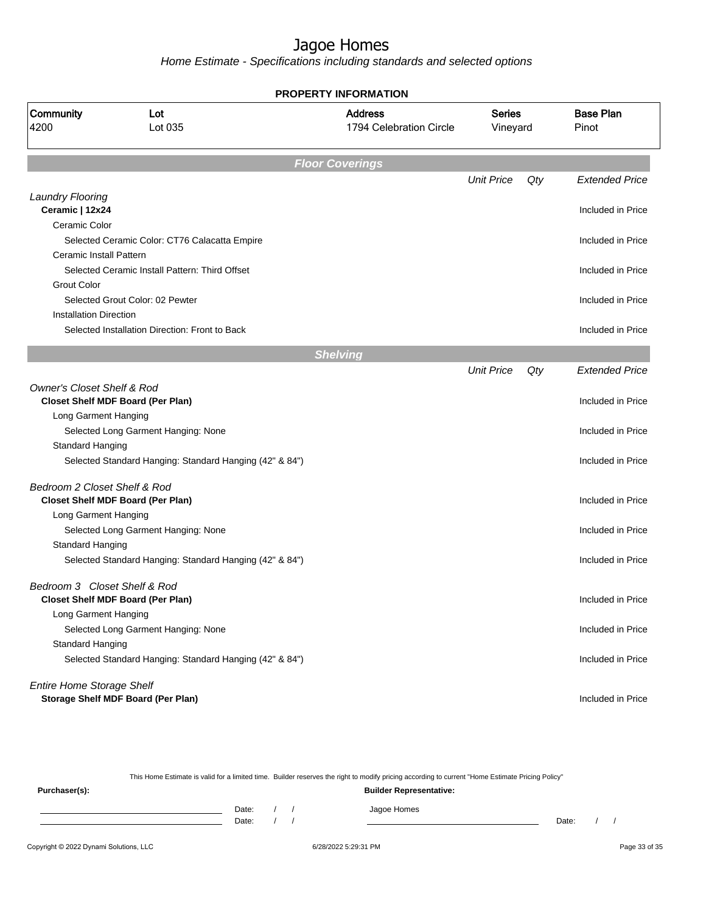Home Estimate - Specifications including standards and selected options

| <b>PROPERTY INFORMATION</b>                |                                                         |                                           |                           |     |                           |  |  |  |  |
|--------------------------------------------|---------------------------------------------------------|-------------------------------------------|---------------------------|-----|---------------------------|--|--|--|--|
| Community<br>4200                          | Lot<br>Lot 035                                          | <b>Address</b><br>1794 Celebration Circle | <b>Series</b><br>Vineyard |     | <b>Base Plan</b><br>Pinot |  |  |  |  |
|                                            |                                                         | <b>Floor Coverings</b>                    |                           |     |                           |  |  |  |  |
|                                            |                                                         |                                           | <b>Unit Price</b>         | Qty | <b>Extended Price</b>     |  |  |  |  |
| <b>Laundry Flooring</b><br>Ceramic   12x24 |                                                         |                                           |                           |     | Included in Price         |  |  |  |  |
| Ceramic Color                              |                                                         |                                           |                           |     |                           |  |  |  |  |
|                                            | Selected Ceramic Color: CT76 Calacatta Empire           |                                           |                           |     | Included in Price         |  |  |  |  |
| Ceramic Install Pattern                    |                                                         |                                           |                           |     |                           |  |  |  |  |
|                                            | Selected Ceramic Install Pattern: Third Offset          |                                           |                           |     | Included in Price         |  |  |  |  |
| <b>Grout Color</b>                         |                                                         |                                           |                           |     |                           |  |  |  |  |
|                                            | Selected Grout Color: 02 Pewter                         |                                           |                           |     | Included in Price         |  |  |  |  |
| <b>Installation Direction</b>              |                                                         |                                           |                           |     |                           |  |  |  |  |
|                                            | Selected Installation Direction: Front to Back          |                                           |                           |     | Included in Price         |  |  |  |  |
|                                            |                                                         | <b>Shelving</b>                           |                           |     |                           |  |  |  |  |
|                                            |                                                         |                                           | <b>Unit Price</b>         | Qty | <b>Extended Price</b>     |  |  |  |  |
| <b>Owner's Closet Shelf &amp; Rod</b>      |                                                         |                                           |                           |     |                           |  |  |  |  |
|                                            | <b>Closet Shelf MDF Board (Per Plan)</b>                |                                           |                           |     | Included in Price         |  |  |  |  |
| Long Garment Hanging                       |                                                         |                                           |                           |     |                           |  |  |  |  |
|                                            | Selected Long Garment Hanging: None                     |                                           |                           |     | Included in Price         |  |  |  |  |
| <b>Standard Hanging</b>                    |                                                         |                                           |                           |     |                           |  |  |  |  |
|                                            | Selected Standard Hanging: Standard Hanging (42" & 84") |                                           |                           |     | Included in Price         |  |  |  |  |
| Bedroom 2 Closet Shelf & Rod               |                                                         |                                           |                           |     |                           |  |  |  |  |
|                                            | <b>Closet Shelf MDF Board (Per Plan)</b>                |                                           |                           |     | Included in Price         |  |  |  |  |
| Long Garment Hanging                       |                                                         |                                           |                           |     |                           |  |  |  |  |
|                                            | Selected Long Garment Hanging: None                     |                                           |                           |     | Included in Price         |  |  |  |  |
| <b>Standard Hanging</b>                    |                                                         |                                           |                           |     |                           |  |  |  |  |
|                                            | Selected Standard Hanging: Standard Hanging (42" & 84") |                                           |                           |     | Included in Price         |  |  |  |  |
| Bedroom 3 Closet Shelf & Rod               |                                                         |                                           |                           |     |                           |  |  |  |  |
|                                            | <b>Closet Shelf MDF Board (Per Plan)</b>                |                                           |                           |     | Included in Price         |  |  |  |  |
| Long Garment Hanging                       |                                                         |                                           |                           |     |                           |  |  |  |  |
|                                            | Selected Long Garment Hanging: None                     |                                           |                           |     | Included in Price         |  |  |  |  |
| Standard Hanging                           |                                                         |                                           |                           |     |                           |  |  |  |  |
|                                            | Selected Standard Hanging: Standard Hanging (42" & 84") |                                           |                           |     | Included in Price         |  |  |  |  |
| <b>Entire Home Storage Shelf</b>           |                                                         |                                           |                           |     |                           |  |  |  |  |
|                                            | <b>Storage Shelf MDF Board (Per Plan)</b>               |                                           |                           |     | Included in Price         |  |  |  |  |

This Home Estimate is valid for a limited time. Builder reserves the right to modify pricing according to current "Home Estimate Pricing Policy"

**Purchaser(s): Builder Representative:** Date: / / Jagoe Homes<br>Date: / / Jagoe Homes Date: / / **Date: / / 2006** Date: / / / Date: / / /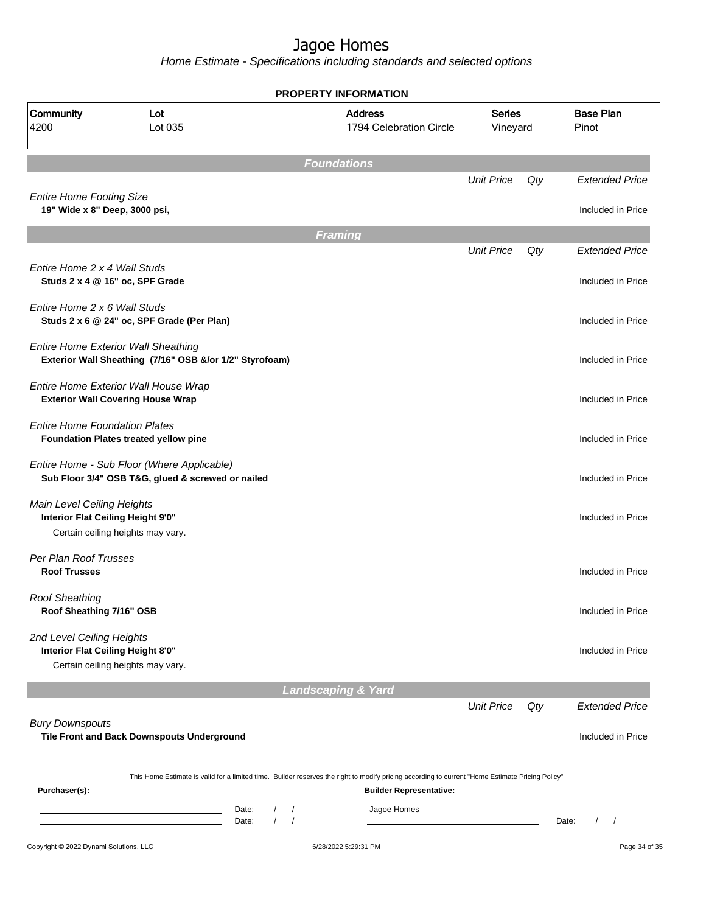| Community<br>4200                                                | Lot<br>Lot 035                                                                                        |                                   | <b>Address</b><br>1794 Celebration Circle                                                                                                        | <b>Series</b><br>Vineyard |     | <b>Base Plan</b><br>Pinot       |
|------------------------------------------------------------------|-------------------------------------------------------------------------------------------------------|-----------------------------------|--------------------------------------------------------------------------------------------------------------------------------------------------|---------------------------|-----|---------------------------------|
|                                                                  |                                                                                                       |                                   | <b>Foundations</b>                                                                                                                               |                           |     |                                 |
|                                                                  |                                                                                                       |                                   |                                                                                                                                                  | <b>Unit Price</b>         | Qty | <b>Extended Price</b>           |
| <b>Entire Home Footing Size</b><br>19" Wide x 8" Deep, 3000 psi, |                                                                                                       |                                   |                                                                                                                                                  |                           |     | Included in Price               |
|                                                                  |                                                                                                       |                                   | <b>Framing</b>                                                                                                                                   |                           |     |                                 |
|                                                                  |                                                                                                       |                                   |                                                                                                                                                  | <b>Unit Price</b>         | Qty | <b>Extended Price</b>           |
| Entire Home 2 x 4 Wall Studs                                     | Studs 2 x 4 @ 16" oc, SPF Grade                                                                       |                                   |                                                                                                                                                  |                           |     | Included in Price               |
| Entire Home 2 x 6 Wall Studs                                     | Studs 2 x 6 @ 24" oc, SPF Grade (Per Plan)                                                            |                                   |                                                                                                                                                  |                           |     | Included in Price               |
|                                                                  | <b>Entire Home Exterior Wall Sheathing</b><br>Exterior Wall Sheathing (7/16" OSB &/or 1/2" Styrofoam) |                                   |                                                                                                                                                  |                           |     | Included in Price               |
|                                                                  | Entire Home Exterior Wall House Wrap<br><b>Exterior Wall Covering House Wrap</b>                      |                                   |                                                                                                                                                  |                           |     | Included in Price               |
| <b>Entire Home Foundation Plates</b>                             | Foundation Plates treated yellow pine                                                                 |                                   |                                                                                                                                                  |                           |     | Included in Price               |
|                                                                  | Entire Home - Sub Floor (Where Applicable)<br>Sub Floor 3/4" OSB T&G, glued & screwed or nailed       |                                   |                                                                                                                                                  |                           |     | Included in Price               |
| Main Level Ceiling Heights<br>Interior Flat Ceiling Height 9'0"  |                                                                                                       |                                   |                                                                                                                                                  |                           |     | Included in Price               |
|                                                                  | Certain ceiling heights may vary.                                                                     |                                   |                                                                                                                                                  |                           |     |                                 |
| Per Plan Roof Trusses<br><b>Roof Trusses</b>                     |                                                                                                       |                                   |                                                                                                                                                  |                           |     | Included in Price               |
| <b>Roof Sheathing</b><br>Roof Sheathing 7/16" OSB                |                                                                                                       |                                   |                                                                                                                                                  |                           |     | Included in Price               |
| 2nd Level Ceiling Heights<br>Interior Flat Ceiling Height 8'0"   | Certain ceiling heights may vary.                                                                     |                                   |                                                                                                                                                  |                           |     | Included in Price               |
|                                                                  |                                                                                                       |                                   | <b>Landscaping &amp; Yard</b>                                                                                                                    |                           |     |                                 |
|                                                                  |                                                                                                       |                                   |                                                                                                                                                  | <b>Unit Price</b>         | Qty | <b>Extended Price</b>           |
| <b>Bury Downspouts</b>                                           | Tile Front and Back Downspouts Underground                                                            |                                   |                                                                                                                                                  |                           |     | Included in Price               |
|                                                                  |                                                                                                       |                                   | This Home Estimate is valid for a limited time. Builder reserves the right to modify pricing according to current "Home Estimate Pricing Policy" |                           |     |                                 |
| Purchaser(s):                                                    |                                                                                                       | Date:<br>$\sqrt{2}$<br>$\sqrt{2}$ | <b>Builder Representative:</b><br>Jagoe Homes                                                                                                    |                           |     |                                 |
|                                                                  |                                                                                                       | $\sqrt{ }$<br>$\sqrt{2}$<br>Date: |                                                                                                                                                  |                           |     | Date:<br>$\prime$<br>$\sqrt{2}$ |